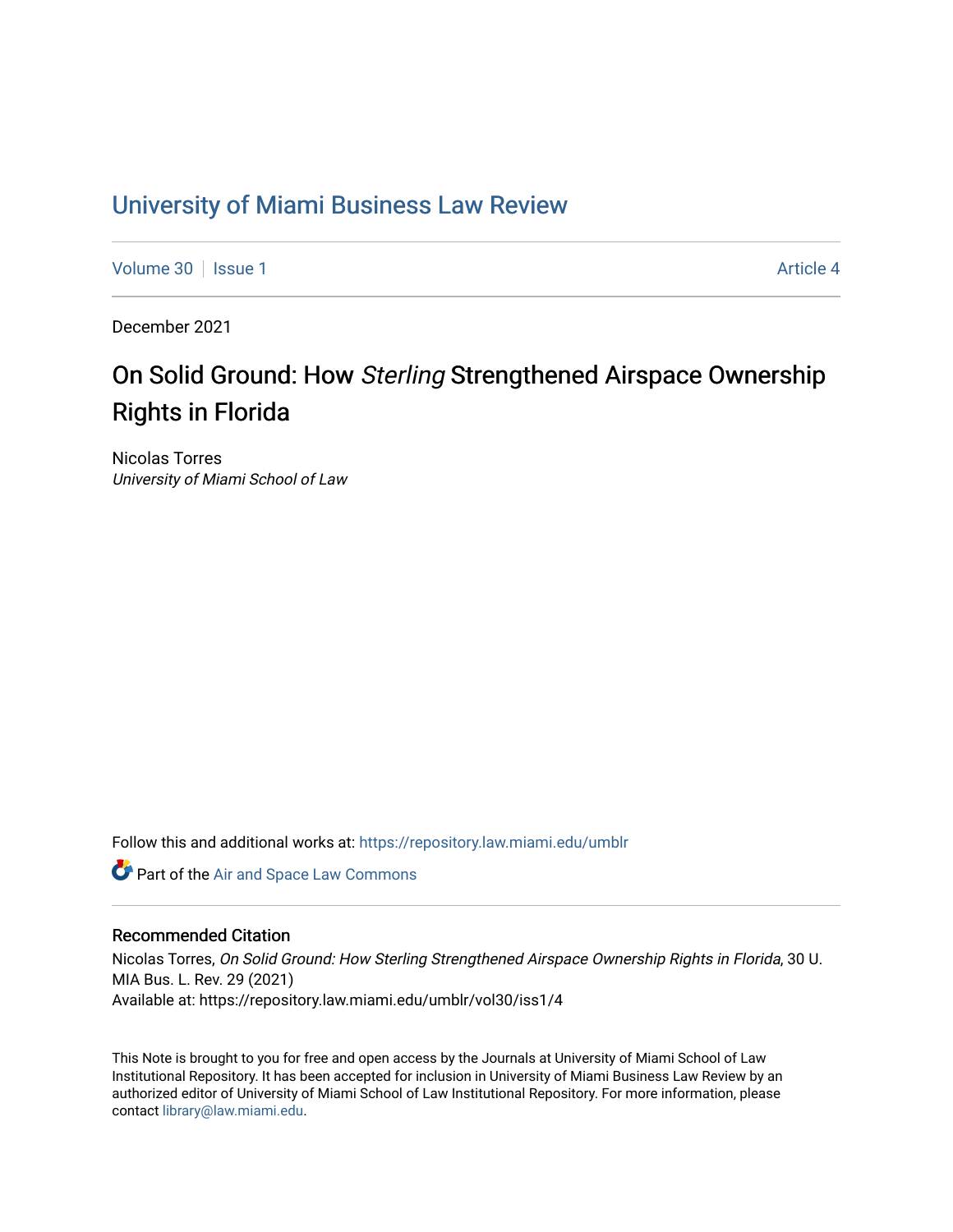## [University of Miami Business Law Review](https://repository.law.miami.edu/umblr)

[Volume 30](https://repository.law.miami.edu/umblr/vol30) | [Issue 1](https://repository.law.miami.edu/umblr/vol30/iss1) Article 4

December 2021

# On Solid Ground: How Sterling Strengthened Airspace Ownership Rights in Florida

Nicolas Torres University of Miami School of Law

Follow this and additional works at: [https://repository.law.miami.edu/umblr](https://repository.law.miami.edu/umblr?utm_source=repository.law.miami.edu%2Fumblr%2Fvol30%2Fiss1%2F4&utm_medium=PDF&utm_campaign=PDFCoverPages) 

Part of the [Air and Space Law Commons](http://network.bepress.com/hgg/discipline/830?utm_source=repository.law.miami.edu%2Fumblr%2Fvol30%2Fiss1%2F4&utm_medium=PDF&utm_campaign=PDFCoverPages)

#### Recommended Citation

Nicolas Torres, On Solid Ground: How Sterling Strengthened Airspace Ownership Rights in Florida, 30 U. MIA Bus. L. Rev. 29 (2021) Available at: https://repository.law.miami.edu/umblr/vol30/iss1/4

This Note is brought to you for free and open access by the Journals at University of Miami School of Law Institutional Repository. It has been accepted for inclusion in University of Miami Business Law Review by an authorized editor of University of Miami School of Law Institutional Repository. For more information, please contact [library@law.miami.edu](mailto:library@law.miami.edu).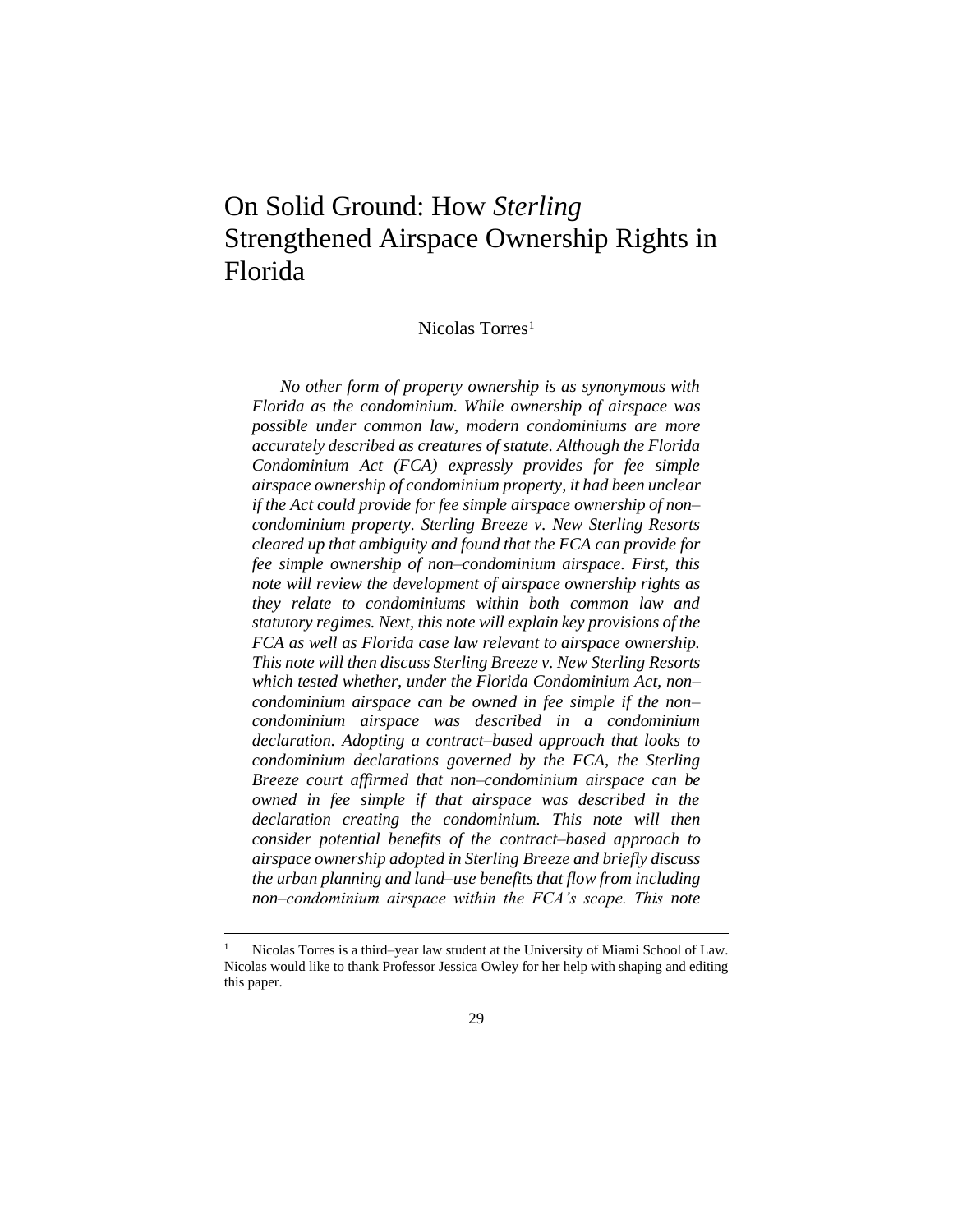## On Solid Ground: How *Sterling* Strengthened Airspace Ownership Rights in Florida

## Nicolas Torres<sup>1</sup>

*No other form of property ownership is as synonymous with Florida as the condominium. While ownership of airspace was possible under common law, modern condominiums are more accurately described as creatures of statute. Although the Florida Condominium Act (FCA) expressly provides for fee simple airspace ownership of condominium property, it had been unclear if the Act could provide for fee simple airspace ownership of non– condominium property. Sterling Breeze v. New Sterling Resorts cleared up that ambiguity and found that the FCA can provide for fee simple ownership of non–condominium airspace. First, this note will review the development of airspace ownership rights as they relate to condominiums within both common law and statutory regimes. Next, this note will explain key provisions of the FCA as well as Florida case law relevant to airspace ownership. This note will then discuss Sterling Breeze v. New Sterling Resorts which tested whether, under the Florida Condominium Act, non– condominium airspace can be owned in fee simple if the non– condominium airspace was described in a condominium declaration. Adopting a contract–based approach that looks to condominium declarations governed by the FCA, the Sterling Breeze court affirmed that non–condominium airspace can be owned in fee simple if that airspace was described in the declaration creating the condominium. This note will then consider potential benefits of the contract–based approach to airspace ownership adopted in Sterling Breeze and briefly discuss the urban planning and land–use benefits that flow from including non–condominium airspace within the FCA's scope. This note*

Nicolas Torres is a third–year law student at the University of Miami School of Law. Nicolas would like to thank Professor Jessica Owley for her help with shaping and editing this paper.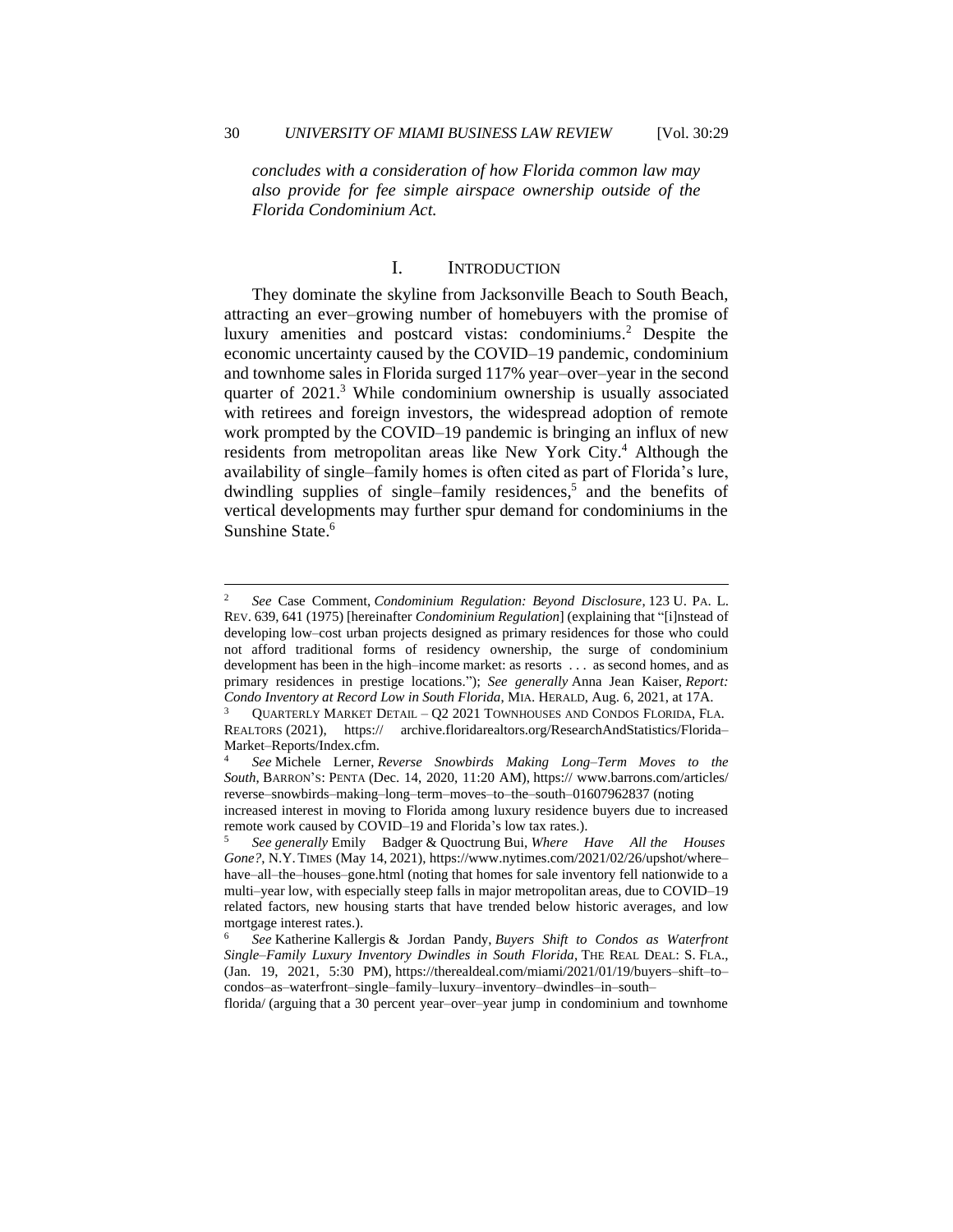*concludes with a consideration of how Florida common law may also provide for fee simple airspace ownership outside of the Florida Condominium Act.*

#### I. INTRODUCTION

They dominate the skyline from Jacksonville Beach to South Beach, attracting an ever–growing number of homebuyers with the promise of luxury amenities and postcard vistas: condominiums.<sup>2</sup> Despite the economic uncertainty caused by the COVID–19 pandemic, condominium and townhome sales in Florida surged 117% year–over–year in the second quarter of 2021.<sup>3</sup> While condominium ownership is usually associated with retirees and foreign investors, the widespread adoption of remote work prompted by the COVID–19 pandemic is bringing an influx of new residents from metropolitan areas like New York City.<sup>4</sup> Although the availability of single–family homes is often cited as part of Florida's lure, dwindling supplies of single–family residences,<sup>5</sup> and the benefits of vertical developments may further spur demand for condominiums in the Sunshine State.<sup>6</sup>

florida/ (arguing that a 30 percent year–over–year jump in condominium and townhome

<sup>2</sup> *See* Case Comment, *Condominium Regulation: Beyond Disclosure*, 123 U. PA. L. REV. 639, 641 (1975) [hereinafter *Condominium Regulation*] (explaining that "[i]nstead of developing low–cost urban projects designed as primary residences for those who could not afford traditional forms of residency ownership, the surge of condominium development has been in the high–income market: as resorts . . . as second homes, and as primary residences in prestige locations."); *See generally* Anna Jean Kaiser, *Report: Condo Inventory at Record Low in South Florida*, MIA. HERALD, Aug. 6, 2021, at 17A.

<sup>3</sup> QUARTERLY MARKET DETAIL – Q2 2021 TOWNHOUSES AND CONDOS FLORIDA, FLA. REALTORS (2021), https:// archive.floridarealtors.org/ResearchAndStatistics/Florida– Market–Reports/Index.cfm.

<sup>4</sup> *See* Michele Lerner, *Reverse Snowbirds Making Long–Term Moves to the South*, BARRON'S: PENTA (Dec. 14, 2020, 11:20 AM), https:// www.barrons.com/articles/ reverse–snowbirds–making–long–term–moves–to–the–south–01607962837 (noting

increased interest in moving to Florida among luxury residence buyers due to increased remote work caused by COVID–19 and Florida's low tax rates.).

<sup>5</sup> *See generally* Emily Badger & Quoctrung Bui, *Where Have All the Houses Gone?*, N.Y.TIMES (May 14, 2021), https://www.nytimes.com/2021/02/26/upshot/where– have–all–the–houses–gone.html (noting that homes for sale inventory fell nationwide to a multi–year low, with especially steep falls in major metropolitan areas, due to COVID–19 related factors, new housing starts that have trended below historic averages, and low mortgage interest rates.).

<sup>6</sup> *See* Katherine Kallergis & Jordan Pandy, *Buyers Shift to Condos as Waterfront Single–Family Luxury Inventory Dwindles in South Florida*, THE REAL DEAL: S. FLA., (Jan. 19, 2021, 5:30 PM), https://therealdeal.com/miami/2021/01/19/buyers–shift–to– condos–as–waterfront–single–family–luxury–inventory–dwindles–in–south–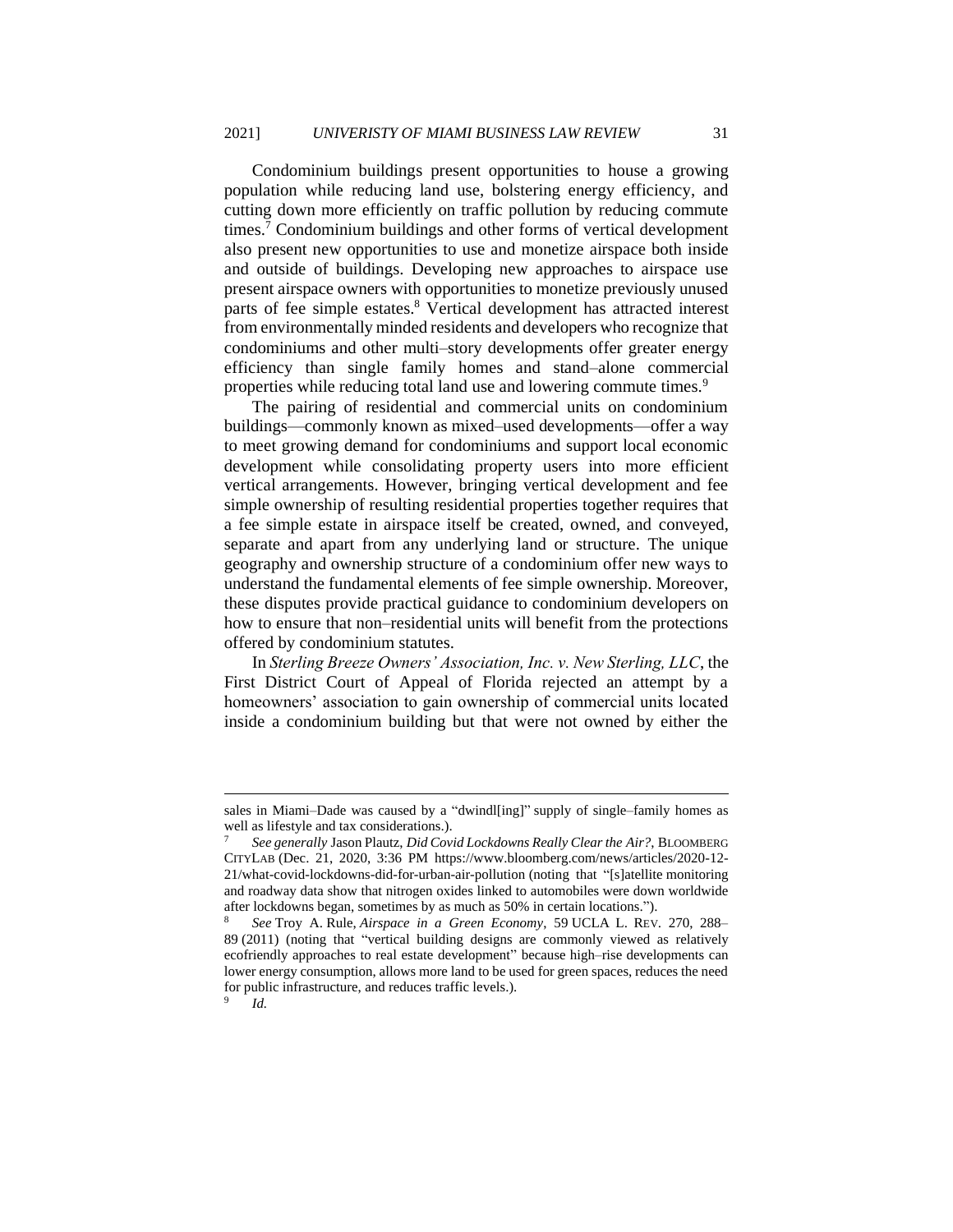Condominium buildings present opportunities to house a growing population while reducing land use, bolstering energy efficiency, and cutting down more efficiently on traffic pollution by reducing commute times.<sup>7</sup> Condominium buildings and other forms of vertical development also present new opportunities to use and monetize airspace both inside and outside of buildings. Developing new approaches to airspace use present airspace owners with opportunities to monetize previously unused parts of fee simple estates.<sup>8</sup> Vertical development has attracted interest from environmentally minded residents and developers who recognize that condominiums and other multi–story developments offer greater energy efficiency than single family homes and stand–alone commercial properties while reducing total land use and lowering commute times.<sup>9</sup>

The pairing of residential and commercial units on condominium buildings—commonly known as mixed–used developments—offer a way to meet growing demand for condominiums and support local economic development while consolidating property users into more efficient vertical arrangements. However, bringing vertical development and fee simple ownership of resulting residential properties together requires that a fee simple estate in airspace itself be created, owned, and conveyed, separate and apart from any underlying land or structure. The unique geography and ownership structure of a condominium offer new ways to understand the fundamental elements of fee simple ownership. Moreover, these disputes provide practical guidance to condominium developers on how to ensure that non–residential units will benefit from the protections offered by condominium statutes.

In *Sterling Breeze Owners' Association, Inc. v. New Sterling, LLC*, the First District Court of Appeal of Florida rejected an attempt by a homeowners' association to gain ownership of commercial units located inside a condominium building but that were not owned by either the

sales in Miami–Dade was caused by a "dwindl[ing]" supply of single–family homes as well as lifestyle and tax considerations.).

<sup>7</sup> *See generally* Jason Plautz, *Did Covid Lockdowns Really Clear the Air?*, BLOOMBERG CITYLAB (Dec. 21, 2020, 3:36 PM https://www.bloomberg.com/news/articles/2020-12- 21/what-covid-lockdowns-did-for-urban-air-pollution (noting that "[s]atellite monitoring and roadway data show that nitrogen oxides linked to automobiles were down worldwide after lockdowns began, sometimes by as much as 50% in certain locations.").

<sup>8</sup> *See* Troy A. Rule, *Airspace in a Green Economy*, 59 UCLA L. REV. 270, 288– 89 (2011) (noting that "vertical building designs are commonly viewed as relatively ecofriendly approaches to real estate development" because high–rise developments can lower energy consumption, allows more land to be used for green spaces, reduces the need for public infrastructure, and reduces traffic levels.). 9

*Id.*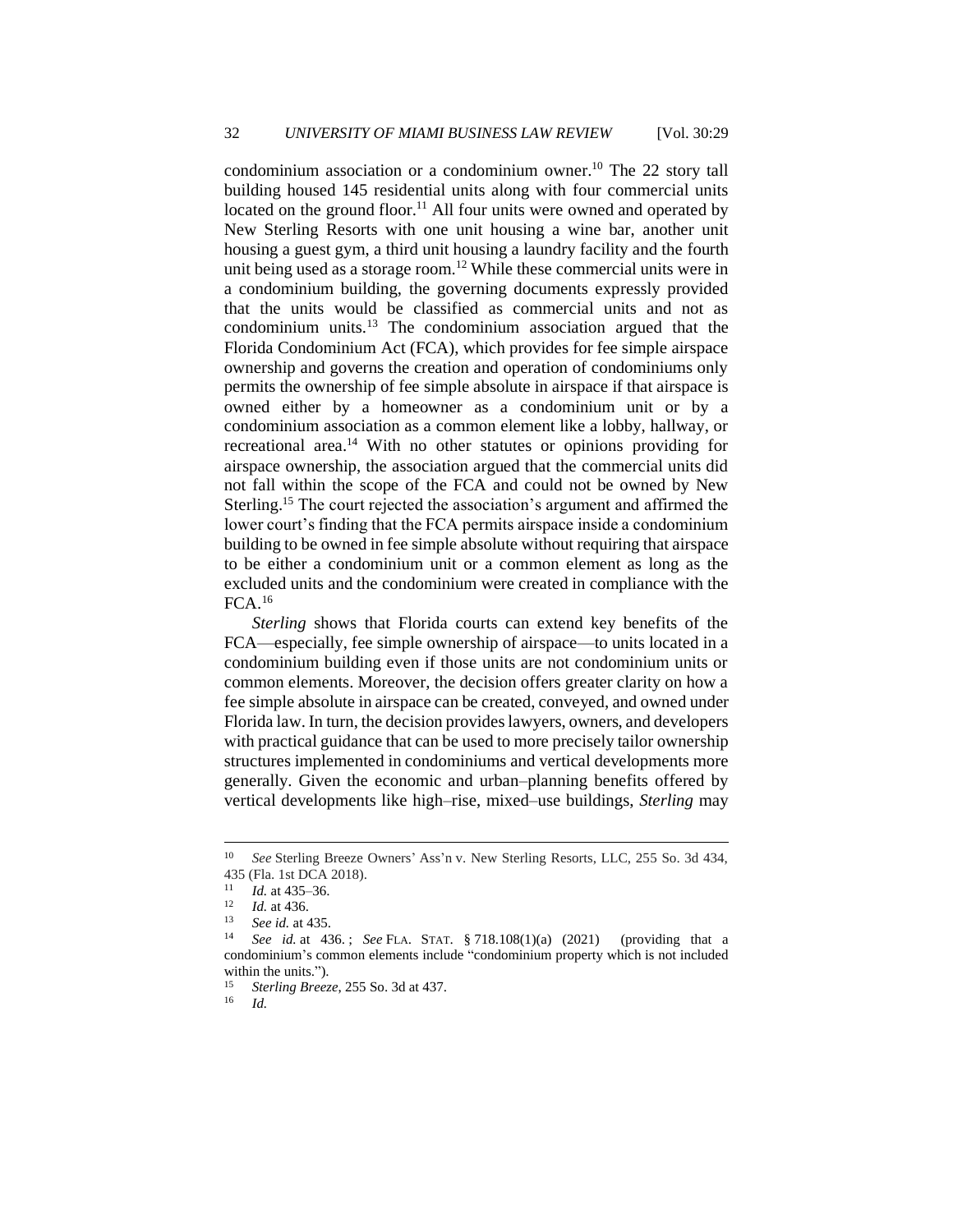condominium association or a condominium owner.<sup>10</sup> The 22 story tall building housed 145 residential units along with four commercial units located on the ground floor.<sup>11</sup> All four units were owned and operated by New Sterling Resorts with one unit housing a wine bar, another unit housing a guest gym, a third unit housing a laundry facility and the fourth unit being used as a storage room.<sup>12</sup> While these commercial units were in a condominium building, the governing documents expressly provided that the units would be classified as commercial units and not as condominium units.<sup>13</sup> The condominium association argued that the Florida Condominium Act (FCA), which provides for fee simple airspace ownership and governs the creation and operation of condominiums only permits the ownership of fee simple absolute in airspace if that airspace is owned either by a homeowner as a condominium unit or by a condominium association as a common element like a lobby, hallway, or recreational area.<sup>14</sup> With no other statutes or opinions providing for airspace ownership, the association argued that the commercial units did not fall within the scope of the FCA and could not be owned by New Sterling.<sup>15</sup> The court rejected the association's argument and affirmed the lower court's finding that the FCA permits airspace inside a condominium building to be owned in fee simple absolute without requiring that airspace to be either a condominium unit or a common element as long as the excluded units and the condominium were created in compliance with the FCA.<sup>16</sup>

*Sterling* shows that Florida courts can extend key benefits of the FCA—especially, fee simple ownership of airspace—to units located in a condominium building even if those units are not condominium units or common elements. Moreover, the decision offers greater clarity on how a fee simple absolute in airspace can be created, conveyed, and owned under Florida law. In turn, the decision provides lawyers, owners, and developers with practical guidance that can be used to more precisely tailor ownership structures implemented in condominiums and vertical developments more generally. Given the economic and urban–planning benefits offered by vertical developments like high–rise, mixed–use buildings, *Sterling* may

<sup>10</sup> *See* Sterling Breeze Owners' Ass'n v. New Sterling Resorts, LLC, 255 So. 3d 434, 435 (Fla. 1st DCA 2018).

 $\frac{11}{12}$  *Id.* at 435–36.

 $\frac{12}{13}$  *Id.* at 436.

<sup>&</sup>lt;sup>13</sup> *See id.* at 435.

<sup>14</sup> *See id.* at 436. ; *See* FLA. STAT. § 718.108(1)(a) (2021) (providing that a condominium's common elements include "condominium property which is not included within the units.").

<sup>15</sup> *Sterling Breeze*, 255 So. 3d at 437.

<sup>16</sup> *Id.*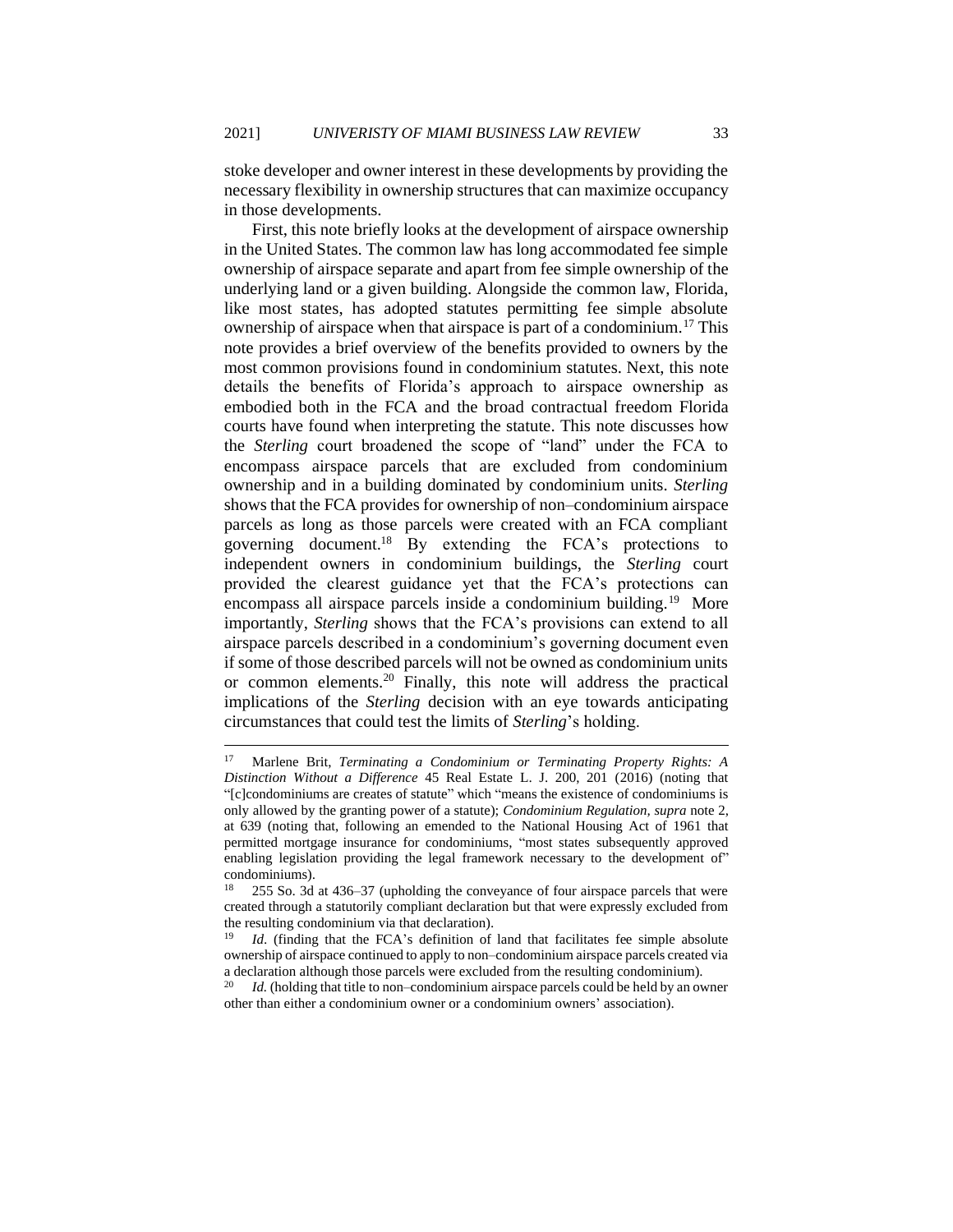stoke developer and owner interest in these developments by providing the necessary flexibility in ownership structures that can maximize occupancy in those developments.

First, this note briefly looks at the development of airspace ownership in the United States. The common law has long accommodated fee simple ownership of airspace separate and apart from fee simple ownership of the underlying land or a given building. Alongside the common law, Florida, like most states, has adopted statutes permitting fee simple absolute ownership of airspace when that airspace is part of a condominium.<sup>17</sup> This note provides a brief overview of the benefits provided to owners by the most common provisions found in condominium statutes. Next, this note details the benefits of Florida's approach to airspace ownership as embodied both in the FCA and the broad contractual freedom Florida courts have found when interpreting the statute. This note discusses how the *Sterling* court broadened the scope of "land" under the FCA to encompass airspace parcels that are excluded from condominium ownership and in a building dominated by condominium units. *Sterling*  shows that the FCA provides for ownership of non–condominium airspace parcels as long as those parcels were created with an FCA compliant governing document.<sup>18</sup> By extending the FCA's protections to independent owners in condominium buildings, the *Sterling* court provided the clearest guidance yet that the FCA's protections can encompass all airspace parcels inside a condominium building.<sup>19</sup> More importantly, *Sterling* shows that the FCA's provisions can extend to all airspace parcels described in a condominium's governing document even if some of those described parcels will not be owned as condominium units or common elements.<sup>20</sup> Finally, this note will address the practical implications of the *Sterling* decision with an eye towards anticipating circumstances that could test the limits of *Sterling*'s holding.

<sup>17</sup> Marlene Brit, *Terminating a Condominium or Terminating Property Rights: A Distinction Without a Difference* 45 Real Estate L. J. 200, 201 (2016) (noting that "[c]condominiums are creates of statute" which "means the existence of condominiums is only allowed by the granting power of a statute); *Condominium Regulation, supra* note 2, at 639 (noting that, following an emended to the National Housing Act of 1961 that permitted mortgage insurance for condominiums, "most states subsequently approved enabling legislation providing the legal framework necessary to the development of" condominiums).

<sup>&</sup>lt;sup>18</sup> 255 So. 3d at 436–37 (upholding the conveyance of four airspace parcels that were created through a statutorily compliant declaration but that were expressly excluded from the resulting condominium via that declaration).

*Id.* (finding that the FCA's definition of land that facilitates fee simple absolute ownership of airspace continued to apply to non–condominium airspace parcels created via a declaration although those parcels were excluded from the resulting condominium).

<sup>&</sup>lt;sup>20</sup> *Id.* (holding that title to non–condominium airspace parcels could be held by an owner other than either a condominium owner or a condominium owners' association).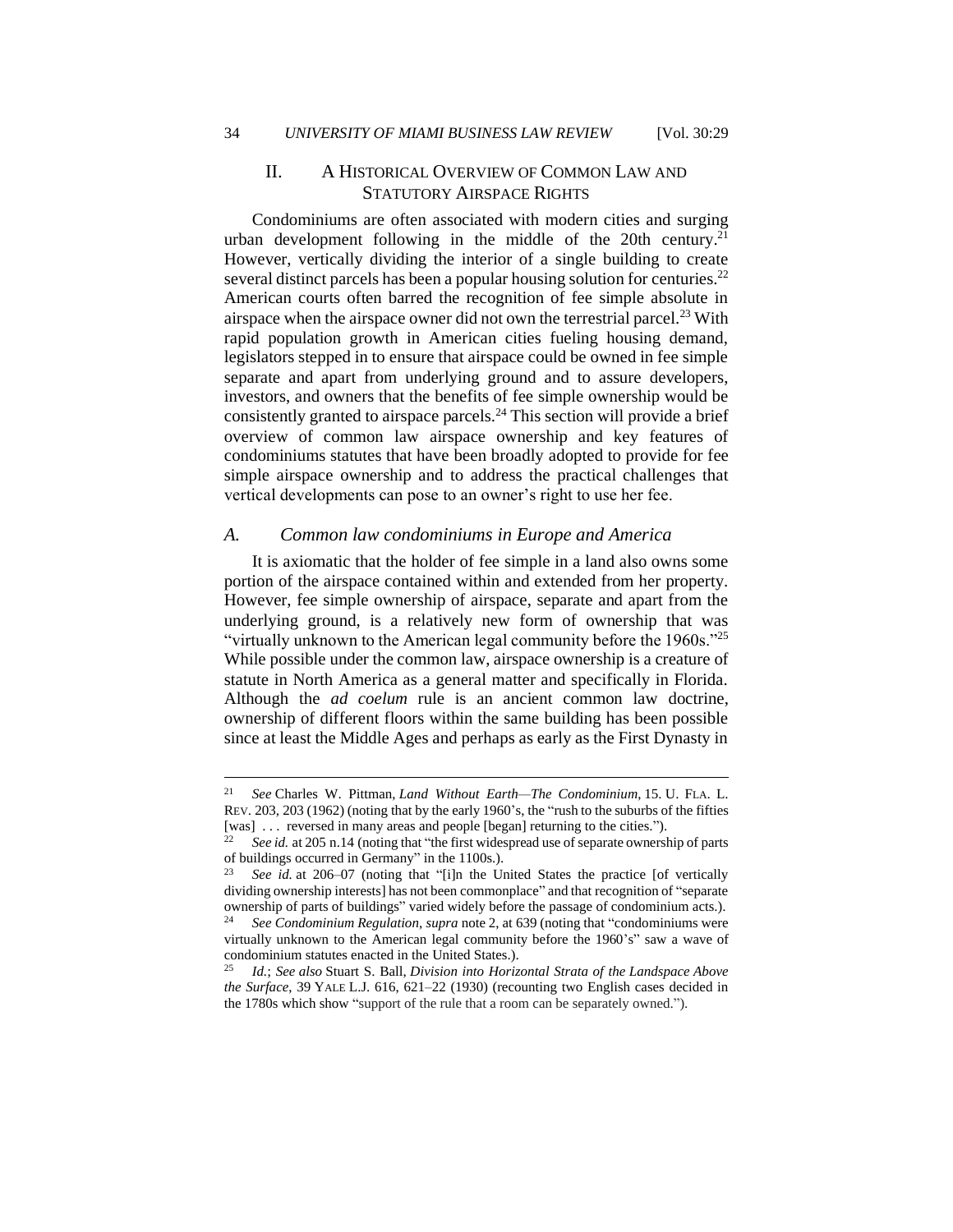#### II. A HISTORICAL OVERVIEW OF COMMON LAW AND STATUTORY AIRSPACE RIGHTS

Condominiums are often associated with modern cities and surging urban development following in the middle of the 20th century.<sup>21</sup> However, vertically dividing the interior of a single building to create several distinct parcels has been a popular housing solution for centuries.<sup>22</sup> American courts often barred the recognition of fee simple absolute in airspace when the airspace owner did not own the terrestrial parcel.<sup>23</sup> With rapid population growth in American cities fueling housing demand, legislators stepped in to ensure that airspace could be owned in fee simple separate and apart from underlying ground and to assure developers, investors, and owners that the benefits of fee simple ownership would be consistently granted to airspace parcels.<sup>24</sup> This section will provide a brief overview of common law airspace ownership and key features of condominiums statutes that have been broadly adopted to provide for fee simple airspace ownership and to address the practical challenges that vertical developments can pose to an owner's right to use her fee.

#### *A. Common law condominiums in Europe and America*

It is axiomatic that the holder of fee simple in a land also owns some portion of the airspace contained within and extended from her property. However, fee simple ownership of airspace, separate and apart from the underlying ground, is a relatively new form of ownership that was "virtually unknown to the American legal community before the 1960s."<sup>25</sup> While possible under the common law, airspace ownership is a creature of statute in North America as a general matter and specifically in Florida. Although the *ad coelum* rule is an ancient common law doctrine, ownership of different floors within the same building has been possible since at least the Middle Ages and perhaps as early as the First Dynasty in

<sup>21</sup> *See* Charles W. Pittman, *Land Without Earth—The Condominium*, 15. U. FLA. L. REV. 203, 203 (1962) (noting that by the early 1960's, the "rush to the suburbs of the fifties [was] ... reversed in many areas and people [began] returning to the cities.").

<sup>22</sup> *See id.* at 205 n.14 (noting that "the first widespread use of separate ownership of parts of buildings occurred in Germany" in the 1100s.).

See id. at 206–07 (noting that "[i]n the United States the practice [of vertically dividing ownership interests] has not been commonplace" and that recognition of "separate ownership of parts of buildings" varied widely before the passage of condominium acts.).

<sup>24</sup> *See Condominium Regulation*, *supra* note 2, at 639 (noting that "condominiums were virtually unknown to the American legal community before the 1960's" saw a wave of condominium statutes enacted in the United States.).

<sup>25</sup> *Id.*; *See also* Stuart S. Ball, *Division into Horizontal Strata of the Landspace Above the Surface*, 39 YALE L.J. 616, 621–22 (1930) (recounting two English cases decided in the 1780s which show "support of the rule that a room can be separately owned.").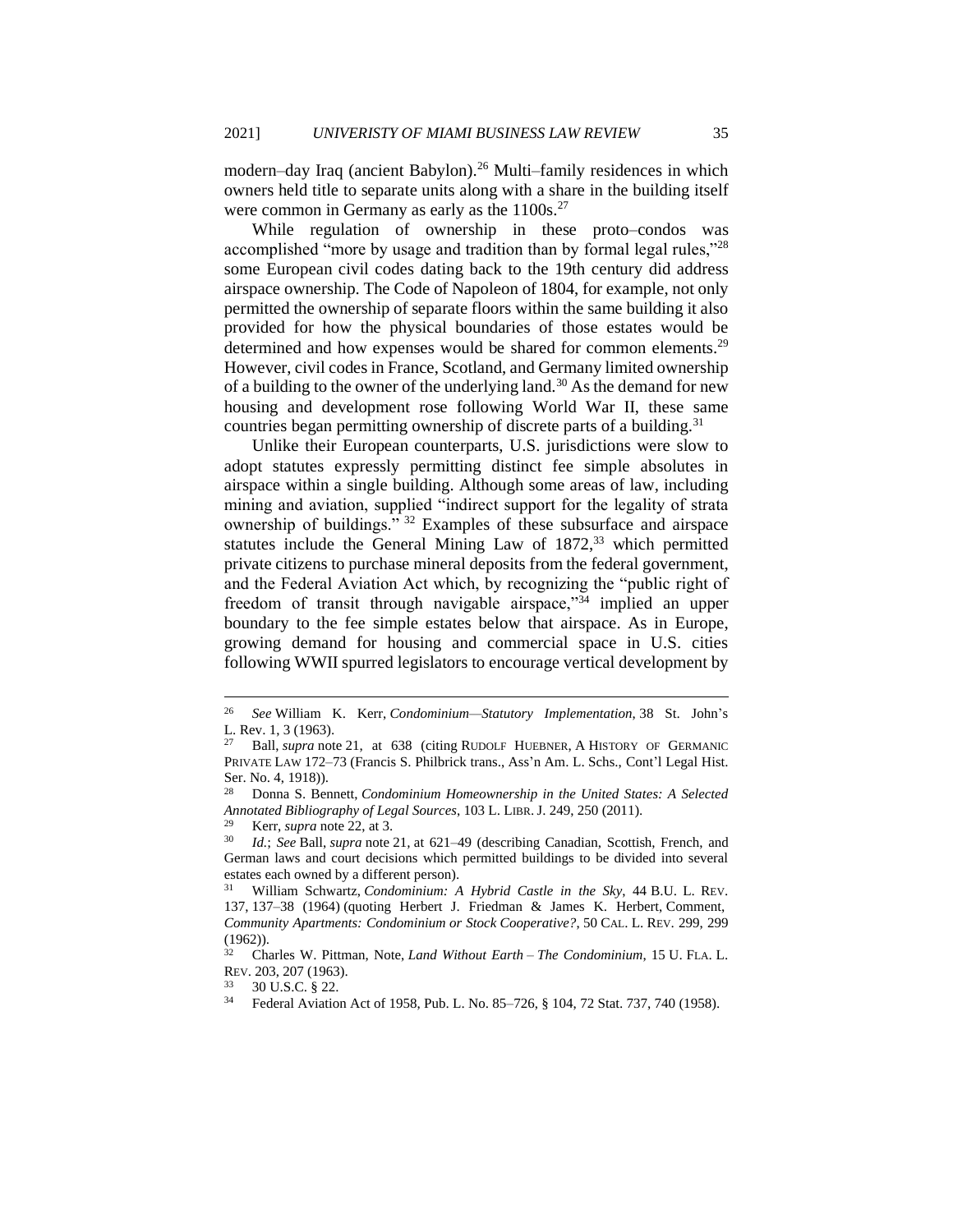modern–day Iraq (ancient Babylon).<sup>26</sup> Multi–family residences in which owners held title to separate units along with a share in the building itself were common in Germany as early as the 1100s.<sup>27</sup>

While regulation of ownership in these proto–condos was accomplished "more by usage and tradition than by formal legal rules,"<sup>28</sup> some European civil codes dating back to the 19th century did address airspace ownership. The Code of Napoleon of 1804, for example, not only permitted the ownership of separate floors within the same building it also provided for how the physical boundaries of those estates would be determined and how expenses would be shared for common elements.<sup>29</sup> However, civil codes in France, Scotland, and Germany limited ownership of a building to the owner of the underlying land.<sup>30</sup> As the demand for new housing and development rose following World War II, these same countries began permitting ownership of discrete parts of a building.<sup>31</sup>

Unlike their European counterparts, U.S. jurisdictions were slow to adopt statutes expressly permitting distinct fee simple absolutes in airspace within a single building. Although some areas of law, including mining and aviation, supplied "indirect support for the legality of strata ownership of buildings." <sup>32</sup> Examples of these subsurface and airspace statutes include the General Mining Law of  $1872<sup>33</sup>$  which permitted private citizens to purchase mineral deposits from the federal government, and the Federal Aviation Act which, by recognizing the "public right of freedom of transit through navigable airspace,"<sup>34</sup> implied an upper boundary to the fee simple estates below that airspace. As in Europe, growing demand for housing and commercial space in U.S. cities following WWII spurred legislators to encourage vertical development by

<sup>26</sup> *See* William K. Kerr, *Condominium—Statutory Implementation*, 38 St. John's L. Rev. 1, 3 (1963).

Ball, *supra* note 21, at 638 (citing RUDOLF HUEBNER, A HISTORY OF GERMANIC PRIVATE LAW 172–73 (Francis S. Philbrick trans., Ass'n Am. L. Schs., Cont'l Legal Hist. Ser. No. 4, 1918)).

<sup>28</sup> Donna S. Bennett, *Condominium Homeownership in the United States: A Selected Annotated Bibliography of Legal Sources*, 103 L. LIBR.J. 249, 250 (2011).

<sup>&</sup>lt;sup>29</sup> Kerr, *supra* note 22, at 3.<br><sup>30</sup> *L*d · See Ball *supra* note 2

<sup>30</sup> *Id.*; *See* Ball, *supra* note 21*,* at 621–49 (describing Canadian, Scottish, French, and German laws and court decisions which permitted buildings to be divided into several estates each owned by a different person).

<sup>31</sup> William Schwartz, *Condominium: A Hybrid Castle in the Sky*, 44 B.U. L. REV. 137, 137–38 (1964) (quoting Herbert J. Friedman & James K. Herbert, Comment, *Community Apartments: Condominium or Stock Cooperative?*, 50 CAL. L. REV. 299, 299 (1962)).

<sup>32</sup> Charles W. Pittman, Note, *Land Without Earth – The Condominium*, 15 U. FLA. L. REV. 203, 207 (1963).

<sup>33</sup> 30 U.S.C. § 22.

<sup>34</sup> Federal Aviation Act of 1958, Pub. L. No. 85–726, § 104, 72 Stat. 737, 740 (1958).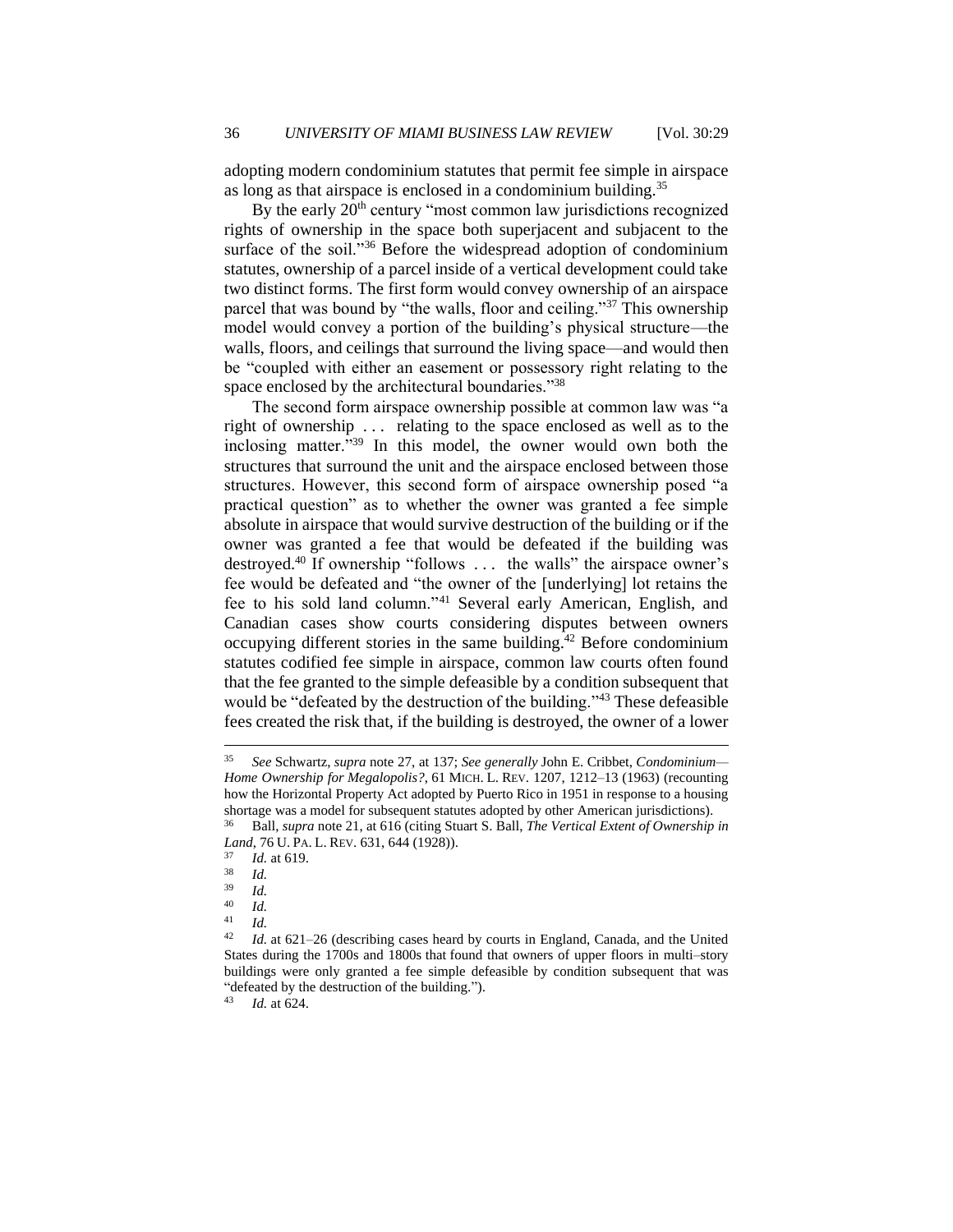adopting modern condominium statutes that permit fee simple in airspace as long as that airspace is enclosed in a condominium building.<sup>35</sup>

By the early 20<sup>th</sup> century "most common law jurisdictions recognized rights of ownership in the space both superjacent and subjacent to the surface of the soil."<sup>36</sup> Before the widespread adoption of condominium statutes, ownership of a parcel inside of a vertical development could take two distinct forms. The first form would convey ownership of an airspace parcel that was bound by "the walls, floor and ceiling."<sup>37</sup> This ownership model would convey a portion of the building's physical structure—the walls, floors, and ceilings that surround the living space—and would then be "coupled with either an easement or possessory right relating to the space enclosed by the architectural boundaries."<sup>38</sup>

The second form airspace ownership possible at common law was "a right of ownership . . . relating to the space enclosed as well as to the inclosing matter."<sup>39</sup> In this model, the owner would own both the structures that surround the unit and the airspace enclosed between those structures. However, this second form of airspace ownership posed "a practical question" as to whether the owner was granted a fee simple absolute in airspace that would survive destruction of the building or if the owner was granted a fee that would be defeated if the building was destroyed.<sup>40</sup> If ownership "follows ... the walls" the airspace owner's fee would be defeated and "the owner of the [underlying] lot retains the fee to his sold land column."<sup>41</sup> Several early American, English, and Canadian cases show courts considering disputes between owners occupying different stories in the same building. $^{42}$  Before condominium statutes codified fee simple in airspace, common law courts often found that the fee granted to the simple defeasible by a condition subsequent that would be "defeated by the destruction of the building."<sup>43</sup> These defeasible fees created the risk that, if the building is destroyed, the owner of a lower

<sup>35</sup> *See* Schwartz, *supra* note 27, at 137; *See generally* John E. Cribbet, *Condominium— Home Ownership for Megalopolis?*, 61 MICH. L. REV. 1207, 1212–13 (1963) (recounting how the Horizontal Property Act adopted by Puerto Rico in 1951 in response to a housing shortage was a model for subsequent statutes adopted by other American jurisdictions). <sup>36</sup> Ball, *supra* note 21, at 616 (citing Stuart S. Ball, *The Vertical Extent of Ownership in* 

*Land*, 76 U. PA. L. REV. 631, 644 (1928)).

 $\frac{37}{38}$  *Id.* at 619.

 $rac{38}{39}$  *Id.* 

 $\frac{39}{40}$  *Id.* 

 $\frac{40}{41}$  *Id.* 

 $\frac{41}{42}$  *Id.* 

Id. at 621–26 (describing cases heard by courts in England, Canada, and the United States during the 1700s and 1800s that found that owners of upper floors in multi–story buildings were only granted a fee simple defeasible by condition subsequent that was "defeated by the destruction of the building.").

<sup>43</sup> *Id.* at 624.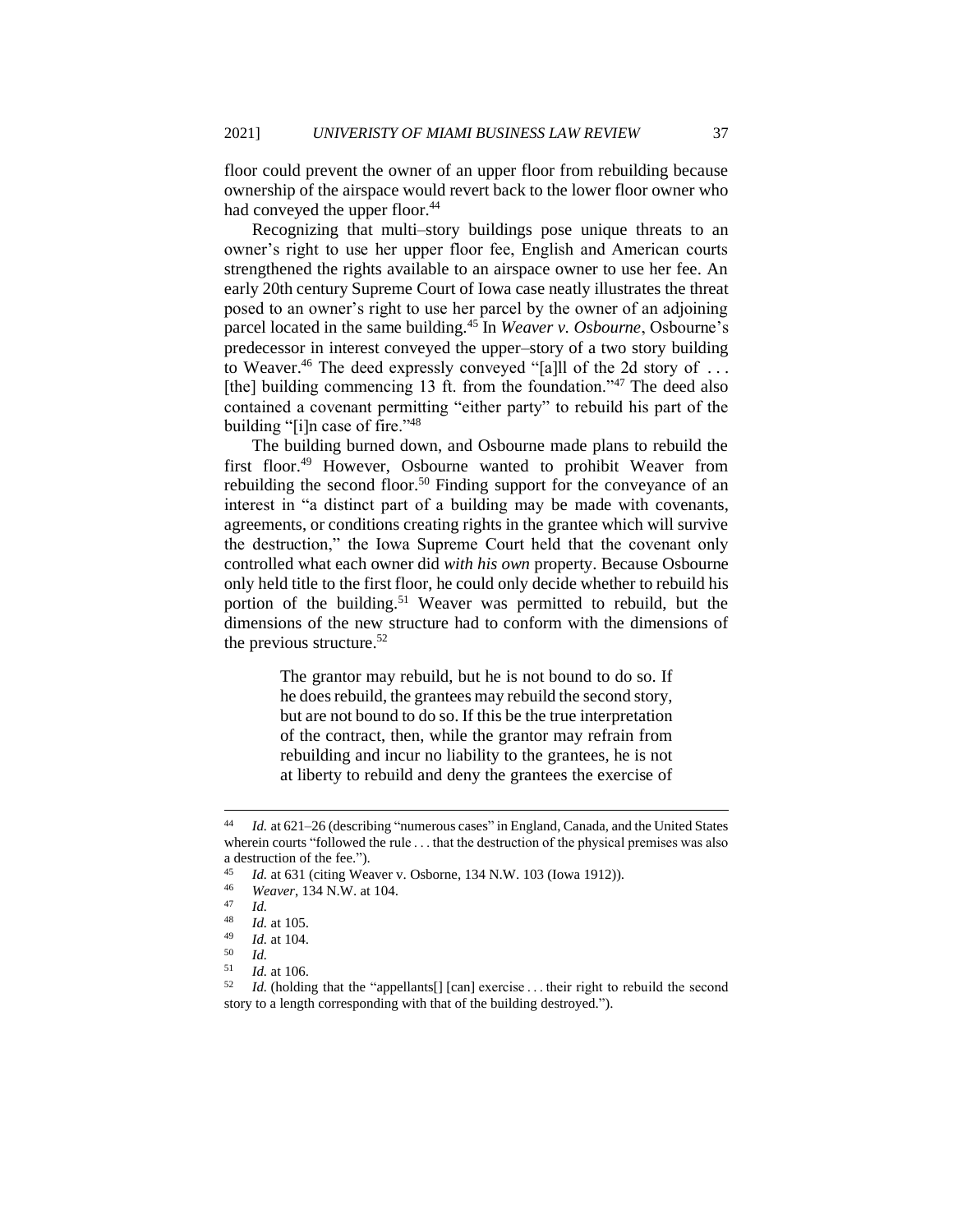floor could prevent the owner of an upper floor from rebuilding because ownership of the airspace would revert back to the lower floor owner who had conveyed the upper floor.<sup>44</sup>

Recognizing that multi–story buildings pose unique threats to an owner's right to use her upper floor fee, English and American courts strengthened the rights available to an airspace owner to use her fee. An early 20th century Supreme Court of Iowa case neatly illustrates the threat posed to an owner's right to use her parcel by the owner of an adjoining parcel located in the same building.<sup>45</sup> In *Weaver v. Osbourne*, Osbourne's predecessor in interest conveyed the upper–story of a two story building to Weaver.<sup>46</sup> The deed expressly conveyed "[a]ll of the 2d story of ... [the] building commencing 13 ft. from the foundation."<sup>47</sup> The deed also contained a covenant permitting "either party" to rebuild his part of the building "[i]n case of fire."<sup>48</sup>

The building burned down, and Osbourne made plans to rebuild the first floor.<sup>49</sup> However, Osbourne wanted to prohibit Weaver from rebuilding the second floor.<sup>50</sup> Finding support for the conveyance of an interest in "a distinct part of a building may be made with covenants, agreements, or conditions creating rights in the grantee which will survive the destruction," the Iowa Supreme Court held that the covenant only controlled what each owner did *with his own* property. Because Osbourne only held title to the first floor, he could only decide whether to rebuild his portion of the building.<sup>51</sup> Weaver was permitted to rebuild, but the dimensions of the new structure had to conform with the dimensions of the previous structure.<sup>52</sup>

> The grantor may rebuild, but he is not bound to do so. If he does rebuild, the grantees may rebuild the second story, but are not bound to do so. If this be the true interpretation of the contract, then, while the grantor may refrain from rebuilding and incur no liability to the grantees, he is not at liberty to rebuild and deny the grantees the exercise of

<sup>44</sup> *Id.* at 621–26 (describing "numerous cases" in England, Canada, and the United States wherein courts "followed the rule  $\dots$  that the destruction of the physical premises was also a destruction of the fee.").

<sup>45</sup> *Id.* at 631 (citing Weaver v. Osborne, 134 N.W. 103 (Iowa 1912)).

<sup>46</sup> *Weaver*, 134 N.W. at 104.

 $\frac{47}{48}$  *Id.* 

 $\frac{48}{49}$  *Id.* at 105.

 $\frac{49}{50}$  *Id.* at 104.

 $\begin{array}{cc} 50 & Id. \\ 51 & Id. \end{array}$ *Id.* at 106.

<sup>52</sup> *Id.* (holding that the "appellants[] [can] exercise . . . their right to rebuild the second story to a length corresponding with that of the building destroyed.").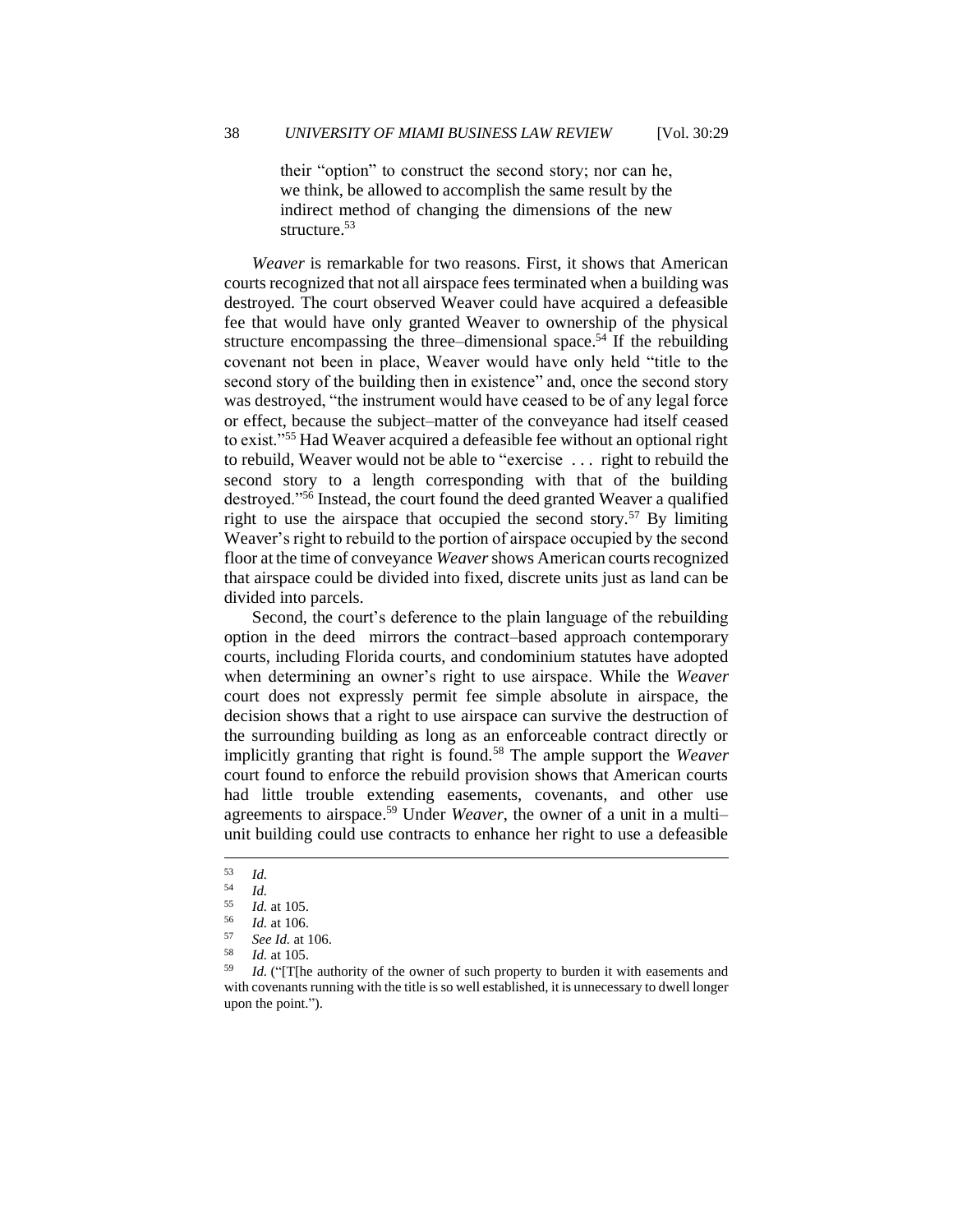their "option" to construct the second story; nor can he, we think, be allowed to accomplish the same result by the indirect method of changing the dimensions of the new structure. 53

*Weaver* is remarkable for two reasons. First, it shows that American courts recognized that not all airspace fees terminated when a building was destroyed. The court observed Weaver could have acquired a defeasible fee that would have only granted Weaver to ownership of the physical structure encompassing the three–dimensional space.<sup>54</sup> If the rebuilding covenant not been in place, Weaver would have only held "title to the second story of the building then in existence" and, once the second story was destroyed, "the instrument would have ceased to be of any legal force or effect, because the subject–matter of the conveyance had itself ceased to exist."<sup>55</sup> Had Weaver acquired a defeasible fee without an optional right to rebuild, Weaver would not be able to "exercise . . . right to rebuild the second story to a length corresponding with that of the building destroyed."<sup>56</sup> Instead, the court found the deed granted Weaver a qualified right to use the airspace that occupied the second story.<sup>57</sup> By limiting Weaver's right to rebuild to the portion of airspace occupied by the second floor at the time of conveyance *Weaver* shows American courts recognized that airspace could be divided into fixed, discrete units just as land can be divided into parcels.

Second, the court's deference to the plain language of the rebuilding option in the deed mirrors the contract–based approach contemporary courts, including Florida courts, and condominium statutes have adopted when determining an owner's right to use airspace. While the *Weaver*  court does not expressly permit fee simple absolute in airspace, the decision shows that a right to use airspace can survive the destruction of the surrounding building as long as an enforceable contract directly or implicitly granting that right is found.<sup>58</sup> The ample support the *Weaver* court found to enforce the rebuild provision shows that American courts had little trouble extending easements, covenants, and other use agreements to airspace.<sup>59</sup> Under *Weaver*, the owner of a unit in a multi– unit building could use contracts to enhance her right to use a defeasible

 $\begin{array}{cc} 53 & Id. \\ 54 & Id. \end{array}$ 

 $\frac{54}{55}$  *Id.* 

<sup>55</sup> *Id.* at 105.

 $\frac{56}{57}$  *Id.* at 106.

<sup>57</sup> *See Id.* at 106.

 $\frac{58}{59}$  *Id.* at 105.

Id. ("[T[he authority of the owner of such property to burden it with easements and with covenants running with the title is so well established, it is unnecessary to dwell longer upon the point.").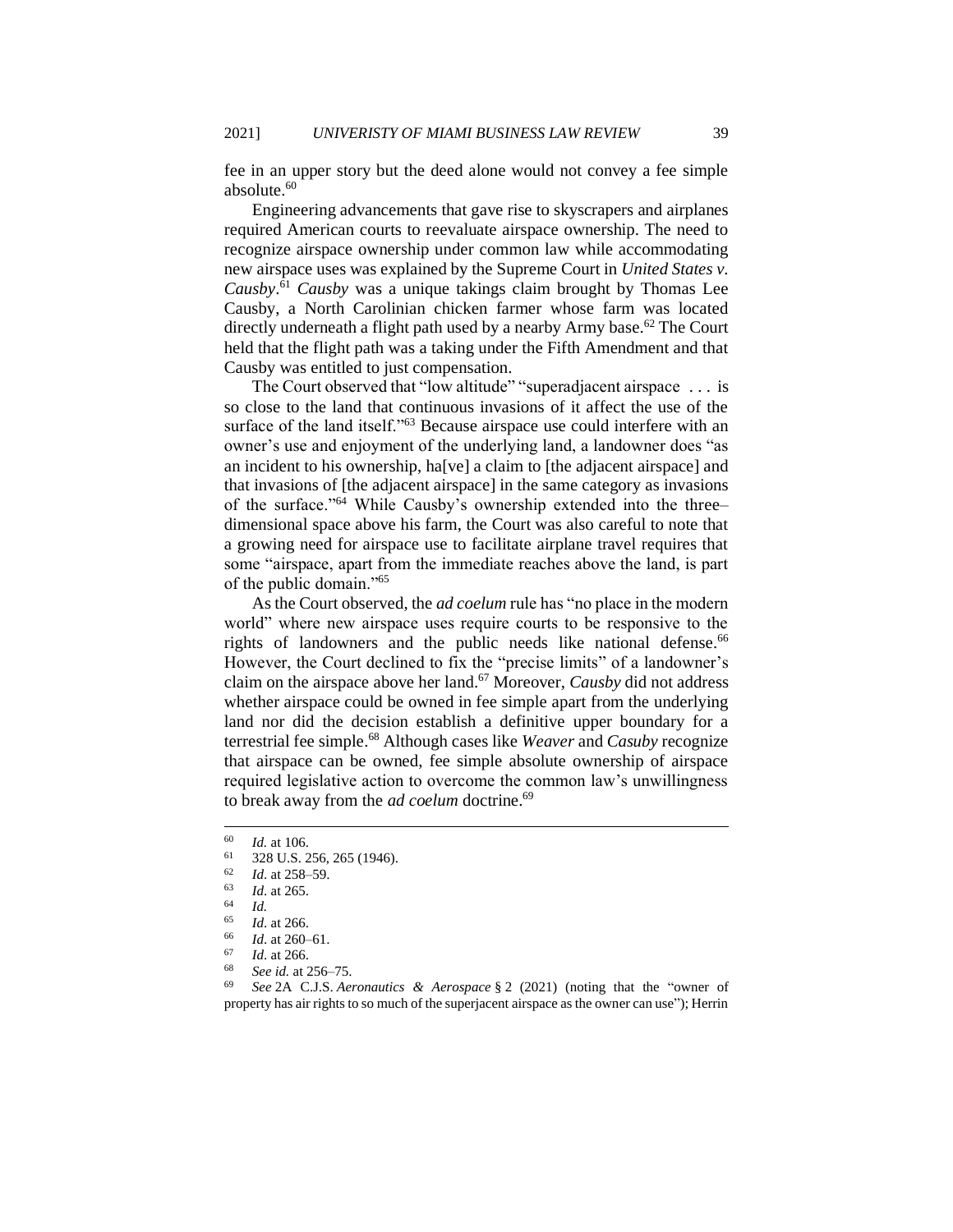fee in an upper story but the deed alone would not convey a fee simple absolute.<sup>60</sup>

Engineering advancements that gave rise to skyscrapers and airplanes required American courts to reevaluate airspace ownership. The need to recognize airspace ownership under common law while accommodating new airspace uses was explained by the Supreme Court in *United States v. Causby*. <sup>61</sup> *Causby* was a unique takings claim brought by Thomas Lee Causby, a North Carolinian chicken farmer whose farm was located directly underneath a flight path used by a nearby Army base.<sup>62</sup> The Court held that the flight path was a taking under the Fifth Amendment and that Causby was entitled to just compensation.

The Court observed that "low altitude" "superadjacent airspace . . . is so close to the land that continuous invasions of it affect the use of the surface of the land itself."<sup>63</sup> Because airspace use could interfere with an owner's use and enjoyment of the underlying land, a landowner does "as an incident to his ownership, ha[ve] a claim to [the adjacent airspace] and that invasions of [the adjacent airspace] in the same category as invasions of the surface."<sup>64</sup> While Causby's ownership extended into the three– dimensional space above his farm, the Court was also careful to note that a growing need for airspace use to facilitate airplane travel requires that some "airspace, apart from the immediate reaches above the land, is part of the public domain."<sup>65</sup>

As the Court observed, the *ad coelum* rule has "no place in the modern world" where new airspace uses require courts to be responsive to the rights of landowners and the public needs like national defense.<sup>66</sup> However, the Court declined to fix the "precise limits" of a landowner's claim on the airspace above her land.<sup>67</sup> Moreover, *Causby* did not address whether airspace could be owned in fee simple apart from the underlying land nor did the decision establish a definitive upper boundary for a terrestrial fee simple. <sup>68</sup> Although cases like *Weaver* and *Casuby* recognize that airspace can be owned, fee simple absolute ownership of airspace required legislative action to overcome the common law's unwillingness to break away from the *ad coelum* doctrine.<sup>69</sup>

<sup>69</sup> *See* 2A C.J.S. *Aeronautics & Aerospace* § 2 (2021) (noting that the "owner of property has air rights to so much of the superjacent airspace as the owner can use"); Herrin

 $\frac{60}{61}$  *Id.* at 106.

 $^{61}$  328 U.S. 256, 265 (1946).

 $\frac{62}{63}$  *Id.* at 258–59.

 $\frac{63}{64}$  *Id.* at 265.

 $\begin{array}{cc} 64 & Id. \\ 65 & Id. \end{array}$ 

 $\frac{65}{66}$  *Id.* at 266.

 $\frac{66}{67}$  *Id.* at 260–61.

*Id.* at 266.

See id. at 256–75.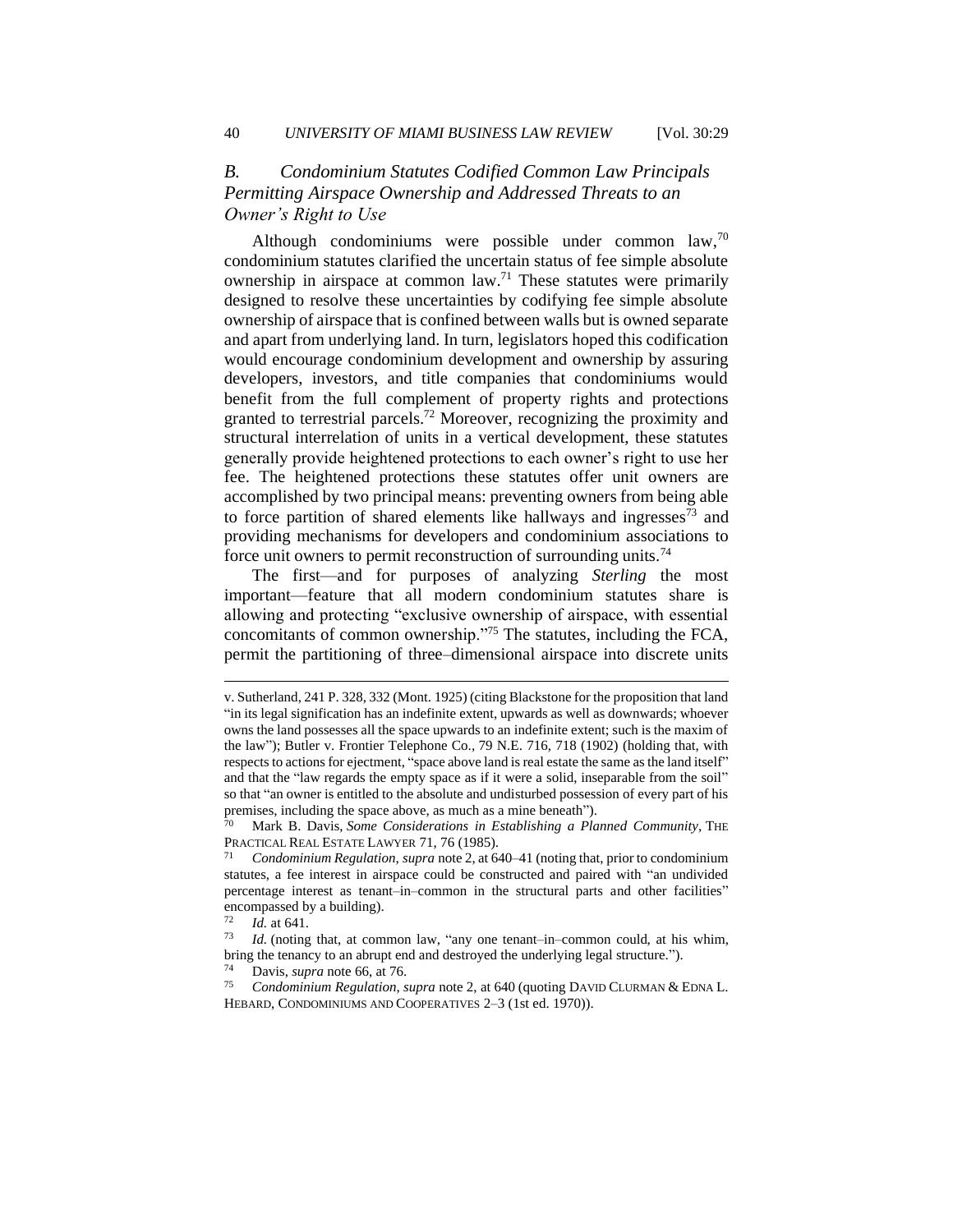### *B. Condominium Statutes Codified Common Law Principals Permitting Airspace Ownership and Addressed Threats to an Owner's Right to Use*

Although condominiums were possible under common law, $70$ condominium statutes clarified the uncertain status of fee simple absolute ownership in airspace at common law.<sup>71</sup> These statutes were primarily designed to resolve these uncertainties by codifying fee simple absolute ownership of airspace that is confined between walls but is owned separate and apart from underlying land. In turn, legislators hoped this codification would encourage condominium development and ownership by assuring developers, investors, and title companies that condominiums would benefit from the full complement of property rights and protections granted to terrestrial parcels.<sup>72</sup> Moreover, recognizing the proximity and structural interrelation of units in a vertical development, these statutes generally provide heightened protections to each owner's right to use her fee. The heightened protections these statutes offer unit owners are accomplished by two principal means: preventing owners from being able to force partition of shared elements like hallways and ingresses  $\frac{73}{1}$  and providing mechanisms for developers and condominium associations to force unit owners to permit reconstruction of surrounding units.<sup>74</sup>

The first—and for purposes of analyzing *Sterling* the most important—feature that all modern condominium statutes share is allowing and protecting "exclusive ownership of airspace, with essential concomitants of common ownership."<sup>75</sup> The statutes, including the FCA, permit the partitioning of three–dimensional airspace into discrete units

v. Sutherland, 241 P. 328, 332 (Mont. 1925) (citing Blackstone for the proposition that land "in its legal signification has an indefinite extent, upwards as well as downwards; whoever owns the land possesses all the space upwards to an indefinite extent; such is the maxim of the law"); Butler v. Frontier Telephone Co.*,* 79 N.E. 716, 718 (1902) (holding that, with respects to actions for ejectment, "space above land is real estate the same as the land itself" and that the "law regards the empty space as if it were a solid, inseparable from the soil" so that "an owner is entitled to the absolute and undisturbed possession of every part of his premises, including the space above, as much as a mine beneath").

Mark B. Davis, *Some Considerations in Establishing a Planned Community*, THE PRACTICAL REAL ESTATE LAWYER 71, 76 (1985).

<sup>71</sup> *Condominium Regulation*, *supra* note 2, at 640–41 (noting that, prior to condominium statutes, a fee interest in airspace could be constructed and paired with "an undivided percentage interest as tenant–in–common in the structural parts and other facilities" encompassed by a building).<br> $\frac{72}{64}$  *M* at 641

 $\frac{72}{73}$  *Id.* at 641.

*Id.* (noting that, at common law, "any one tenant–in–common could, at his whim, bring the tenancy to an abrupt end and destroyed the underlying legal structure.").

<sup>74</sup> Davis, *supra* note 66, at 76.

<sup>75</sup> *Condominium Regulation*, *supra* note 2, at 640 (quoting DAVID CLURMAN & EDNA L. HEBARD, CONDOMINIUMS AND COOPERATIVES 2–3 (1st ed. 1970)).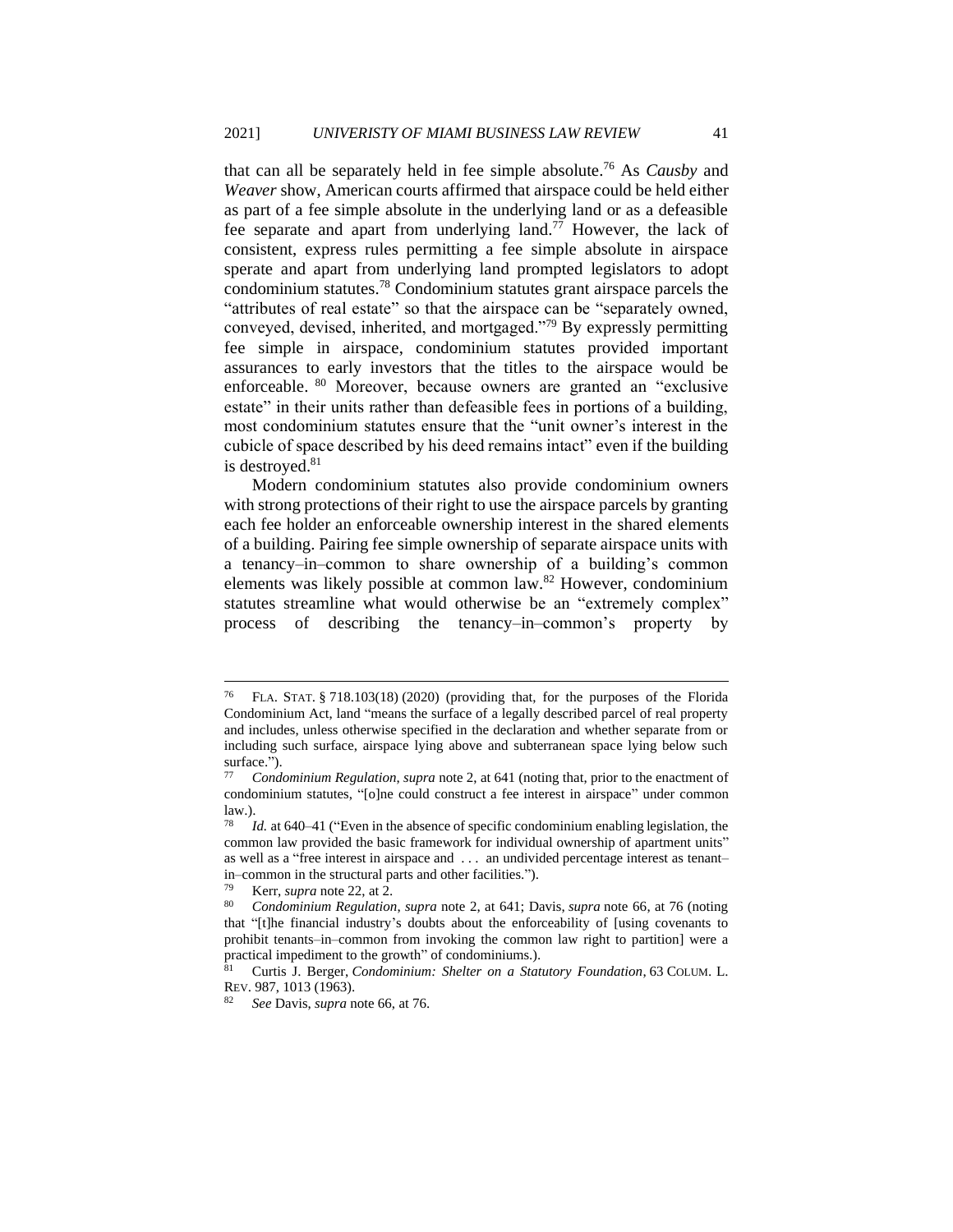that can all be separately held in fee simple absolute.<sup>76</sup> As *Causby* and *Weaver* show, American courts affirmed that airspace could be held either as part of a fee simple absolute in the underlying land or as a defeasible fee separate and apart from underlying land.<sup>77</sup> However, the lack of consistent, express rules permitting a fee simple absolute in airspace sperate and apart from underlying land prompted legislators to adopt condominium statutes.<sup>78</sup> Condominium statutes grant airspace parcels the "attributes of real estate" so that the airspace can be "separately owned, conveyed, devised, inherited, and mortgaged."<sup>79</sup> By expressly permitting fee simple in airspace, condominium statutes provided important assurances to early investors that the titles to the airspace would be enforceable. <sup>80</sup> Moreover, because owners are granted an "exclusive estate" in their units rather than defeasible fees in portions of a building, most condominium statutes ensure that the "unit owner's interest in the cubicle of space described by his deed remains intact" even if the building is destroyed.<sup>81</sup>

Modern condominium statutes also provide condominium owners with strong protections of their right to use the airspace parcels by granting each fee holder an enforceable ownership interest in the shared elements of a building. Pairing fee simple ownership of separate airspace units with a tenancy–in–common to share ownership of a building's common elements was likely possible at common law.<sup>82</sup> However, condominium statutes streamline what would otherwise be an "extremely complex" process of describing the tenancy–in–common's property by

<sup>76</sup> FLA. STAT. § 718.103(18) (2020) (providing that, for the purposes of the Florida Condominium Act, land "means the surface of a legally described parcel of real property and includes, unless otherwise specified in the declaration and whether separate from or including such surface, airspace lying above and subterranean space lying below such surface.").<br> $77$  Cord.

<sup>77</sup> *Condominium Regulation*, *supra* note 2, at 641 (noting that, prior to the enactment of condominium statutes, "[o]ne could construct a fee interest in airspace" under common law.).

*Id.* at 640–41 ("Even in the absence of specific condominium enabling legislation, the common law provided the basic framework for individual ownership of apartment units" as well as a "free interest in airspace and . . . an undivided percentage interest as tenant– in–common in the structural parts and other facilities.").

<sup>79</sup> Kerr, *supra* note 22, at 2.

<sup>80</sup> *Condominium Regulation*, *supra* note 2, at 641; Davis, *supra* note 66, at 76 (noting that "[t]he financial industry's doubts about the enforceability of [using covenants to prohibit tenants–in–common from invoking the common law right to partition] were a practical impediment to the growth" of condominiums.).

<sup>81</sup> Curtis J. Berger, *Condominium: Shelter on a Statutory Foundation*, 63 COLUM. L. REV. 987, 1013 (1963).

<sup>82</sup> *See* Davis, *supra* note 66, at 76.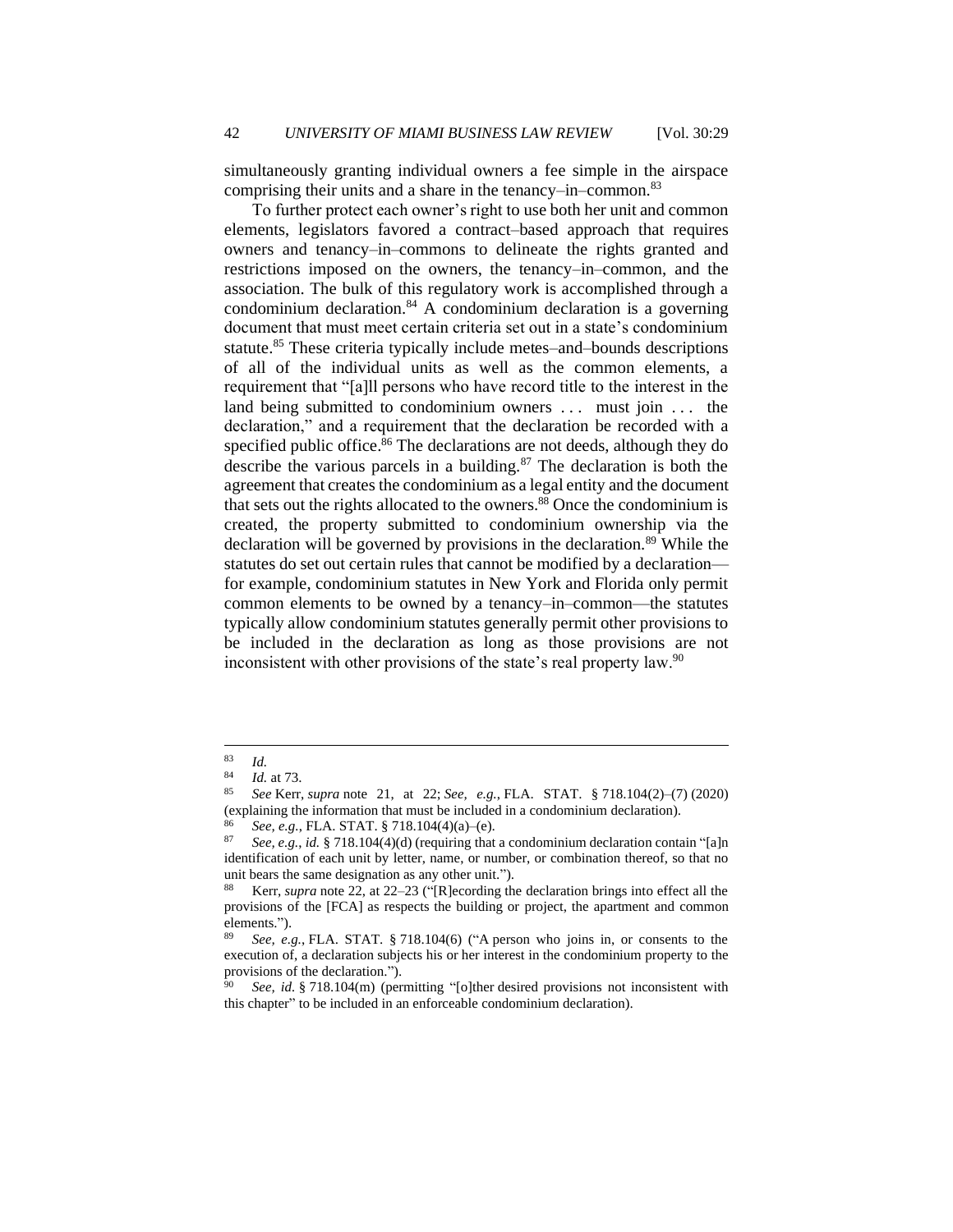simultaneously granting individual owners a fee simple in the airspace comprising their units and a share in the tenancy–in–common.<sup>83</sup>

To further protect each owner's right to use both her unit and common elements, legislators favored a contract–based approach that requires owners and tenancy–in–commons to delineate the rights granted and restrictions imposed on the owners, the tenancy–in–common, and the association. The bulk of this regulatory work is accomplished through a condominium declaration. $84$  A condominium declaration is a governing document that must meet certain criteria set out in a state's condominium statute.<sup>85</sup> These criteria typically include metes–and–bounds descriptions of all of the individual units as well as the common elements, a requirement that "[a]ll persons who have record title to the interest in the land being submitted to condominium owners ... must join ... the declaration," and a requirement that the declaration be recorded with a specified public office.<sup>86</sup> The declarations are not deeds, although they do describe the various parcels in a building. $87$  The declaration is both the agreement that creates the condominium as a legal entity and the document that sets out the rights allocated to the owners. $88$  Once the condominium is created, the property submitted to condominium ownership via the declaration will be governed by provisions in the declaration.<sup>89</sup> While the statutes do set out certain rules that cannot be modified by a declaration for example, condominium statutes in New York and Florida only permit common elements to be owned by a tenancy–in–common—the statutes typically allow condominium statutes generally permit other provisions to be included in the declaration as long as those provisions are not inconsistent with other provisions of the state's real property law.<sup>90</sup>

 $\frac{83}{84}$  *Id.* 

*Id.* at 73.

<sup>85</sup> *See* Kerr, *supra* note 21, at 22; *See, e.g.*, FLA. STAT. § 718.104(2)–(7) (2020) (explaining the information that must be included in a condominium declaration).

<sup>86</sup> *See, e.g.*, FLA. STAT. § 718.104(4)(a)–(e).<br>87 See a.g. id. § 718.104(4)(d) (requiring that

<sup>87</sup> *See, e.g.*, *id.* § 718.104(4)(d) (requiring that a condominium declaration contain "[a]n identification of each unit by letter, name, or number, or combination thereof, so that no unit bears the same designation as any other unit.").

<sup>88</sup> Kerr, *supra* note 22, at 22–23 ("[R]ecording the declaration brings into effect all the provisions of the [FCA] as respects the building or project, the apartment and common elements.").

See, e.g., FLA. STAT. § 718.104(6) ("A person who joins in, or consents to the execution of, a declaration subjects his or her interest in the condominium property to the provisions of the declaration.").

See, id. § 718.104(m) (permitting "[o]ther desired provisions not inconsistent with this chapter" to be included in an enforceable condominium declaration).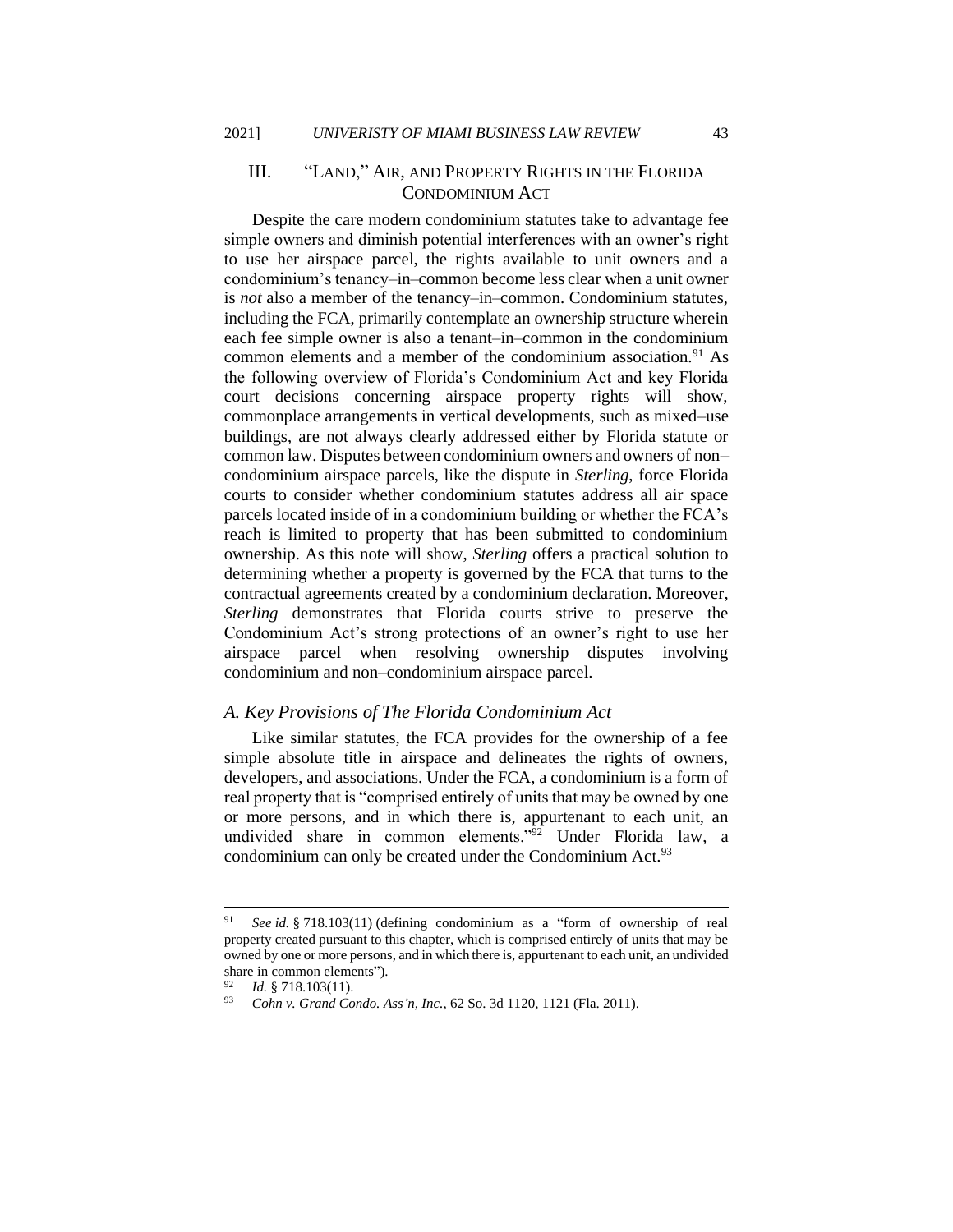### III. "LAND," AIR, AND PROPERTY RIGHTS IN THE FLORIDA CONDOMINIUM ACT

Despite the care modern condominium statutes take to advantage fee simple owners and diminish potential interferences with an owner's right to use her airspace parcel, the rights available to unit owners and a condominium's tenancy–in–common become less clear when a unit owner is *not* also a member of the tenancy–in–common. Condominium statutes, including the FCA, primarily contemplate an ownership structure wherein each fee simple owner is also a tenant–in–common in the condominium common elements and a member of the condominium association.<sup>91</sup> As the following overview of Florida's Condominium Act and key Florida court decisions concerning airspace property rights will show, commonplace arrangements in vertical developments, such as mixed–use buildings, are not always clearly addressed either by Florida statute or common law. Disputes between condominium owners and owners of non– condominium airspace parcels, like the dispute in *Sterling*, force Florida courts to consider whether condominium statutes address all air space parcels located inside of in a condominium building or whether the FCA's reach is limited to property that has been submitted to condominium ownership. As this note will show, *Sterling* offers a practical solution to determining whether a property is governed by the FCA that turns to the contractual agreements created by a condominium declaration. Moreover, *Sterling* demonstrates that Florida courts strive to preserve the Condominium Act's strong protections of an owner's right to use her airspace parcel when resolving ownership disputes involving condominium and non–condominium airspace parcel.

#### *A. Key Provisions of The Florida Condominium Act*

Like similar statutes, the FCA provides for the ownership of a fee simple absolute title in airspace and delineates the rights of owners, developers, and associations. Under the FCA, a condominium is a form of real property that is "comprised entirely of units that may be owned by one or more persons, and in which there is, appurtenant to each unit, an undivided share in common elements."<sup>92</sup> Under Florida law, a condominium can only be created under the Condominium Act.<sup>93</sup>

<sup>91</sup> *See id.* § 718.103(11) (defining condominium as a "form of ownership of real property created pursuant to this chapter, which is comprised entirely of units that may be owned by one or more persons, and in which there is, appurtenant to each unit, an undivided share in common elements").

<sup>&</sup>lt;sup>92</sup> *Id.* § 718.103(11).

<sup>93</sup> *Cohn v. Grand Condo. Ass'n, Inc.*, 62 So. 3d 1120, 1121 (Fla. 2011).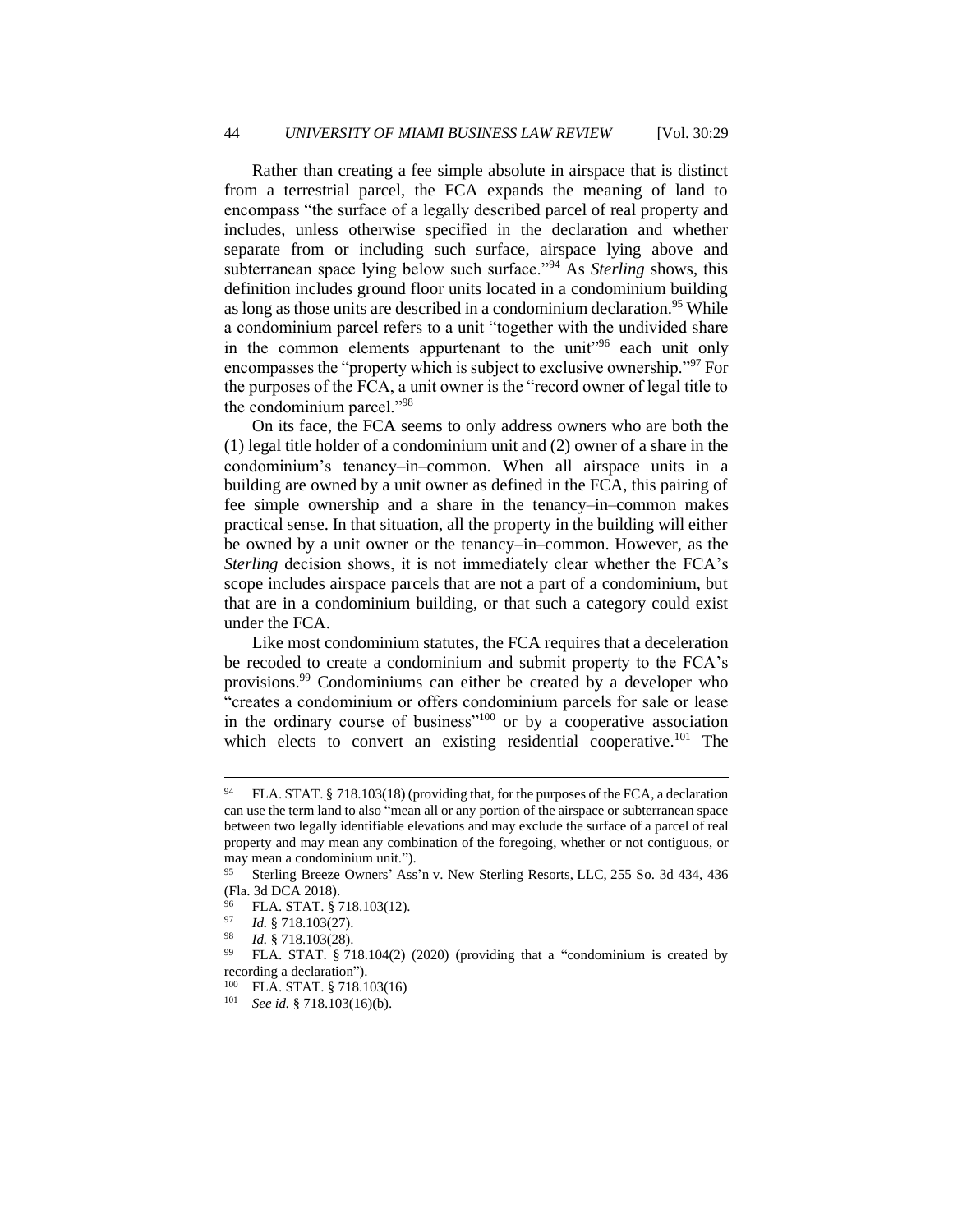Rather than creating a fee simple absolute in airspace that is distinct from a terrestrial parcel, the FCA expands the meaning of land to encompass "the surface of a legally described parcel of real property and includes, unless otherwise specified in the declaration and whether separate from or including such surface, airspace lying above and subterranean space lying below such surface."<sup>94</sup> As *Sterling* shows, this definition includes ground floor units located in a condominium building as long as those units are described in a condominium declaration.<sup>95</sup> While a condominium parcel refers to a unit "together with the undivided share in the common elements appurtenant to the unit<sup>196</sup> each unit only encompasses the "property which is subject to exclusive ownership."<sup>97</sup> For the purposes of the FCA, a unit owner is the "record owner of legal title to the condominium parcel."<sup>98</sup>

On its face, the FCA seems to only address owners who are both the (1) legal title holder of a condominium unit and (2) owner of a share in the condominium's tenancy–in–common. When all airspace units in a building are owned by a unit owner as defined in the FCA, this pairing of fee simple ownership and a share in the tenancy–in–common makes practical sense. In that situation, all the property in the building will either be owned by a unit owner or the tenancy–in–common. However, as the *Sterling* decision shows, it is not immediately clear whether the FCA's scope includes airspace parcels that are not a part of a condominium, but that are in a condominium building, or that such a category could exist under the FCA.

Like most condominium statutes, the FCA requires that a deceleration be recoded to create a condominium and submit property to the FCA's provisions.<sup>99</sup> Condominiums can either be created by a developer who "creates a condominium or offers condominium parcels for sale or lease in the ordinary course of business"<sup>100</sup> or by a cooperative association which elects to convert an existing residential cooperative.<sup>101</sup> The

<sup>&</sup>lt;sup>94</sup> FLA. STAT. § 718.103(18) (providing that, for the purposes of the FCA, a declaration can use the term land to also "mean all or any portion of the airspace or subterranean space between two legally identifiable elevations and may exclude the surface of a parcel of real property and may mean any combination of the foregoing, whether or not contiguous, or may mean a condominium unit.").

<sup>95</sup> Sterling Breeze Owners' Ass'n v. New Sterling Resorts, LLC, 255 So. 3d 434, 436 (Fla. 3d DCA 2018).

<sup>&</sup>lt;sup>96</sup> FLA. STAT. § 718.103(12).<br><sup>97</sup> Let 8.718.103(27)

Id. § 718.103(27).

Id. § 718.103(28).

FLA. STAT. § 718.104(2) (2020) (providing that a "condominium is created by recording a declaration").

<sup>&</sup>lt;sup>100</sup> FLA. STAT. § 718.103(16)<br><sup>101</sup> See id. § 718.103(16)(b)

<sup>101</sup> *See id.* § 718.103(16)(b).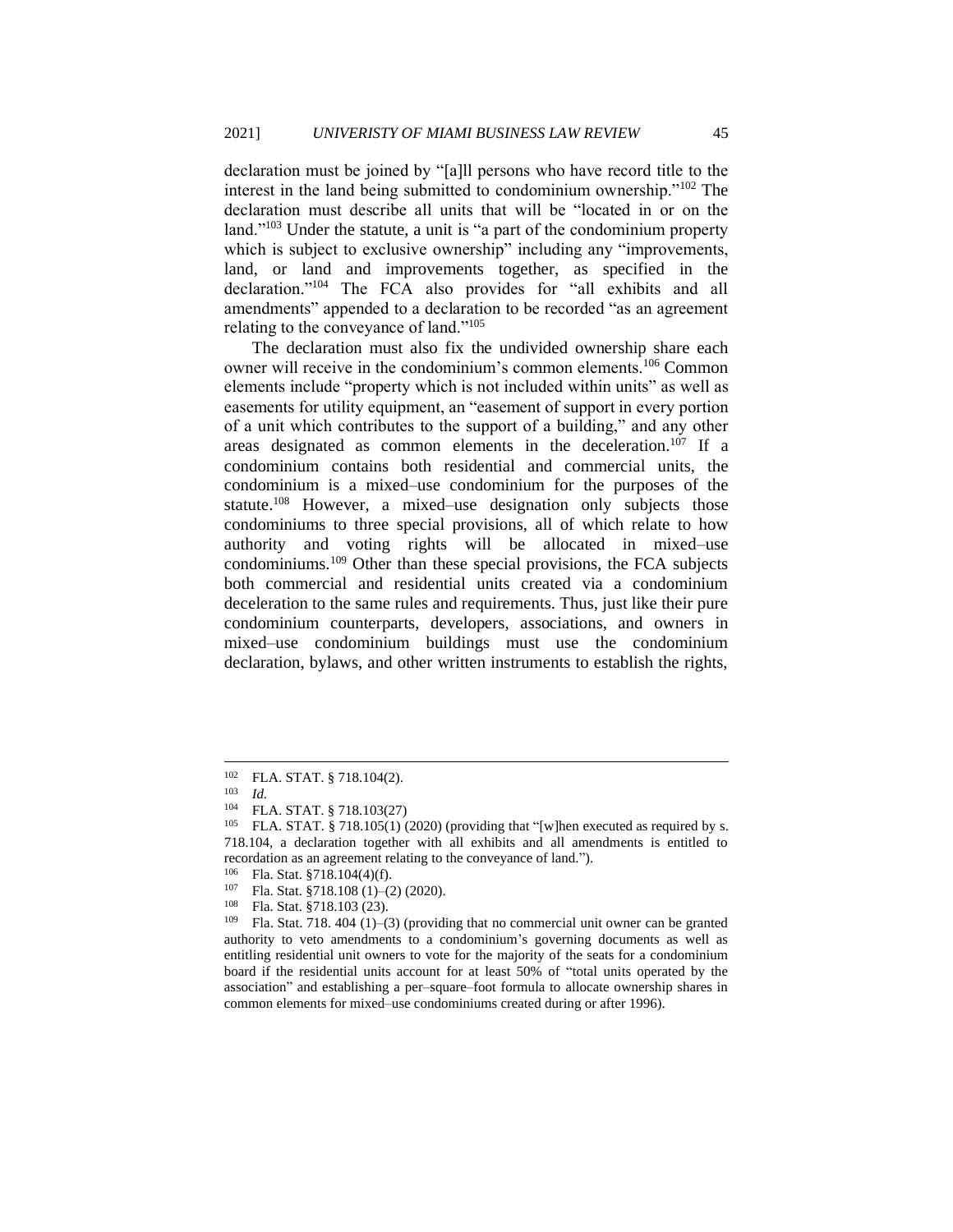declaration must be joined by "[a]ll persons who have record title to the interest in the land being submitted to condominium ownership."<sup>102</sup> The declaration must describe all units that will be "located in or on the land."<sup>103</sup> Under the statute, a unit is "a part of the condominium property which is subject to exclusive ownership" including any "improvements, land, or land and improvements together, as specified in the declaration."<sup>104</sup> The FCA also provides for "all exhibits and all amendments" appended to a declaration to be recorded "as an agreement relating to the conveyance of land."<sup>105</sup>

The declaration must also fix the undivided ownership share each owner will receive in the condominium's common elements.<sup>106</sup> Common elements include "property which is not included within units" as well as easements for utility equipment, an "easement of support in every portion of a unit which contributes to the support of a building," and any other areas designated as common elements in the deceleration.<sup>107</sup> If a condominium contains both residential and commercial units, the condominium is a mixed–use condominium for the purposes of the statute.<sup>108</sup> However, a mixed–use designation only subjects those condominiums to three special provisions, all of which relate to how authority and voting rights will be allocated in mixed–use condominiums.<sup>109</sup> Other than these special provisions, the FCA subjects both commercial and residential units created via a condominium deceleration to the same rules and requirements. Thus, just like their pure condominium counterparts, developers, associations, and owners in mixed–use condominium buildings must use the condominium declaration, bylaws, and other written instruments to establish the rights,

<sup>102</sup> FLA. STAT. § 718.104(2).

 $\frac{103}{104}$  *Id.* 

FLA. STAT. § 718.103(27)

<sup>&</sup>lt;sup>105</sup> FLA. STAT. § 718.105(1) (2020) (providing that "[w]hen executed as required by s. 718.104, a declaration together with all exhibits and all amendments is entitled to recordation as an agreement relating to the conveyance of land.").

<sup>&</sup>lt;sup>106</sup> Fla. Stat. §718.104(4)(f).<br><sup>107</sup> Fla. Stat. 8718.108.(1).

<sup>&</sup>lt;sup>107</sup> Fla. Stat. §718.108 (1)–(2) (2020).<br><sup>108</sup> Fla. Stat. <sup>§718</sup>.103.(23)

<sup>&</sup>lt;sup>108</sup> Fla. Stat. §718.103 (23).<br><sup>109</sup> Fla. Stat. 718. 404. (1).

Fla. Stat. 718. 404 (1)–(3) (providing that no commercial unit owner can be granted authority to veto amendments to a condominium's governing documents as well as entitling residential unit owners to vote for the majority of the seats for a condominium board if the residential units account for at least 50% of "total units operated by the association" and establishing a per–square–foot formula to allocate ownership shares in common elements for mixed–use condominiums created during or after 1996).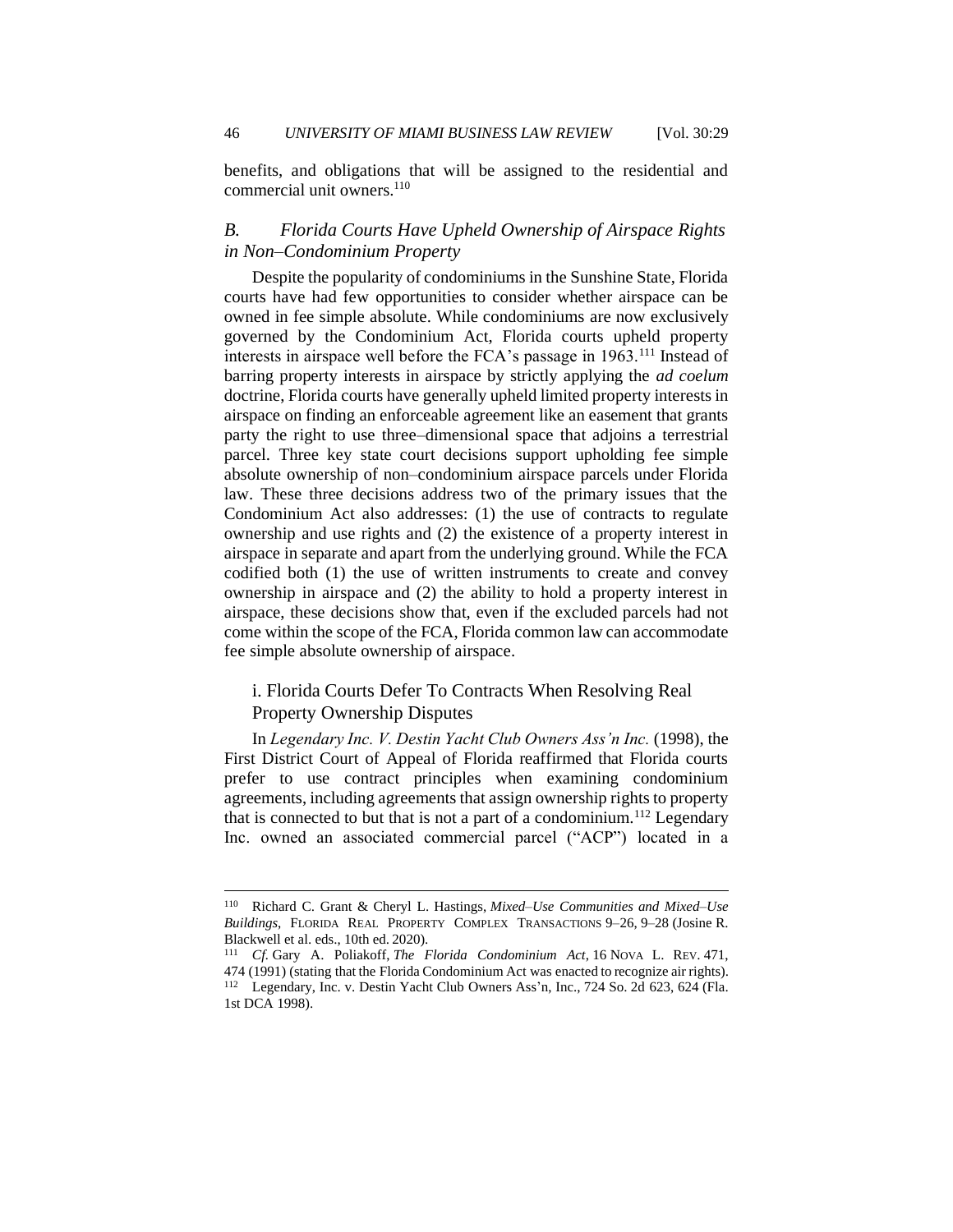benefits, and obligations that will be assigned to the residential and commercial unit owners.<sup>110</sup>

#### *B. Florida Courts Have Upheld Ownership of Airspace Rights in Non–Condominium Property*

Despite the popularity of condominiums in the Sunshine State, Florida courts have had few opportunities to consider whether airspace can be owned in fee simple absolute. While condominiums are now exclusively governed by the Condominium Act, Florida courts upheld property interests in airspace well before the FCA's passage in 1963.<sup>111</sup> Instead of barring property interests in airspace by strictly applying the *ad coelum*  doctrine, Florida courts have generally upheld limited property interests in airspace on finding an enforceable agreement like an easement that grants party the right to use three–dimensional space that adjoins a terrestrial parcel. Three key state court decisions support upholding fee simple absolute ownership of non–condominium airspace parcels under Florida law. These three decisions address two of the primary issues that the Condominium Act also addresses: (1) the use of contracts to regulate ownership and use rights and (2) the existence of a property interest in airspace in separate and apart from the underlying ground. While the FCA codified both (1) the use of written instruments to create and convey ownership in airspace and (2) the ability to hold a property interest in airspace, these decisions show that, even if the excluded parcels had not come within the scope of the FCA, Florida common law can accommodate fee simple absolute ownership of airspace.

#### i. Florida Courts Defer To Contracts When Resolving Real Property Ownership Disputes

In *Legendary Inc. V. Destin Yacht Club Owners Ass'n Inc.* (1998), the First District Court of Appeal of Florida reaffirmed that Florida courts prefer to use contract principles when examining condominium agreements, including agreements that assign ownership rights to property that is connected to but that is not a part of a condominium.<sup>112</sup> Legendary Inc. owned an associated commercial parcel ("ACP") located in a

<sup>110</sup> Richard C. Grant & Cheryl L. Hastings, *Mixed–Use Communities and Mixed–Use Buildings*, FLORIDA REAL PROPERTY COMPLEX TRANSACTIONS 9–26, 9–28 (Josine R. Blackwell et al. eds., 10th ed. 2020).

<sup>111</sup> *Cf.* Gary A. Poliakoff, *The Florida Condominium Act*, 16 NOVA L. REV. 471, 474 (1991) (stating that the Florida Condominium Act was enacted to recognize air rights). <sup>112</sup> Legendary, Inc. v. Destin Yacht Club Owners Ass'n, Inc., 724 So. 2d 623, 624 (Fla. 1st DCA 1998).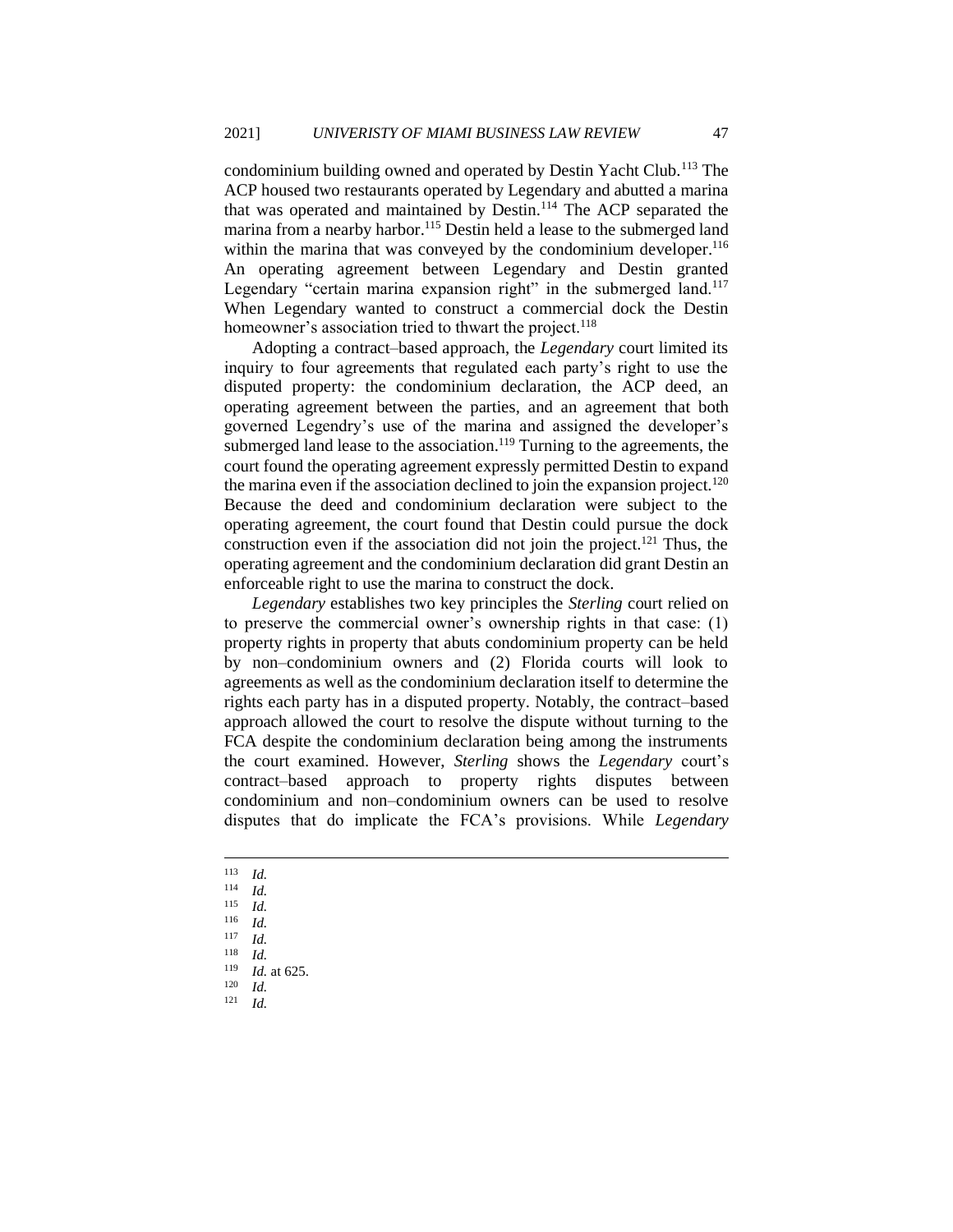condominium building owned and operated by Destin Yacht Club.<sup>113</sup> The ACP housed two restaurants operated by Legendary and abutted a marina that was operated and maintained by Destin.<sup>114</sup> The ACP separated the marina from a nearby harbor.<sup>115</sup> Destin held a lease to the submerged land within the marina that was conveyed by the condominium developer.<sup>116</sup> An operating agreement between Legendary and Destin granted Legendary "certain marina expansion right" in the submerged land.<sup>117</sup> When Legendary wanted to construct a commercial dock the Destin homeowner's association tried to thwart the project.<sup>118</sup>

Adopting a contract–based approach, the *Legendary* court limited its inquiry to four agreements that regulated each party's right to use the disputed property: the condominium declaration, the ACP deed, an operating agreement between the parties, and an agreement that both governed Legendry's use of the marina and assigned the developer's submerged land lease to the association.<sup>119</sup> Turning to the agreements, the court found the operating agreement expressly permitted Destin to expand the marina even if the association declined to join the expansion project.<sup>120</sup> Because the deed and condominium declaration were subject to the operating agreement, the court found that Destin could pursue the dock construction even if the association did not join the project.<sup>121</sup> Thus, the operating agreement and the condominium declaration did grant Destin an enforceable right to use the marina to construct the dock.

*Legendary* establishes two key principles the *Sterling* court relied on to preserve the commercial owner's ownership rights in that case: (1) property rights in property that abuts condominium property can be held by non–condominium owners and (2) Florida courts will look to agreements as well as the condominium declaration itself to determine the rights each party has in a disputed property. Notably, the contract–based approach allowed the court to resolve the dispute without turning to the FCA despite the condominium declaration being among the instruments the court examined. However, *Sterling* shows the *Legendary* court's contract–based approach to property rights disputes between condominium and non–condominium owners can be used to resolve disputes that do implicate the FCA's provisions. While *Legendary* 

- $\frac{113}{114}$  *Id.*
- $\frac{114}{115}$  *Id.*
- $\frac{115}{116}$  *Id.*
- $\frac{116}{117}$  *Id.*
- $\frac{117}{118}$  *Id.*
- $\frac{118}{119}$  *Id.*

 $\frac{120}{121}$  *Id. Id.* 

 $\frac{119}{120}$  *Id.* at 625.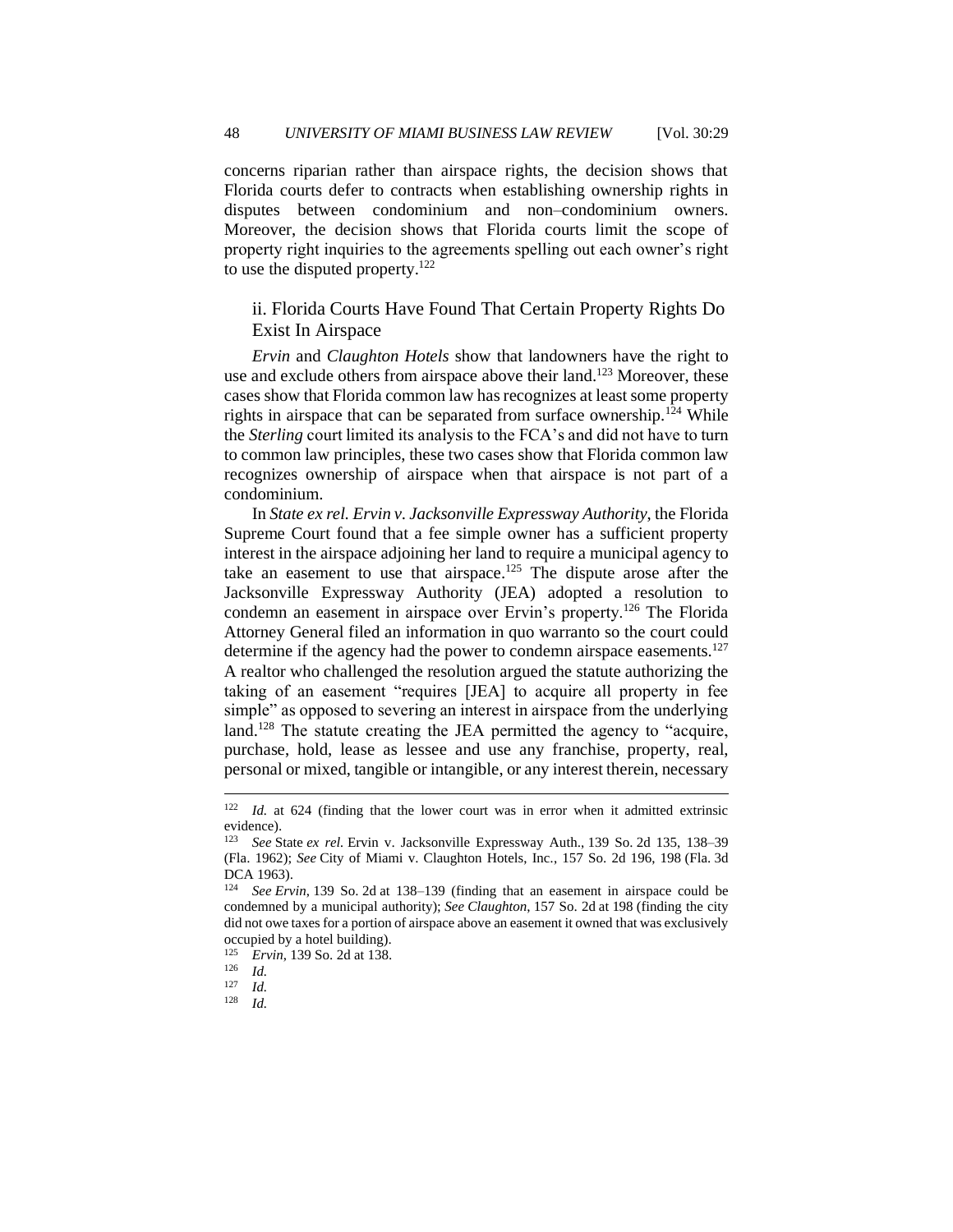concerns riparian rather than airspace rights, the decision shows that Florida courts defer to contracts when establishing ownership rights in disputes between condominium and non–condominium owners. Moreover, the decision shows that Florida courts limit the scope of property right inquiries to the agreements spelling out each owner's right to use the disputed property.<sup>122</sup>

#### ii. Florida Courts Have Found That Certain Property Rights Do Exist In Airspace

*Ervin* and *Claughton Hotels* show that landowners have the right to use and exclude others from airspace above their land.<sup>123</sup> Moreover, these cases show that Florida common law has recognizes at least some property rights in airspace that can be separated from surface ownership.<sup>124</sup> While the *Sterling* court limited its analysis to the FCA's and did not have to turn to common law principles, these two cases show that Florida common law recognizes ownership of airspace when that airspace is not part of a condominium.

In *State ex rel. Ervin v. Jacksonville Expressway Authority*, the Florida Supreme Court found that a fee simple owner has a sufficient property interest in the airspace adjoining her land to require a municipal agency to take an easement to use that airspace.<sup>125</sup> The dispute arose after the Jacksonville Expressway Authority (JEA) adopted a resolution to condemn an easement in airspace over Ervin's property.<sup>126</sup> The Florida Attorney General filed an information in quo warranto so the court could determine if the agency had the power to condemn airspace easements.<sup>127</sup> A realtor who challenged the resolution argued the statute authorizing the taking of an easement "requires [JEA] to acquire all property in fee simple" as opposed to severing an interest in airspace from the underlying land.<sup>128</sup> The statute creating the JEA permitted the agency to "acquire, purchase, hold, lease as lessee and use any franchise, property, real, personal or mixed, tangible or intangible, or any interest therein, necessary

<sup>122</sup> *Id.* at 624 (finding that the lower court was in error when it admitted extrinsic evidence).<br> $\frac{123}{2}$  See S

<sup>123</sup> *See* State *ex rel.* Ervin v. Jacksonville Expressway Auth., 139 So. 2d 135, 138–39 (Fla. 1962); *See* City of Miami v. Claughton Hotels, Inc*.*, 157 So. 2d 196, 198 (Fla. 3d DCA 1963).

<sup>124</sup> *See Ervin*, 139 So. 2d at 138–139 (finding that an easement in airspace could be condemned by a municipal authority); *See Claughton*, 157 So. 2d at 198 (finding the city did not owe taxes for a portion of airspace above an easement it owned that was exclusively occupied by a hotel building).

<sup>&</sup>lt;sup>125</sup> *Ervin*, 139 So. 2d at 138.

 $\frac{126}{127}$  *Id.* 

 $\frac{127}{128}$  *Id.* 

*Id.*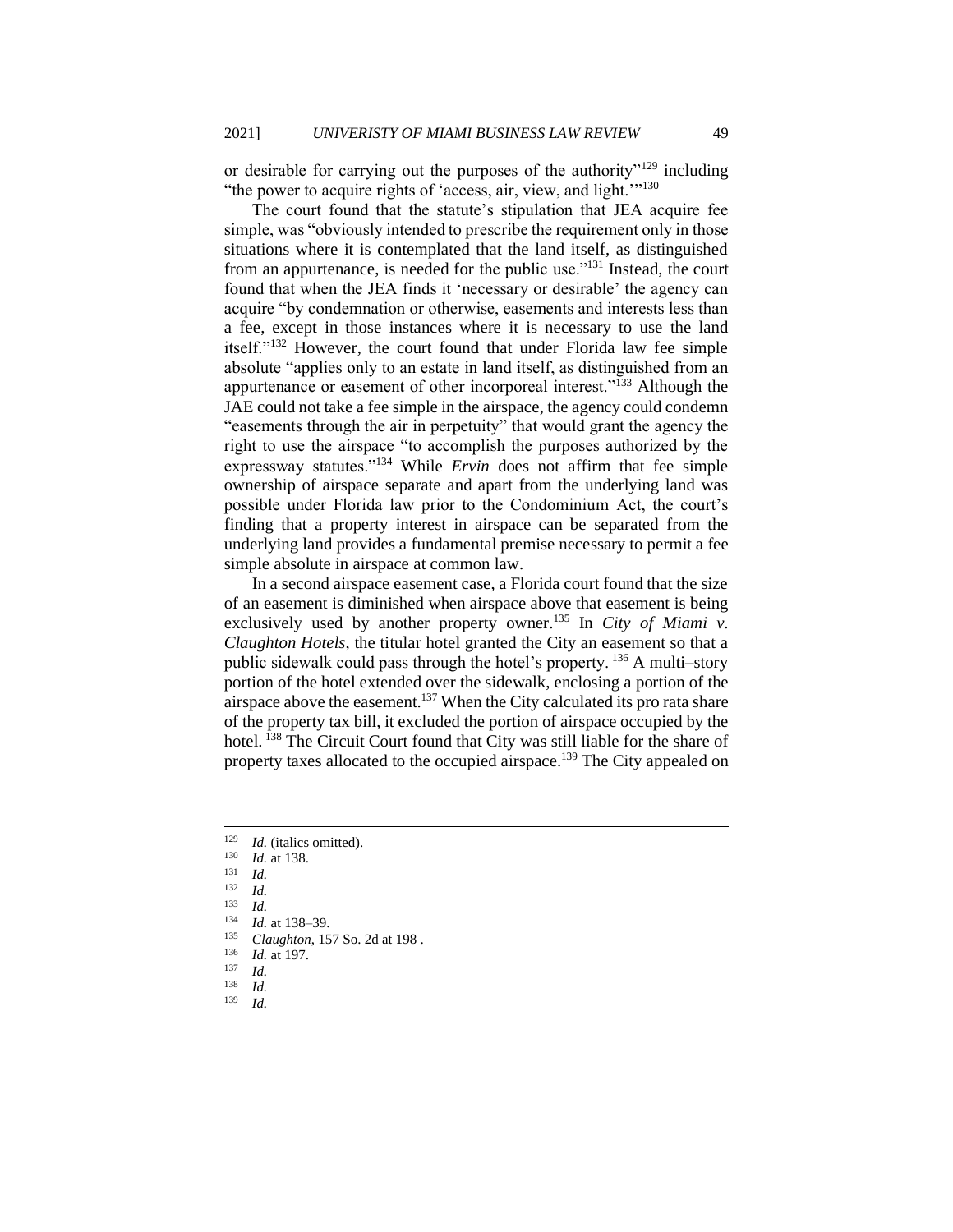or desirable for carrying out the purposes of the authority"<sup>129</sup> including "the power to acquire rights of 'access, air, view, and light."<sup>130</sup>

The court found that the statute's stipulation that JEA acquire fee simple, was "obviously intended to prescribe the requirement only in those situations where it is contemplated that the land itself, as distinguished from an appurtenance, is needed for the public use."<sup>131</sup> Instead, the court found that when the JEA finds it 'necessary or desirable' the agency can acquire "by condemnation or otherwise, easements and interests less than a fee, except in those instances where it is necessary to use the land itself."<sup>132</sup> However, the court found that under Florida law fee simple absolute "applies only to an estate in land itself, as distinguished from an appurtenance or easement of other incorporeal interest."<sup>133</sup> Although the JAE could not take a fee simple in the airspace, the agency could condemn "easements through the air in perpetuity" that would grant the agency the right to use the airspace "to accomplish the purposes authorized by the expressway statutes."<sup>134</sup> While *Ervin* does not affirm that fee simple ownership of airspace separate and apart from the underlying land was possible under Florida law prior to the Condominium Act, the court's finding that a property interest in airspace can be separated from the underlying land provides a fundamental premise necessary to permit a fee simple absolute in airspace at common law.

In a second airspace easement case, a Florida court found that the size of an easement is diminished when airspace above that easement is being exclusively used by another property owner.<sup>135</sup> In *City of Miami v. Claughton Hotels*, the titular hotel granted the City an easement so that a public sidewalk could pass through the hotel's property. <sup>136</sup> A multi–story portion of the hotel extended over the sidewalk, enclosing a portion of the airspace above the easement.<sup>137</sup> When the City calculated its pro rata share of the property tax bill, it excluded the portion of airspace occupied by the hotel. <sup>138</sup> The Circuit Court found that City was still liable for the share of property taxes allocated to the occupied airspace.<sup>139</sup> The City appealed on

*Id.* 

<sup>&</sup>lt;sup>129</sup> *Id.* (italics omitted).<br><sup>130</sup> *Id.* at 139

 $\frac{130}{131}$  *Id.* at 138.

 $\frac{131}{132}$  *Id.* 

 $\frac{132}{133}$  *Id.* 

 $\frac{133}{134}$  *Id.* 

<sup>&</sup>lt;sup>134</sup> *Id.* at 138–39.<br><sup>135</sup> *Claughton* 15

<sup>&</sup>lt;sup>135</sup> *Claughton*, 157 So. 2d at 198.

 $\frac{136}{137}$  *Id.* at 197.

 $\frac{137}{138}$  *Id.* 

 $\frac{138}{139}$  *Id.*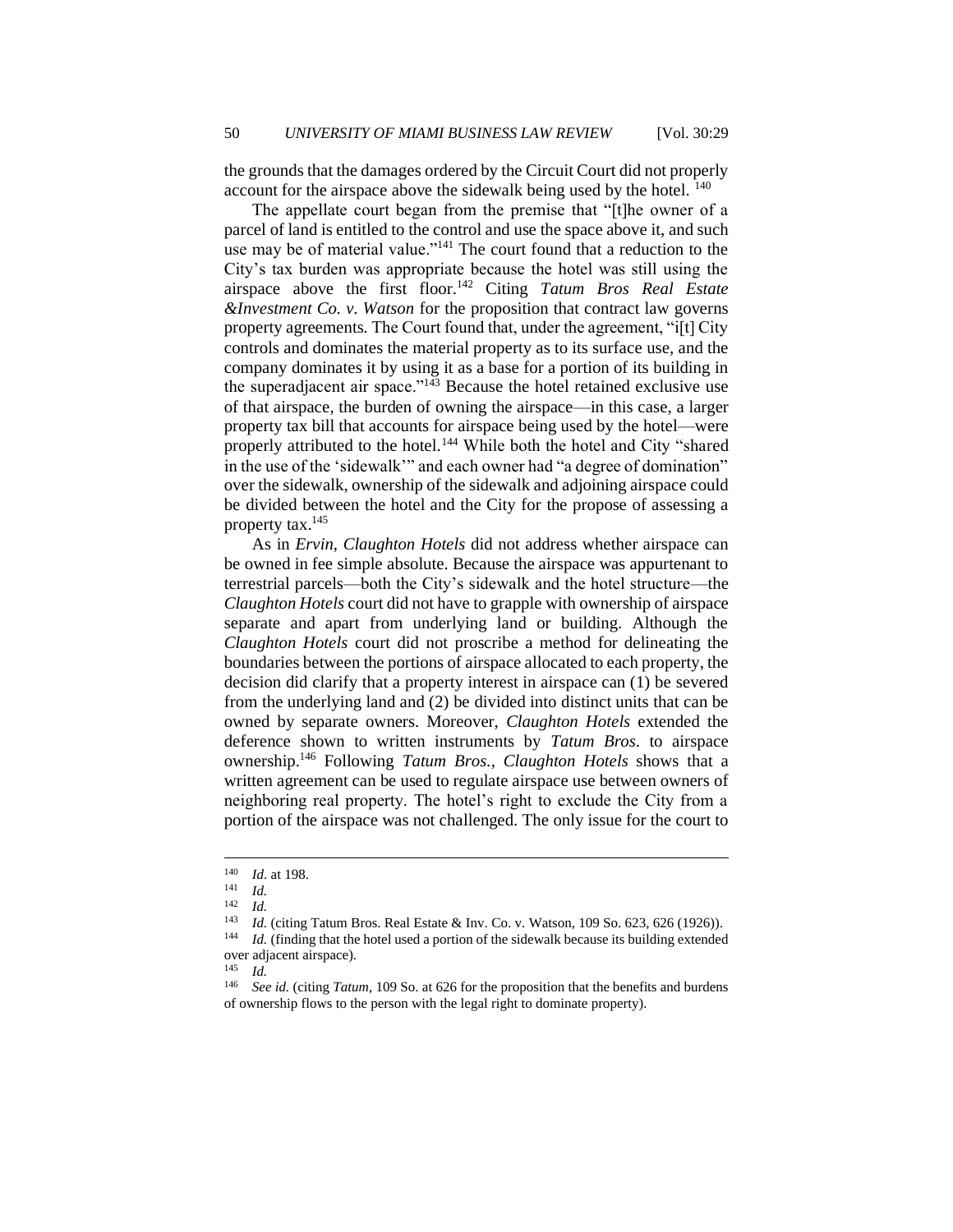the grounds that the damages ordered by the Circuit Court did not properly account for the airspace above the sidewalk being used by the hotel. <sup>140</sup>

The appellate court began from the premise that "[t]he owner of a parcel of land is entitled to the control and use the space above it, and such use may be of material value."<sup>141</sup> The court found that a reduction to the City's tax burden was appropriate because the hotel was still using the airspace above the first floor.<sup>142</sup> Citing *Tatum Bros Real Estate &Investment Co. v. Watson* for the proposition that contract law governs property agreements*.* The Court found that, under the agreement, "i[t] City controls and dominates the material property as to its surface use, and the company dominates it by using it as a base for a portion of its building in the superadjacent air space." $143$  Because the hotel retained exclusive use of that airspace, the burden of owning the airspace—in this case, a larger property tax bill that accounts for airspace being used by the hotel—were properly attributed to the hotel.<sup>144</sup> While both the hotel and City "shared in the use of the 'sidewalk'" and each owner had "a degree of domination" over the sidewalk, ownership of the sidewalk and adjoining airspace could be divided between the hotel and the City for the propose of assessing a property tax.<sup>145</sup>

As in *Ervin*, *Claughton Hotels* did not address whether airspace can be owned in fee simple absolute. Because the airspace was appurtenant to terrestrial parcels—both the City's sidewalk and the hotel structure—the *Claughton Hotels* court did not have to grapple with ownership of airspace separate and apart from underlying land or building. Although the *Claughton Hotels* court did not proscribe a method for delineating the boundaries between the portions of airspace allocated to each property, the decision did clarify that a property interest in airspace can (1) be severed from the underlying land and (2) be divided into distinct units that can be owned by separate owners. Moreover, *Claughton Hotels* extended the deference shown to written instruments by *Tatum Bros*. to airspace ownership.<sup>146</sup> Following *Tatum Bros.*, *Claughton Hotels* shows that a written agreement can be used to regulate airspace use between owners of neighboring real property. The hotel's right to exclude the City from a portion of the airspace was not challenged. The only issue for the court to

 $\frac{140}{141}$  *Id.* at 198.

 $\frac{141}{142}$  *Id.* 

 $\frac{142}{143}$  *Id.* 

<sup>&</sup>lt;sup>143</sup> *Id.* (citing Tatum Bros. Real Estate & Inv. Co. v. Watson, 109 So. 623, 626 (1926)).<br><sup>144</sup> *Id.* (finding that the hotel used a portion of the sidewalk because its building extended

Id. (finding that the hotel used a portion of the sidewalk because its building extended over adjacent airspace).<br> $^{145}$  *L* 

*Id.* 

<sup>146</sup> *See id.* (citing *Tatum*, 109 So. at 626 for the proposition that the benefits and burdens of ownership flows to the person with the legal right to dominate property).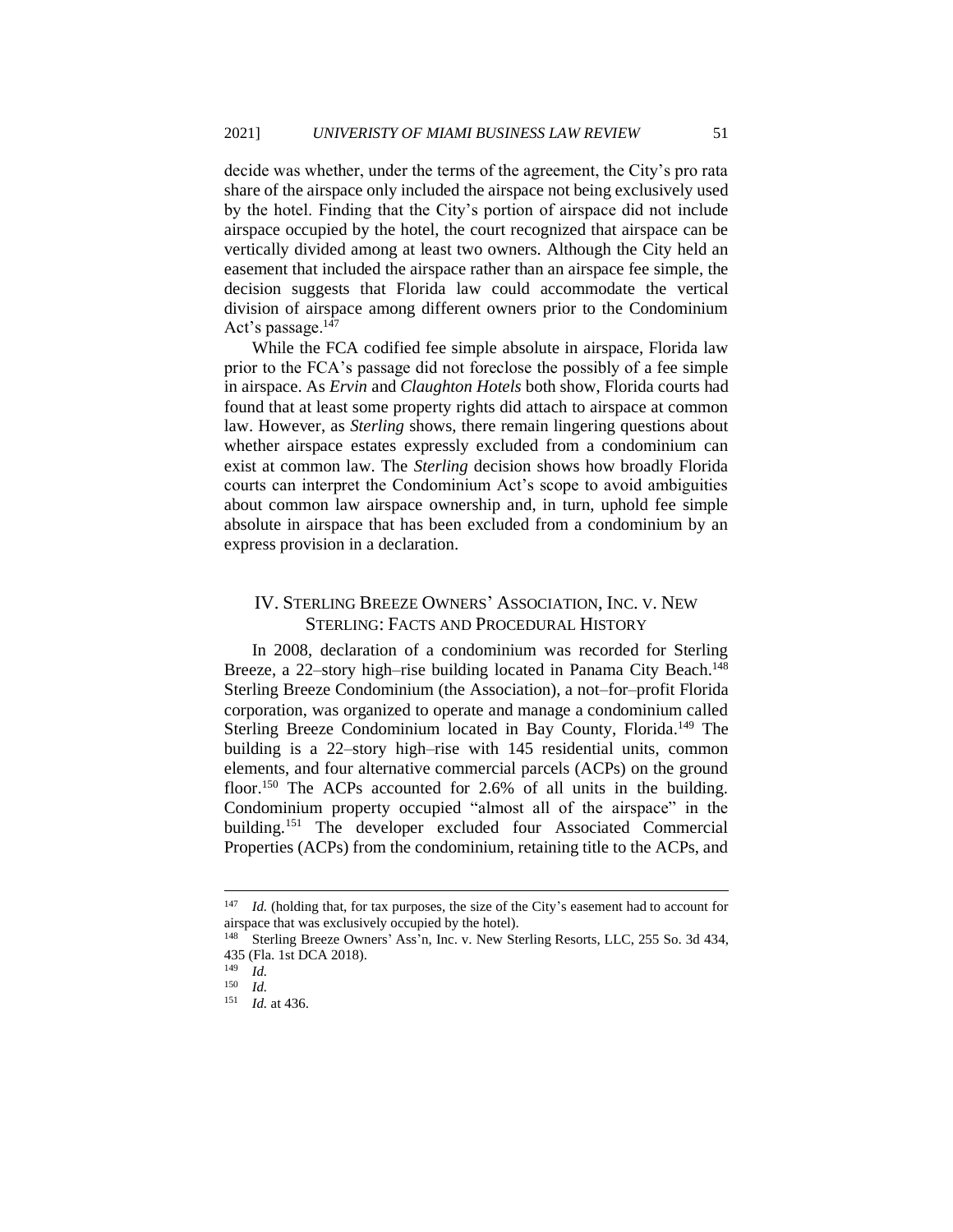decide was whether, under the terms of the agreement, the City's pro rata share of the airspace only included the airspace not being exclusively used by the hotel. Finding that the City's portion of airspace did not include airspace occupied by the hotel, the court recognized that airspace can be vertically divided among at least two owners. Although the City held an easement that included the airspace rather than an airspace fee simple, the decision suggests that Florida law could accommodate the vertical division of airspace among different owners prior to the Condominium Act's passage.<sup>147</sup>

While the FCA codified fee simple absolute in airspace, Florida law prior to the FCA's passage did not foreclose the possibly of a fee simple in airspace. As *Ervin* and *Claughton Hotels* both show, Florida courts had found that at least some property rights did attach to airspace at common law. However, as *Sterling* shows, there remain lingering questions about whether airspace estates expressly excluded from a condominium can exist at common law. The *Sterling* decision shows how broadly Florida courts can interpret the Condominium Act's scope to avoid ambiguities about common law airspace ownership and, in turn, uphold fee simple absolute in airspace that has been excluded from a condominium by an express provision in a declaration.

#### IV. STERLING BREEZE OWNERS' ASSOCIATION, INC. V. NEW STERLING: FACTS AND PROCEDURAL HISTORY

In 2008, declaration of a condominium was recorded for Sterling Breeze, a 22-story high-rise building located in Panama City Beach.<sup>148</sup> Sterling Breeze Condominium (the Association), a not–for–profit Florida corporation, was organized to operate and manage a condominium called Sterling Breeze Condominium located in Bay County, Florida.<sup>149</sup> The building is a 22–story high–rise with 145 residential units, common elements, and four alternative commercial parcels (ACPs) on the ground floor.<sup>150</sup> The ACPs accounted for 2.6% of all units in the building. Condominium property occupied "almost all of the airspace" in the building.<sup>151</sup> The developer excluded four Associated Commercial Properties (ACPs) from the condominium, retaining title to the ACPs, and

<sup>&</sup>lt;sup>147</sup> *Id.* (holding that, for tax purposes, the size of the City's easement had to account for airspace that was exclusively occupied by the hotel).<br><sup>148</sup> Sterling Breeze Owners' Ass'n. Inc. v. New St

Sterling Breeze Owners' Ass'n, Inc. v. New Sterling Resorts, LLC, 255 So. 3d 434, 435 (Fla. 1st DCA 2018).<br><sup>149</sup> *M* 

 $\frac{149}{150}$  *Id.* 

 $\frac{150}{151}$  *Id.* 

*Id.* at 436.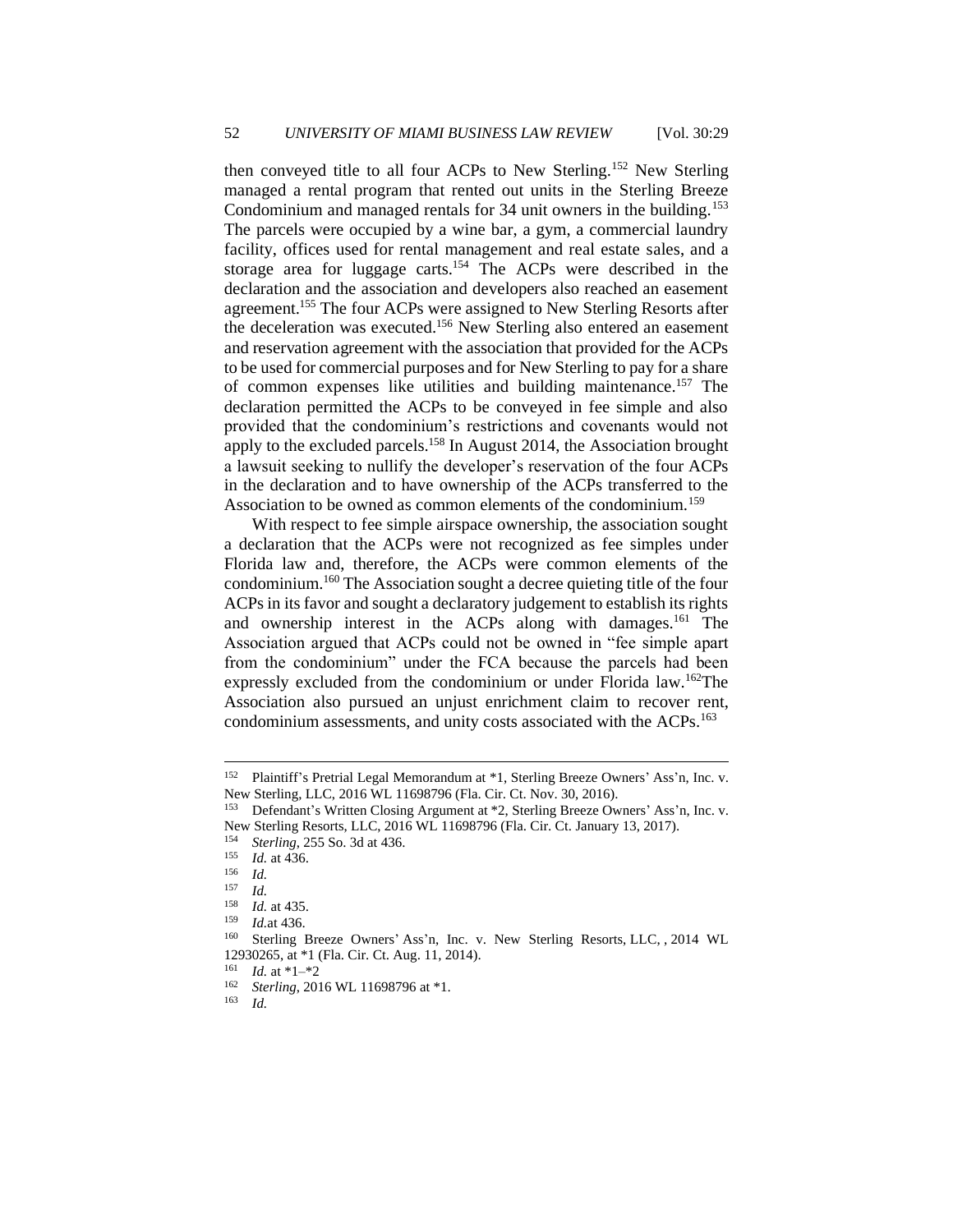then conveyed title to all four ACPs to New Sterling.<sup>152</sup> New Sterling managed a rental program that rented out units in the Sterling Breeze Condominium and managed rentals for 34 unit owners in the building.<sup>153</sup> The parcels were occupied by a wine bar, a gym, a commercial laundry facility, offices used for rental management and real estate sales, and a storage area for luggage carts.<sup>154</sup> The ACPs were described in the declaration and the association and developers also reached an easement agreement.<sup>155</sup> The four ACPs were assigned to New Sterling Resorts after the deceleration was executed.<sup>156</sup> New Sterling also entered an easement and reservation agreement with the association that provided for the ACPs to be used for commercial purposes and for New Sterling to pay for a share of common expenses like utilities and building maintenance.<sup>157</sup> The declaration permitted the ACPs to be conveyed in fee simple and also provided that the condominium's restrictions and covenants would not apply to the excluded parcels.<sup>158</sup> In August 2014, the Association brought a lawsuit seeking to nullify the developer's reservation of the four ACPs in the declaration and to have ownership of the ACPs transferred to the Association to be owned as common elements of the condominium.<sup>159</sup>

With respect to fee simple airspace ownership, the association sought a declaration that the ACPs were not recognized as fee simples under Florida law and, therefore, the ACPs were common elements of the condominium.<sup>160</sup> The Association sought a decree quieting title of the four ACPs in its favor and sought a declaratory judgement to establish its rights and ownership interest in the ACPs along with damages.<sup>161</sup> The Association argued that ACPs could not be owned in "fee simple apart from the condominium" under the FCA because the parcels had been expressly excluded from the condominium or under Florida law.<sup>162</sup>The Association also pursued an unjust enrichment claim to recover rent, condominium assessments, and unity costs associated with the ACPs.<sup>163</sup>

<sup>152</sup> Plaintiff's Pretrial Legal Memorandum at \*1, Sterling Breeze Owners' Ass'n, Inc. v. New Sterling, LLC, 2016 WL 11698796 (Fla. Cir. Ct. Nov. 30, 2016).

<sup>153</sup> Defendant's Written Closing Argument at \*2, Sterling Breeze Owners' Ass'n, Inc. v. New Sterling Resorts, LLC, 2016 WL 11698796 (Fla. Cir. Ct. January 13, 2017).

<sup>&</sup>lt;sup>154</sup> *Sterling*, 255 So. 3d at 436.

 $\frac{155}{156}$  *Id.* at 436.

 $\frac{156}{157}$  *Id.* 

 $\frac{157}{158}$  *Id.* 

 $\frac{158}{159}$  *Id.* at 435.

<sup>159</sup> *Id.*at 436.

Sterling Breeze Owners' Ass'n, Inc. v. New Sterling Resorts, LLC, , 2014 WL 12930265, at  $*1$  (Fla. Cir. Ct. Aug. 11, 2014).<br><sup>161</sup> Id. at  $*1-*2$ 

 $\frac{161}{162}$  *Id.* at \*1–\*2<br> $\frac{162}{162}$  *Sterling* 201

<sup>&</sup>lt;sup>162</sup> *Sterling*, 2016 WL 11698796 at \*1.<br><sup>163</sup> *L* 

*Id.*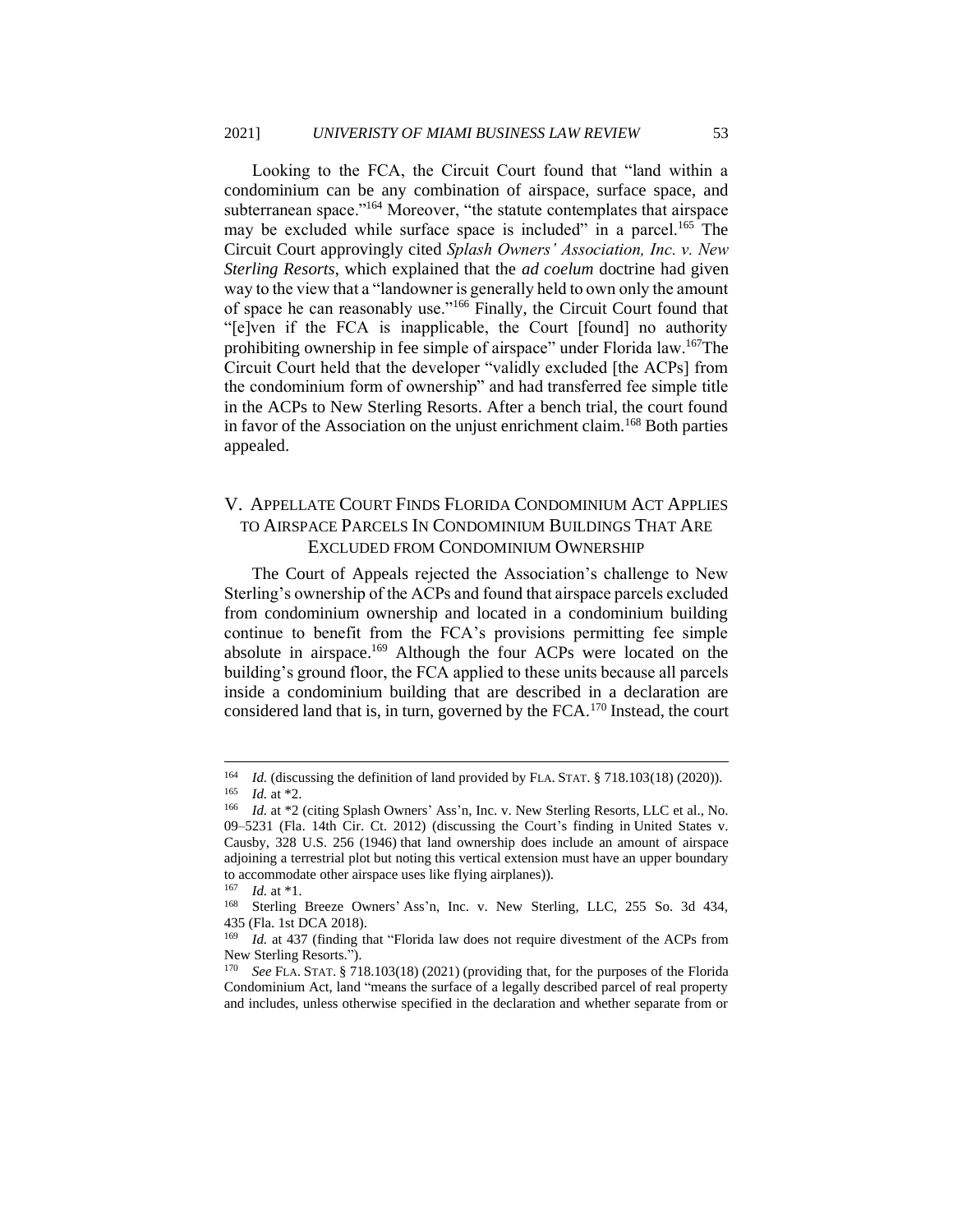Looking to the FCA, the Circuit Court found that "land within a condominium can be any combination of airspace, surface space, and subterranean space."<sup>164</sup> Moreover, "the statute contemplates that airspace may be excluded while surface space is included" in a parcel.<sup>165</sup> The Circuit Court approvingly cited *Splash Owners' Association, Inc. v. New Sterling Resorts*, which explained that the *ad coelum* doctrine had given way to the view that a "landowner is generally held to own only the amount of space he can reasonably use."<sup>166</sup> Finally, the Circuit Court found that "[e]ven if the FCA is inapplicable, the Court [found] no authority prohibiting ownership in fee simple of airspace" under Florida law.<sup>167</sup>The Circuit Court held that the developer "validly excluded [the ACPs] from the condominium form of ownership" and had transferred fee simple title in the ACPs to New Sterling Resorts. After a bench trial, the court found in favor of the Association on the unjust enrichment claim.<sup>168</sup> Both parties appealed.

## V. APPELLATE COURT FINDS FLORIDA CONDOMINIUM ACT APPLIES TO AIRSPACE PARCELS IN CONDOMINIUM BUILDINGS THAT ARE EXCLUDED FROM CONDOMINIUM OWNERSHIP

The Court of Appeals rejected the Association's challenge to New Sterling's ownership of the ACPs and found that airspace parcels excluded from condominium ownership and located in a condominium building continue to benefit from the FCA's provisions permitting fee simple absolute in airspace.<sup>169</sup> Although the four ACPs were located on the building's ground floor, the FCA applied to these units because all parcels inside a condominium building that are described in a declaration are considered land that is, in turn, governed by the FCA.<sup>170</sup> Instead, the court

<sup>&</sup>lt;sup>164</sup> *Id.* (discussing the definition of land provided by FLA. STAT. § 718.103(18) (2020)). <sup>165</sup> *Id.* at \*2.

<sup>166</sup> *Id.* at \*2 (citing Splash Owners' Ass'n, Inc. v. New Sterling Resorts, LLC et al., No. 09–5231 (Fla. 14th Cir. Ct. 2012) (discussing the Court's finding in United States v. Causby, 328 U.S. 256 (1946) that land ownership does include an amount of airspace adjoining a terrestrial plot but noting this vertical extension must have an upper boundary to accommodate other airspace uses like flying airplanes)).

<sup>167</sup> *Id.* at \*1.

Sterling Breeze Owners' Ass'n, Inc. v. New Sterling, LLC, 255 So. 3d 434, 435 (Fla. 1st DCA 2018).

*Id.* at 437 (finding that "Florida law does not require divestment of the ACPs from New Sterling Resorts.").

<sup>170</sup> *See* FLA. STAT. § 718.103(18) (2021) (providing that, for the purposes of the Florida Condominium Act, land "means the surface of a legally described parcel of real property and includes, unless otherwise specified in the declaration and whether separate from or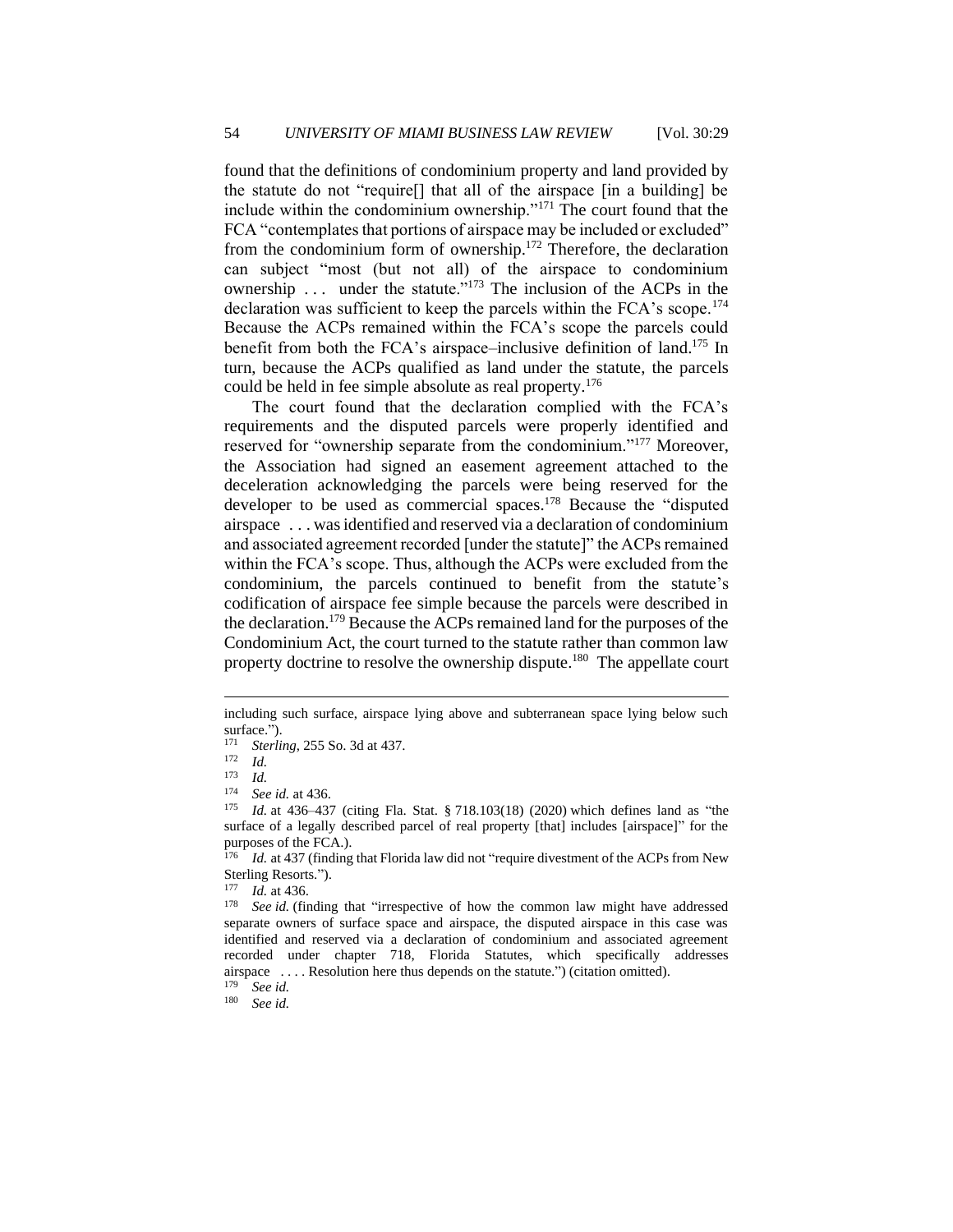found that the definitions of condominium property and land provided by the statute do not "require[] that all of the airspace [in a building] be include within the condominium ownership."<sup>171</sup> The court found that the FCA "contemplates that portions of airspace may be included or excluded" from the condominium form of ownership.<sup>172</sup> Therefore, the declaration can subject "most (but not all) of the airspace to condominium ownership ... under the statute."<sup>173</sup> The inclusion of the ACPs in the declaration was sufficient to keep the parcels within the FCA's scope.<sup>174</sup> Because the ACPs remained within the FCA's scope the parcels could benefit from both the FCA's airspace–inclusive definition of land.<sup>175</sup> In turn, because the ACPs qualified as land under the statute, the parcels could be held in fee simple absolute as real property.<sup>176</sup>

The court found that the declaration complied with the FCA's requirements and the disputed parcels were properly identified and reserved for "ownership separate from the condominium."<sup>177</sup> Moreover, the Association had signed an easement agreement attached to the deceleration acknowledging the parcels were being reserved for the developer to be used as commercial spaces.<sup>178</sup> Because the "disputed" airspace . . . was identified and reserved via a declaration of condominium and associated agreement recorded [under the statute]" the ACPs remained within the FCA's scope. Thus, although the ACPs were excluded from the condominium, the parcels continued to benefit from the statute's codification of airspace fee simple because the parcels were described in the declaration.<sup>179</sup> Because the ACPs remained land for the purposes of the Condominium Act, the court turned to the statute rather than common law property doctrine to resolve the ownership dispute.<sup>180</sup> The appellate court

<sup>180</sup> *See id.*

including such surface, airspace lying above and subterranean space lying below such surface.").

<sup>171</sup> *Sterling*, 255 So. 3d at 437.

<sup>172</sup> *Id.*

 $\frac{173}{174}$  *Id.* 

<sup>174</sup> *See id.* at 436.

<sup>175</sup> *Id.* at 436–437 (citing Fla. Stat. § 718.103(18) (2020) which defines land as "the surface of a legally described parcel of real property [that] includes [airspace]" for the purposes of the FCA.).

<sup>&</sup>lt;sup>176</sup> *Id.* at 437 (finding that Florida law did not "require divestment of the ACPs from New Sterling Resorts.").

<sup>177</sup> *Id.* at 436.<br><sup>178</sup> *See id* (fir

See id. (finding that "irrespective of how the common law might have addressed separate owners of surface space and airspace, the disputed airspace in this case was identified and reserved via a declaration of condominium and associated agreement recorded under chapter 718, Florida Statutes, which specifically addresses airspace . . . . Resolution here thus depends on the statute.") (citation omitted). <sup>179</sup> *See id.*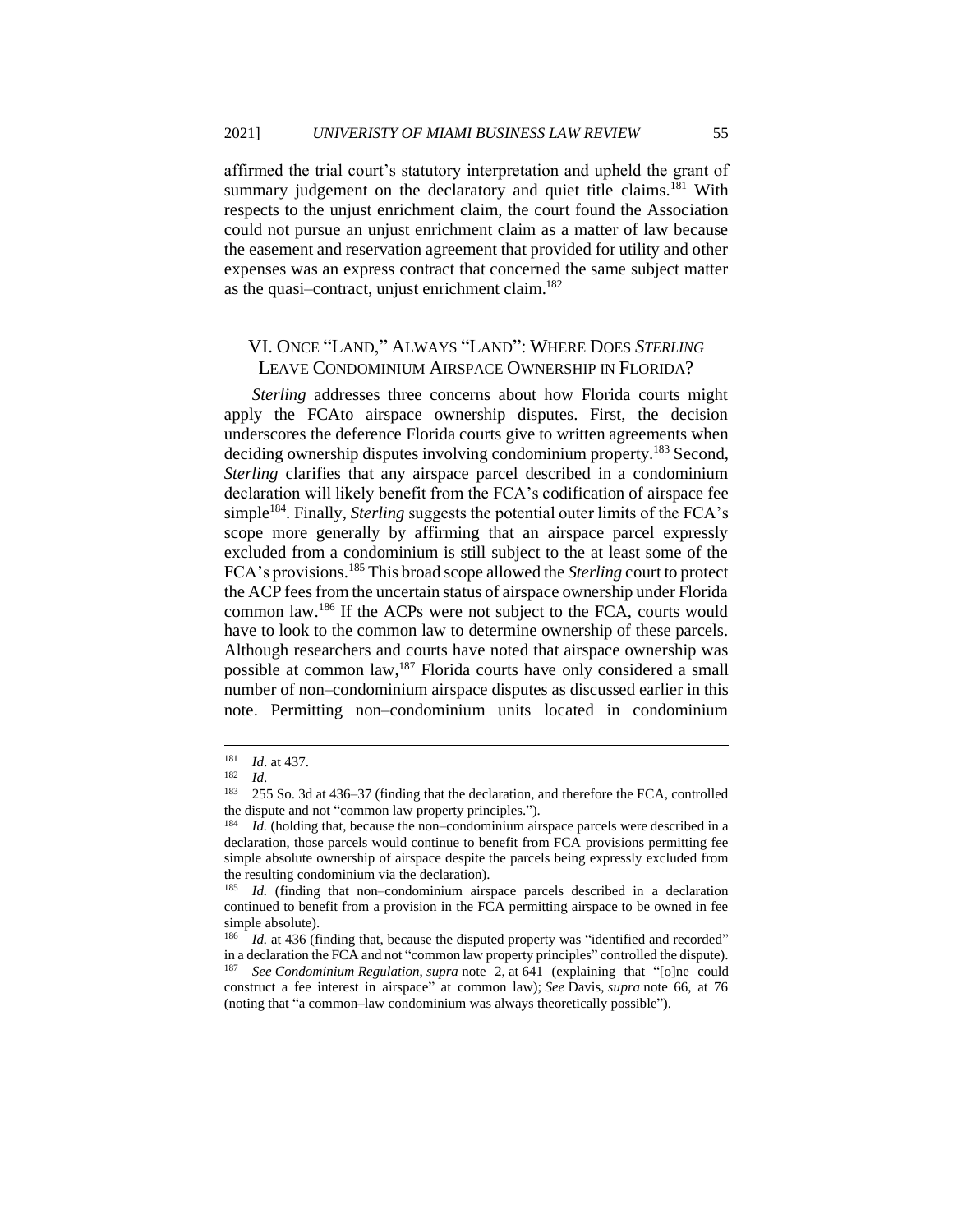affirmed the trial court's statutory interpretation and upheld the grant of summary judgement on the declaratory and quiet title claims.<sup>181</sup> With respects to the unjust enrichment claim, the court found the Association could not pursue an unjust enrichment claim as a matter of law because the easement and reservation agreement that provided for utility and other expenses was an express contract that concerned the same subject matter as the quasi-contract, unjust enrichment claim.<sup>182</sup>

### VI. ONCE "LAND," ALWAYS "LAND": WHERE DOES *STERLING* LEAVE CONDOMINIUM AIRSPACE OWNERSHIP IN FLORIDA?

*Sterling* addresses three concerns about how Florida courts might apply the FCAto airspace ownership disputes. First, the decision underscores the deference Florida courts give to written agreements when deciding ownership disputes involving condominium property.<sup>183</sup> Second, *Sterling* clarifies that any airspace parcel described in a condominium declaration will likely benefit from the FCA's codification of airspace fee simple<sup>184</sup>. Finally, *Sterling* suggests the potential outer limits of the FCA's scope more generally by affirming that an airspace parcel expressly excluded from a condominium is still subject to the at least some of the FCA's provisions.<sup>185</sup> This broad scope allowed the *Sterling* court to protect the ACP fees from the uncertain status of airspace ownership under Florida common law.<sup>186</sup> If the ACPs were not subject to the FCA, courts would have to look to the common law to determine ownership of these parcels. Although researchers and courts have noted that airspace ownership was possible at common law,<sup>187</sup> Florida courts have only considered a small number of non–condominium airspace disputes as discussed earlier in this note. Permitting non–condominium units located in condominium

<sup>181</sup> *Id*. at 437.

 $\frac{182}{183}$  *Id.* 

<sup>183</sup> 255 So. 3d at 436–37 (finding that the declaration, and therefore the FCA, controlled the dispute and not "common law property principles.").

*Id.* (holding that, because the non–condominium airspace parcels were described in a declaration, those parcels would continue to benefit from FCA provisions permitting fee simple absolute ownership of airspace despite the parcels being expressly excluded from the resulting condominium via the declaration).

<sup>&</sup>lt;sup>185</sup> *Id.* (finding that non–condominium airspace parcels described in a declaration continued to benefit from a provision in the FCA permitting airspace to be owned in fee simple absolute).

<sup>&</sup>lt;sup>186</sup> *Id.* at 436 (finding that, because the disputed property was "identified and recorded" in a declaration the FCA and not "common law property principles" controlled the dispute). <sup>187</sup> *See Condominium Regulation*, *supra* note 2, at 641 (explaining that "[o]ne could construct a fee interest in airspace" at common law); *See* Davis, *supra* note 66, at 76 (noting that "a common–law condominium was always theoretically possible").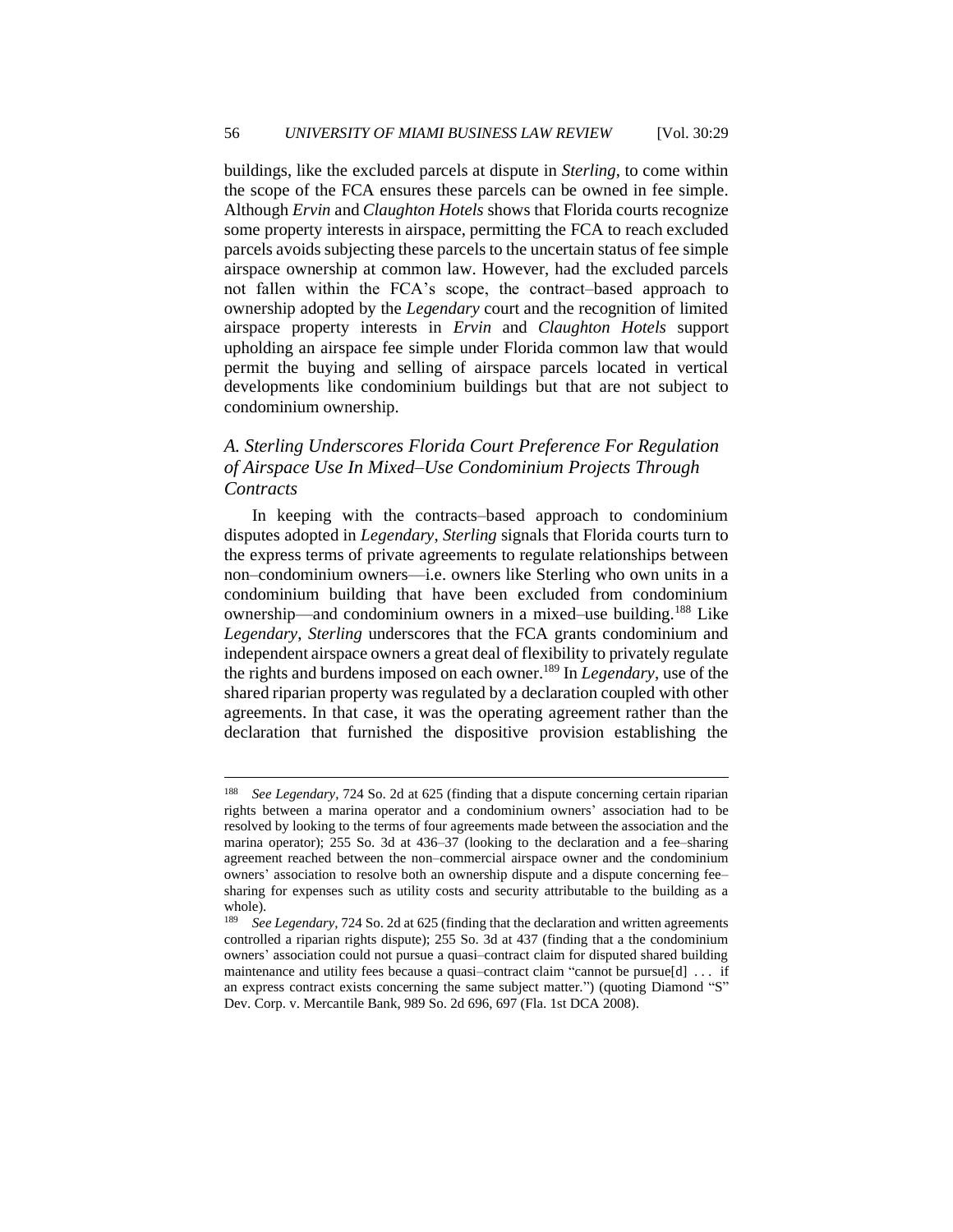buildings, like the excluded parcels at dispute in *Sterling*, to come within the scope of the FCA ensures these parcels can be owned in fee simple. Although *Ervin* and *Claughton Hotels* shows that Florida courts recognize some property interests in airspace, permitting the FCA to reach excluded parcels avoids subjecting these parcels to the uncertain status of fee simple airspace ownership at common law. However, had the excluded parcels not fallen within the FCA's scope, the contract–based approach to ownership adopted by the *Legendary* court and the recognition of limited airspace property interests in *Ervin* and *Claughton Hotels* support upholding an airspace fee simple under Florida common law that would permit the buying and selling of airspace parcels located in vertical developments like condominium buildings but that are not subject to condominium ownership.

## *A. Sterling Underscores Florida Court Preference For Regulation of Airspace Use In Mixed–Use Condominium Projects Through Contracts*

In keeping with the contracts–based approach to condominium disputes adopted in *Legendary*, *Sterling* signals that Florida courts turn to the express terms of private agreements to regulate relationships between non–condominium owners—i.e. owners like Sterling who own units in a condominium building that have been excluded from condominium ownership—and condominium owners in a mixed–use building.<sup>188</sup> Like *Legendary*, *Sterling* underscores that the FCA grants condominium and independent airspace owners a great deal of flexibility to privately regulate the rights and burdens imposed on each owner.<sup>189</sup> In *Legendary*, use of the shared riparian property was regulated by a declaration coupled with other agreements. In that case, it was the operating agreement rather than the declaration that furnished the dispositive provision establishing the

<sup>188</sup> *See Legendary,* 724 So. 2d at 625 (finding that a dispute concerning certain riparian rights between a marina operator and a condominium owners' association had to be resolved by looking to the terms of four agreements made between the association and the marina operator); 255 So. 3d at 436–37 (looking to the declaration and a fee–sharing agreement reached between the non–commercial airspace owner and the condominium owners' association to resolve both an ownership dispute and a dispute concerning fee– sharing for expenses such as utility costs and security attributable to the building as a whole).

<sup>189</sup> *See Legendary,* 724 So. 2d at 625 (finding that the declaration and written agreements controlled a riparian rights dispute); 255 So. 3d at 437 (finding that a the condominium owners' association could not pursue a quasi–contract claim for disputed shared building maintenance and utility fees because a quasi–contract claim "cannot be pursue[d] . . . if an express contract exists concerning the same subject matter.") (quoting Diamond "S" Dev. Corp. v. Mercantile Bank, 989 So. 2d 696, 697 (Fla. 1st DCA 2008).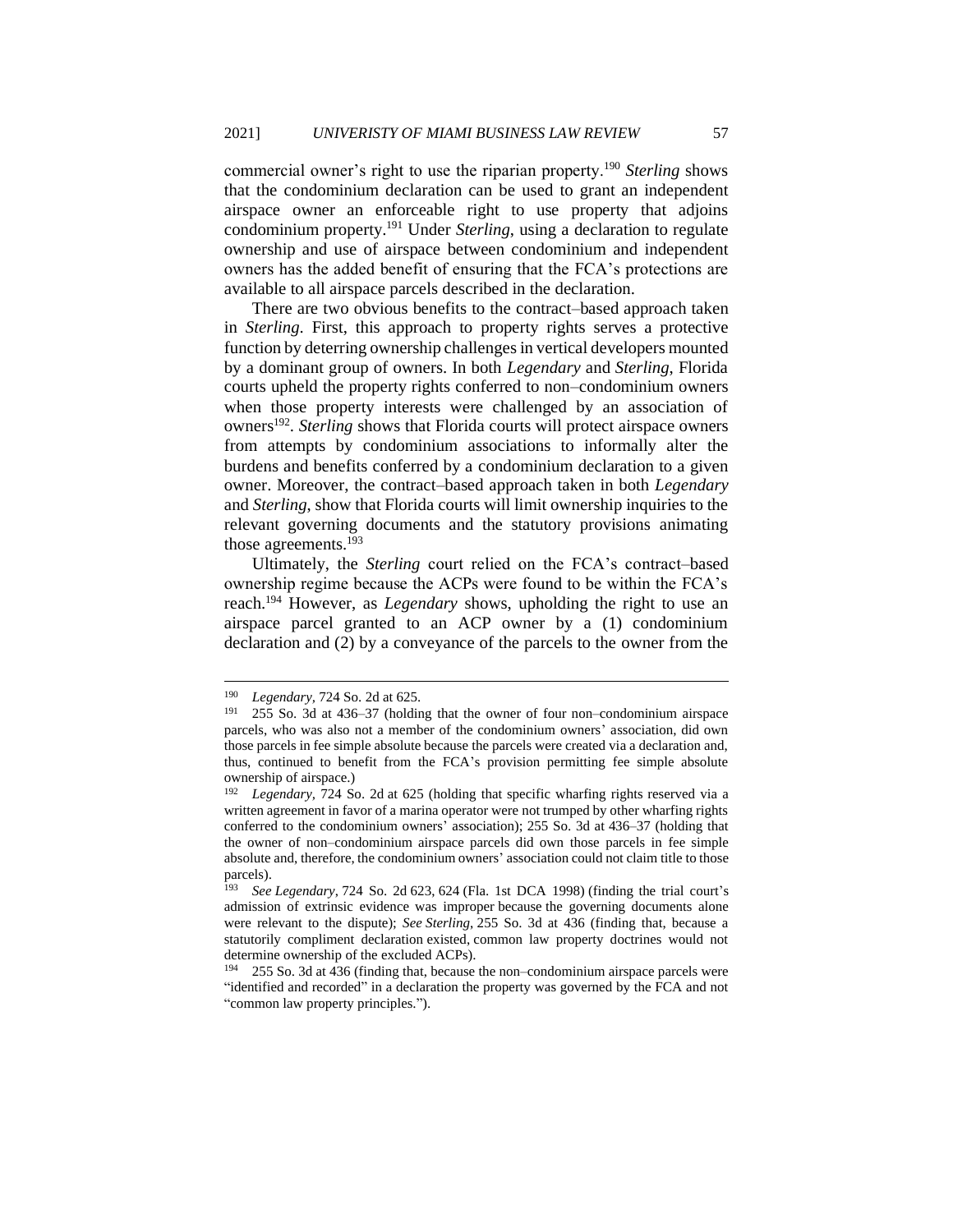commercial owner's right to use the riparian property.<sup>190</sup> *Sterling* shows that the condominium declaration can be used to grant an independent airspace owner an enforceable right to use property that adjoins condominium property.<sup>191</sup> Under *Sterling*, using a declaration to regulate ownership and use of airspace between condominium and independent owners has the added benefit of ensuring that the FCA's protections are available to all airspace parcels described in the declaration.

There are two obvious benefits to the contract–based approach taken in *Sterling*. First, this approach to property rights serves a protective function by deterring ownership challenges in vertical developers mounted by a dominant group of owners. In both *Legendary* and *Sterling*, Florida courts upheld the property rights conferred to non–condominium owners when those property interests were challenged by an association of owners<sup>192</sup>. *Sterling* shows that Florida courts will protect airspace owners from attempts by condominium associations to informally alter the burdens and benefits conferred by a condominium declaration to a given owner. Moreover, the contract–based approach taken in both *Legendary*  and *Sterling*, show that Florida courts will limit ownership inquiries to the relevant governing documents and the statutory provisions animating those agreements.<sup>193</sup>

Ultimately, the *Sterling* court relied on the FCA's contract–based ownership regime because the ACPs were found to be within the FCA's reach.<sup>194</sup> However, as *Legendary* shows, upholding the right to use an airspace parcel granted to an ACP owner by a (1) condominium declaration and (2) by a conveyance of the parcels to the owner from the

<sup>190</sup> *Legendary*, 724 So. 2d at 625.<br>191 255 So. 3d at 436, 37 (bolding

<sup>191</sup> 255 So. 3d at 436–37 (holding that the owner of four non–condominium airspace parcels, who was also not a member of the condominium owners' association, did own those parcels in fee simple absolute because the parcels were created via a declaration and, thus, continued to benefit from the FCA's provision permitting fee simple absolute ownership of airspace.)

<sup>192</sup> *Legendary,* 724 So. 2d at 625 (holding that specific wharfing rights reserved via a written agreement in favor of a marina operator were not trumped by other wharfing rights conferred to the condominium owners' association); 255 So. 3d at 436–37 (holding that the owner of non–condominium airspace parcels did own those parcels in fee simple absolute and, therefore, the condominium owners' association could not claim title to those parcels).<br> $\frac{193}{800}$ 

<sup>193</sup> *See Legendary*, 724 So. 2d 623, 624 (Fla. 1st DCA 1998) (finding the trial court's admission of extrinsic evidence was improper because the governing documents alone were relevant to the dispute); *See Sterling*, 255 So. 3d at 436 (finding that, because a statutorily compliment declaration existed, common law property doctrines would not determine ownership of the excluded ACPs).

<sup>194</sup> 255 So. 3d at 436 (finding that, because the non–condominium airspace parcels were "identified and recorded" in a declaration the property was governed by the FCA and not "common law property principles.").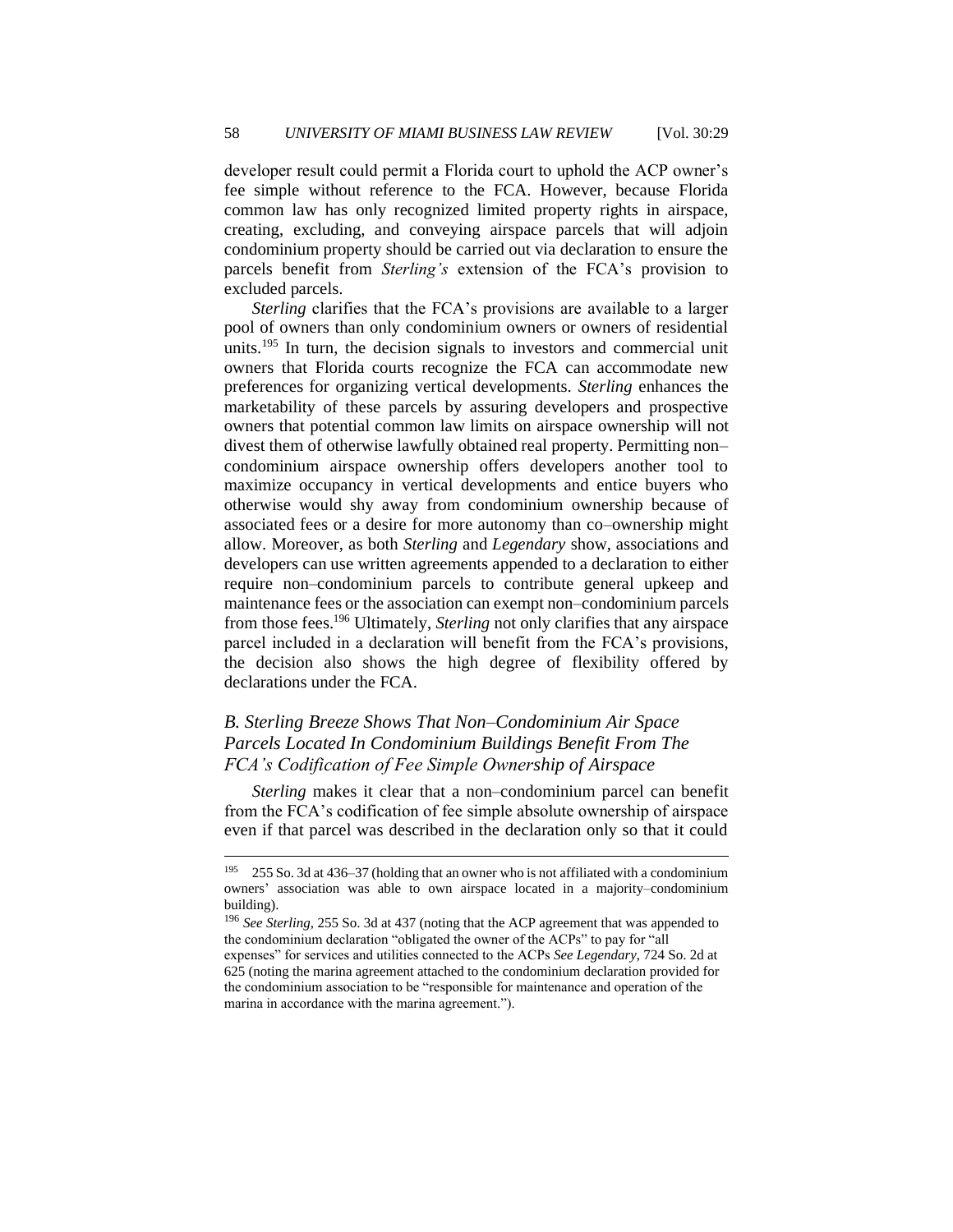developer result could permit a Florida court to uphold the ACP owner's fee simple without reference to the FCA. However, because Florida common law has only recognized limited property rights in airspace, creating, excluding, and conveying airspace parcels that will adjoin condominium property should be carried out via declaration to ensure the parcels benefit from *Sterling's* extension of the FCA's provision to excluded parcels.

*Sterling* clarifies that the FCA's provisions are available to a larger pool of owners than only condominium owners or owners of residential units.<sup>195</sup> In turn, the decision signals to investors and commercial unit owners that Florida courts recognize the FCA can accommodate new preferences for organizing vertical developments. *Sterling* enhances the marketability of these parcels by assuring developers and prospective owners that potential common law limits on airspace ownership will not divest them of otherwise lawfully obtained real property. Permitting non– condominium airspace ownership offers developers another tool to maximize occupancy in vertical developments and entice buyers who otherwise would shy away from condominium ownership because of associated fees or a desire for more autonomy than co–ownership might allow. Moreover, as both *Sterling* and *Legendary* show, associations and developers can use written agreements appended to a declaration to either require non–condominium parcels to contribute general upkeep and maintenance fees or the association can exempt non–condominium parcels from those fees.<sup>196</sup> Ultimately, *Sterling* not only clarifies that any airspace parcel included in a declaration will benefit from the FCA's provisions, the decision also shows the high degree of flexibility offered by declarations under the FCA.

## *B. Sterling Breeze Shows That Non–Condominium Air Space Parcels Located In Condominium Buildings Benefit From The FCA's Codification of Fee Simple Ownership of Airspace*

*Sterling* makes it clear that a non–condominium parcel can benefit from the FCA's codification of fee simple absolute ownership of airspace even if that parcel was described in the declaration only so that it could

<sup>195</sup> 255 So. 3d at 436–37 (holding that an owner who is not affiliated with a condominium owners' association was able to own airspace located in a majority–condominium building).

<sup>196</sup> *See Sterling*, 255 So. 3d at 437 (noting that the ACP agreement that was appended to the condominium declaration "obligated the owner of the ACPs" to pay for "all

expenses" for services and utilities connected to the ACPs *See Legendary*, 724 So. 2d at 625 (noting the marina agreement attached to the condominium declaration provided for the condominium association to be "responsible for maintenance and operation of the marina in accordance with the marina agreement.").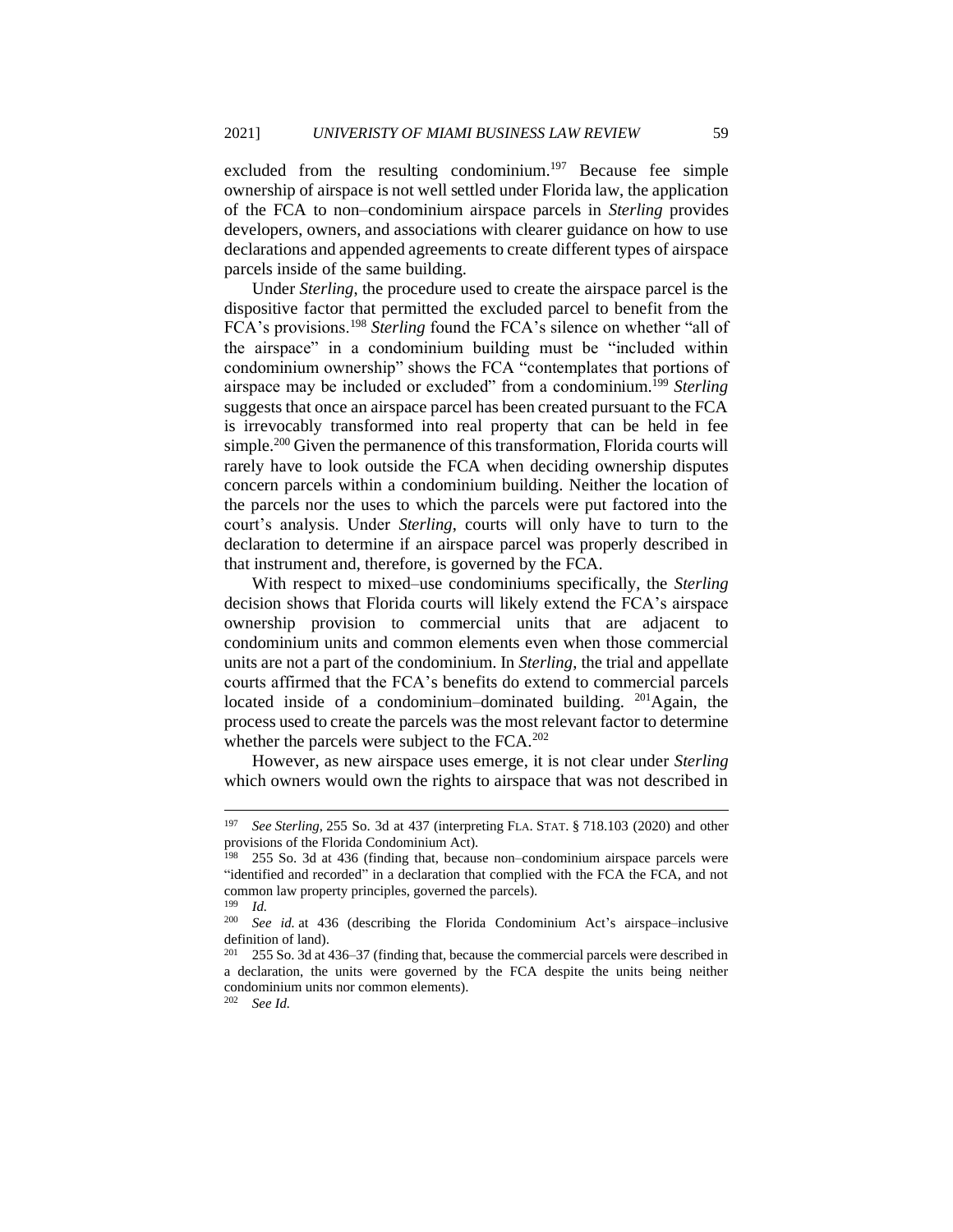excluded from the resulting condominium.<sup>197</sup> Because fee simple ownership of airspace is not well settled under Florida law, the application of the FCA to non–condominium airspace parcels in *Sterling* provides developers, owners, and associations with clearer guidance on how to use declarations and appended agreements to create different types of airspace parcels inside of the same building.

Under *Sterling*, the procedure used to create the airspace parcel is the dispositive factor that permitted the excluded parcel to benefit from the FCA's provisions.<sup>198</sup> *Sterling* found the FCA's silence on whether "all of the airspace" in a condominium building must be "included within condominium ownership" shows the FCA "contemplates that portions of airspace may be included or excluded" from a condominium.<sup>199</sup> Sterling suggests that once an airspace parcel has been created pursuant to the FCA is irrevocably transformed into real property that can be held in fee simple.<sup>200</sup> Given the permanence of this transformation, Florida courts will rarely have to look outside the FCA when deciding ownership disputes concern parcels within a condominium building. Neither the location of the parcels nor the uses to which the parcels were put factored into the court's analysis. Under *Sterling*, courts will only have to turn to the declaration to determine if an airspace parcel was properly described in that instrument and, therefore, is governed by the FCA.

With respect to mixed–use condominiums specifically, the *Sterling*  decision shows that Florida courts will likely extend the FCA's airspace ownership provision to commercial units that are adjacent to condominium units and common elements even when those commercial units are not a part of the condominium. In *Sterling*, the trial and appellate courts affirmed that the FCA's benefits do extend to commercial parcels located inside of a condominium–dominated building.  $201$  Again, the process used to create the parcels was the most relevant factor to determine whether the parcels were subject to the FCA.<sup>202</sup>

However, as new airspace uses emerge, it is not clear under *Sterling* which owners would own the rights to airspace that was not described in

<sup>197</sup> *See Sterling*, 255 So. 3d at 437 (interpreting FLA. STAT. § 718.103 (2020) and other provisions of the Florida Condominium Act).

<sup>198</sup> 255 So. 3d at 436 (finding that, because non–condominium airspace parcels were "identified and recorded" in a declaration that complied with the FCA the FCA, and not common law property principles, governed the parcels).

 $\frac{199}{200}$  *Id.* See id. at 436 (describing the Florida Condominium Act's airspace–inclusive definition of land).

<sup>255</sup> So. 3d at 436–37 (finding that, because the commercial parcels were described in a declaration, the units were governed by the FCA despite the units being neither condominium units nor common elements).

<sup>202</sup> *See Id.*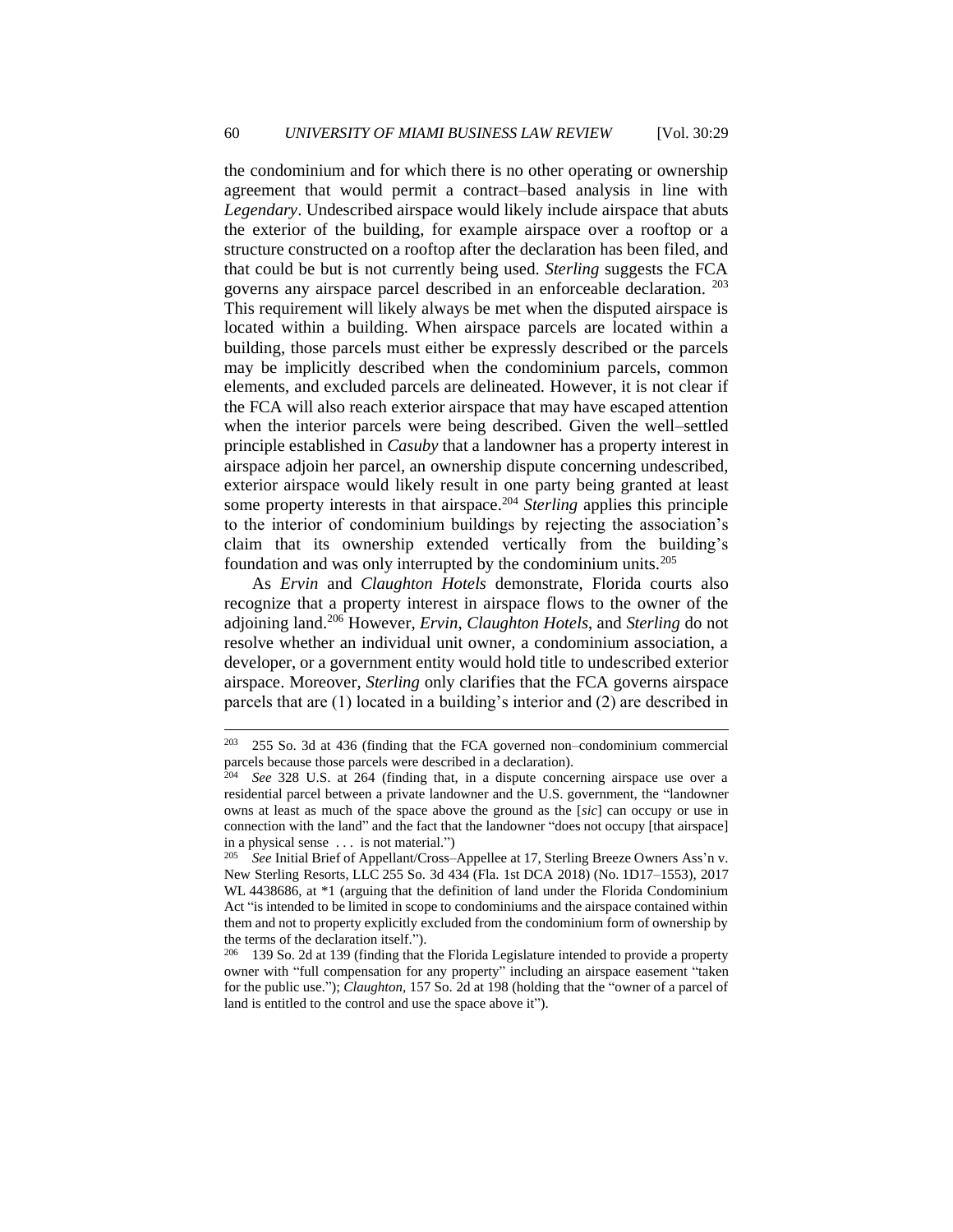the condominium and for which there is no other operating or ownership agreement that would permit a contract–based analysis in line with *Legendary*. Undescribed airspace would likely include airspace that abuts the exterior of the building, for example airspace over a rooftop or a structure constructed on a rooftop after the declaration has been filed, and that could be but is not currently being used. *Sterling* suggests the FCA governs any airspace parcel described in an enforceable declaration. <sup>203</sup> This requirement will likely always be met when the disputed airspace is located within a building. When airspace parcels are located within a building, those parcels must either be expressly described or the parcels may be implicitly described when the condominium parcels, common elements, and excluded parcels are delineated. However, it is not clear if the FCA will also reach exterior airspace that may have escaped attention when the interior parcels were being described. Given the well–settled principle established in *Casuby* that a landowner has a property interest in airspace adjoin her parcel, an ownership dispute concerning undescribed, exterior airspace would likely result in one party being granted at least some property interests in that airspace.<sup>204</sup> *Sterling* applies this principle to the interior of condominium buildings by rejecting the association's claim that its ownership extended vertically from the building's foundation and was only interrupted by the condominium units.<sup>205</sup>

As *Ervin* and *Claughton Hotels* demonstrate, Florida courts also recognize that a property interest in airspace flows to the owner of the adjoining land.<sup>206</sup> However, *Ervin*, *Claughton Hotels*, and *Sterling* do not resolve whether an individual unit owner, a condominium association, a developer, or a government entity would hold title to undescribed exterior airspace. Moreover, *Sterling* only clarifies that the FCA governs airspace parcels that are (1) located in a building's interior and (2) are described in

 $203$  255 So. 3d at 436 (finding that the FCA governed non–condominium commercial parcels because those parcels were described in a declaration).

<sup>204</sup> *See* 328 U.S. at 264 (finding that, in a dispute concerning airspace use over a residential parcel between a private landowner and the U.S. government, the "landowner owns at least as much of the space above the ground as the [*sic*] can occupy or use in connection with the land" and the fact that the landowner "does not occupy [that airspace] in a physical sense . . . is not material.")

<sup>205</sup> *See* Initial Brief of Appellant/Cross–Appellee at 17, Sterling Breeze Owners Ass'n v. New Sterling Resorts, LLC 255 So. 3d 434 (Fla. 1st DCA 2018) (No. 1D17–1553), 2017 WL 4438686, at \*1 (arguing that the definition of land under the Florida Condominium Act "is intended to be limited in scope to condominiums and the airspace contained within them and not to property explicitly excluded from the condominium form of ownership by the terms of the declaration itself.").

<sup>139</sup> So. 2d at 139 (finding that the Florida Legislature intended to provide a property owner with "full compensation for any property" including an airspace easement "taken for the public use."); *Claughton,* 157 So. 2d at 198 (holding that the "owner of a parcel of land is entitled to the control and use the space above it").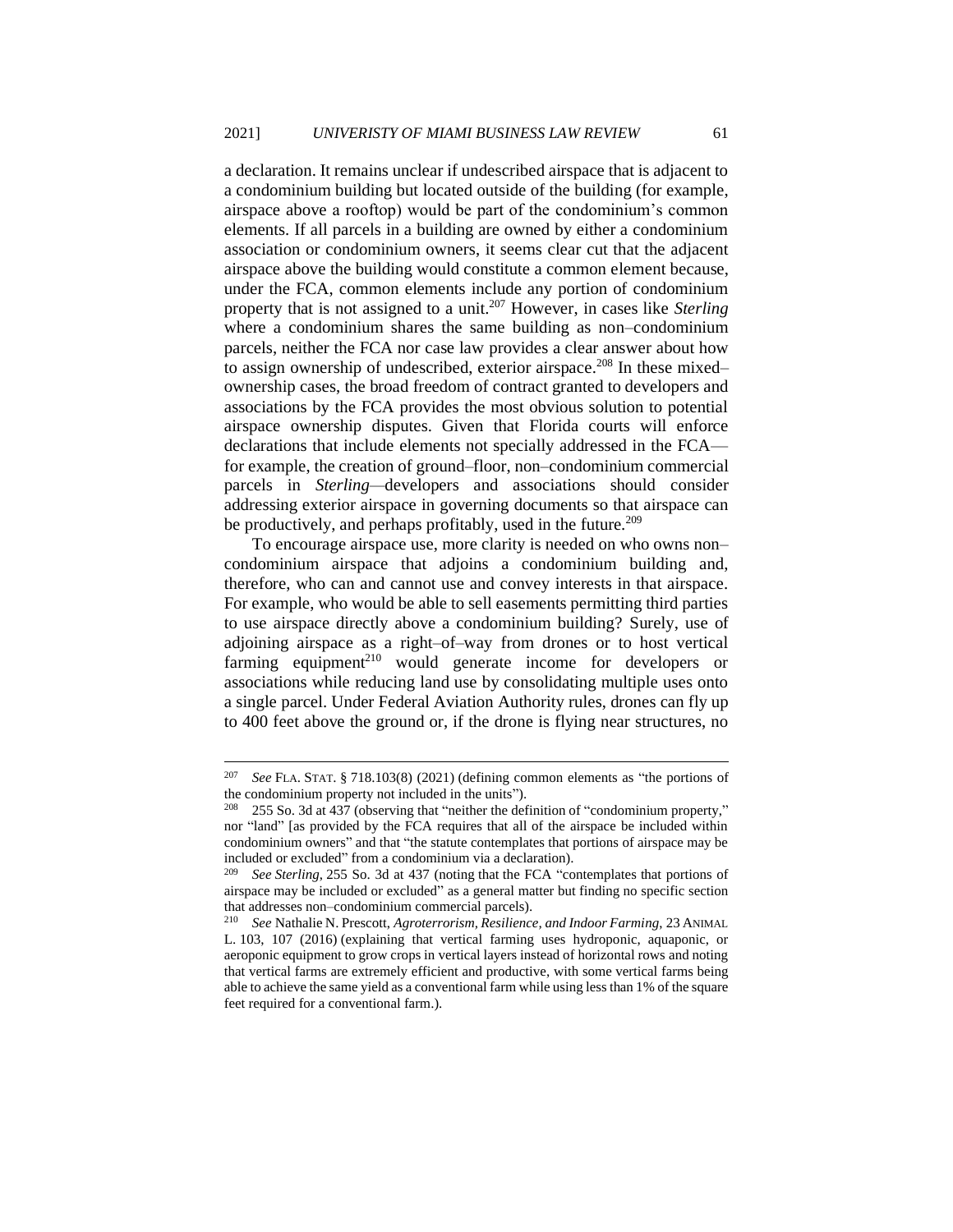a declaration. It remains unclear if undescribed airspace that is adjacent to a condominium building but located outside of the building (for example, airspace above a rooftop) would be part of the condominium's common elements. If all parcels in a building are owned by either a condominium association or condominium owners, it seems clear cut that the adjacent airspace above the building would constitute a common element because, under the FCA, common elements include any portion of condominium property that is not assigned to a unit.<sup>207</sup> However, in cases like *Sterling*  where a condominium shares the same building as non–condominium parcels, neither the FCA nor case law provides a clear answer about how to assign ownership of undescribed, exterior airspace.<sup>208</sup> In these mixed– ownership cases, the broad freedom of contract granted to developers and associations by the FCA provides the most obvious solution to potential airspace ownership disputes. Given that Florida courts will enforce declarations that include elements not specially addressed in the FCA for example, the creation of ground–floor, non–condominium commercial parcels in *Sterling—*developers and associations should consider addressing exterior airspace in governing documents so that airspace can be productively, and perhaps profitably, used in the future.<sup>209</sup>

To encourage airspace use, more clarity is needed on who owns non– condominium airspace that adjoins a condominium building and, therefore, who can and cannot use and convey interests in that airspace. For example, who would be able to sell easements permitting third parties to use airspace directly above a condominium building? Surely, use of adjoining airspace as a right–of–way from drones or to host vertical  $farming$  equipment<sup>210</sup> would generate income for developers or associations while reducing land use by consolidating multiple uses onto a single parcel. Under Federal Aviation Authority rules, drones can fly up to 400 feet above the ground or, if the drone is flying near structures, no

<sup>207</sup> *See* FLA. STAT. § 718.103(8) (2021) (defining common elements as "the portions of the condominium property not included in the units").

<sup>255</sup> So. 3d at 437 (observing that "neither the definition of "condominium property," nor "land" [as provided by the FCA requires that all of the airspace be included within condominium owners" and that "the statute contemplates that portions of airspace may be included or excluded" from a condominium via a declaration).

<sup>209</sup> *See Sterling*, 255 So. 3d at 437 (noting that the FCA "contemplates that portions of airspace may be included or excluded" as a general matter but finding no specific section that addresses non–condominium commercial parcels).<br><sup>210</sup> See Natholia N. Prescott, Agretarianne Pesiliano.

<sup>210</sup> *See* Nathalie N. Prescott, *Agroterrorism, Resilience, and Indoor Farming*, 23 ANIMAL L. 103, 107 (2016) (explaining that vertical farming uses hydroponic, aquaponic, or aeroponic equipment to grow crops in vertical layers instead of horizontal rows and noting that vertical farms are extremely efficient and productive, with some vertical farms being able to achieve the same yield as a conventional farm while using less than 1% of the square feet required for a conventional farm.).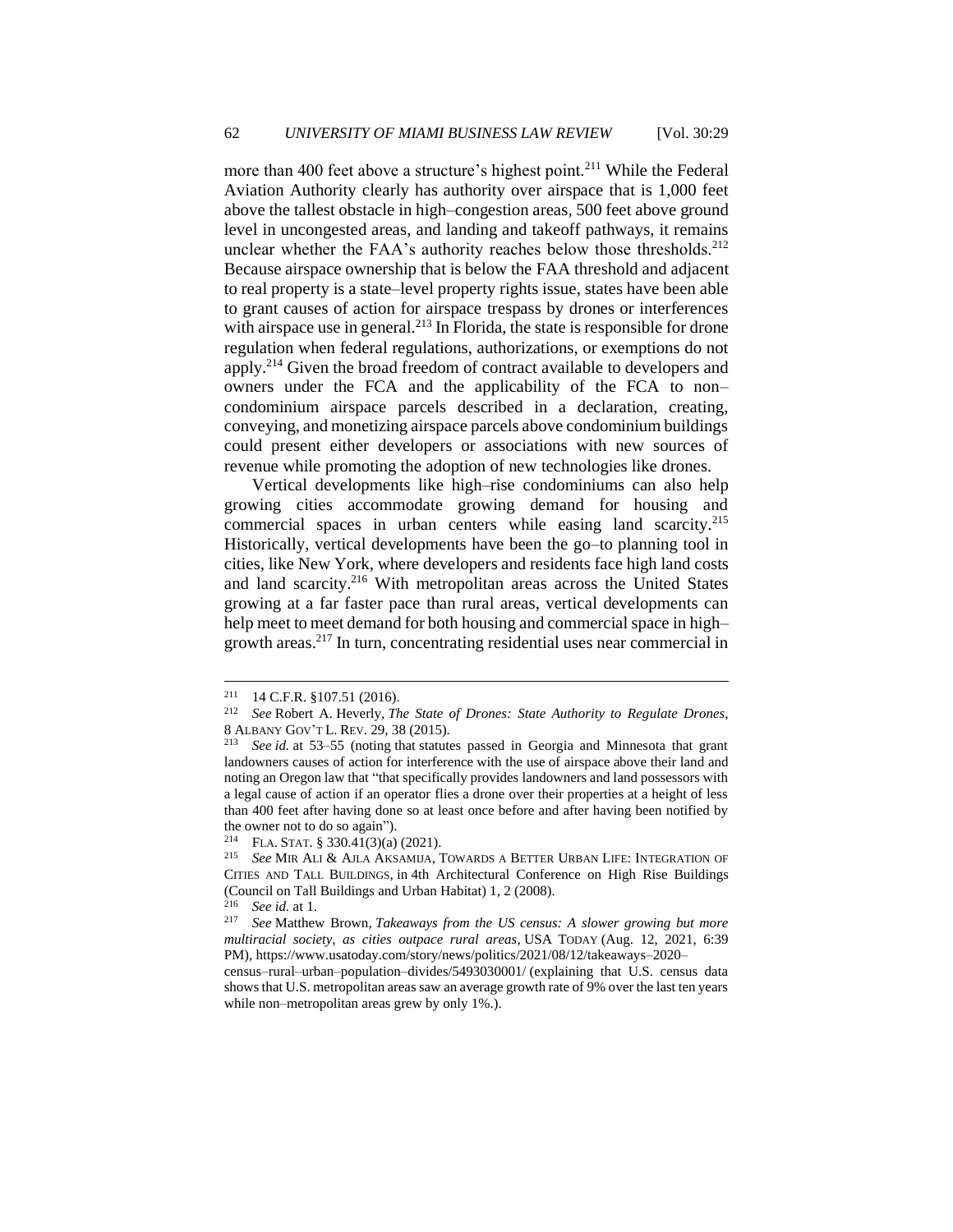more than 400 feet above a structure's highest point.<sup>211</sup> While the Federal Aviation Authority clearly has authority over airspace that is 1,000 feet above the tallest obstacle in high–congestion areas, 500 feet above ground level in uncongested areas, and landing and takeoff pathways, it remains unclear whether the FAA's authority reaches below those thresholds.<sup>212</sup> Because airspace ownership that is below the FAA threshold and adjacent to real property is a state–level property rights issue, states have been able to grant causes of action for airspace trespass by drones or interferences with airspace use in general. $^{213}$  In Florida, the state is responsible for drone regulation when federal regulations, authorizations, or exemptions do not apply.<sup>214</sup> Given the broad freedom of contract available to developers and owners under the FCA and the applicability of the FCA to non– condominium airspace parcels described in a declaration, creating, conveying, and monetizing airspace parcels above condominium buildings could present either developers or associations with new sources of revenue while promoting the adoption of new technologies like drones.

Vertical developments like high–rise condominiums can also help growing cities accommodate growing demand for housing and commercial spaces in urban centers while easing land scarcity.<sup>215</sup> Historically, vertical developments have been the go–to planning tool in cities, like New York, where developers and residents face high land costs and land scarcity.<sup>216</sup> With metropolitan areas across the United States growing at a far faster pace than rural areas, vertical developments can help meet to meet demand for both housing and commercial space in high– growth areas.<sup>217</sup> In turn, concentrating residential uses near commercial in

<sup>&</sup>lt;sup>211</sup> 14 C.F.R. §107.51 (2016).<br><sup>212</sup> *See* Robert A Heverly *Tl* 

See Robert A. Heverly, *The State of Drones: State Authority to Regulate Drones*, 8 ALBANY GOV'T L. REV. 29, 38 (2015).

See *id.* at 53–55 (noting that statutes passed in Georgia and Minnesota that grant landowners causes of action for interference with the use of airspace above their land and noting an Oregon law that "that specifically provides landowners and land possessors with a legal cause of action if an operator flies a drone over their properties at a height of less than 400 feet after having done so at least once before and after having been notified by the owner not to do so again").<br> $^{214}$  F<sub>I</sub> A STAT 8 330 41(3)(a)

FLA. STAT. § 330.41(3)(a) (2021).

<sup>215</sup> *See* MIR ALI & AJLA AKSAMIJA, TOWARDS A BETTER URBAN LIFE: INTEGRATION OF CITIES AND TALL BUILDINGS, in 4th Architectural Conference on High Rise Buildings (Council on Tall Buildings and Urban Habitat) 1, 2 (2008).

<sup>216</sup> *See id.* at 1.

<sup>217</sup> *See* Matthew Brown, *Takeaways from the US census: A slower growing but more multiracial society, as cities outpace rural areas*, USA TODAY (Aug. 12, 2021, 6:39 PM), https://www.usatoday.com/story/news/politics/2021/08/12/takeaways–2020–

census–rural–urban–population–divides/5493030001/ (explaining that U.S. census data shows that U.S. metropolitan areas saw an average growth rate of 9% over the last ten years while non–metropolitan areas grew by only 1%.).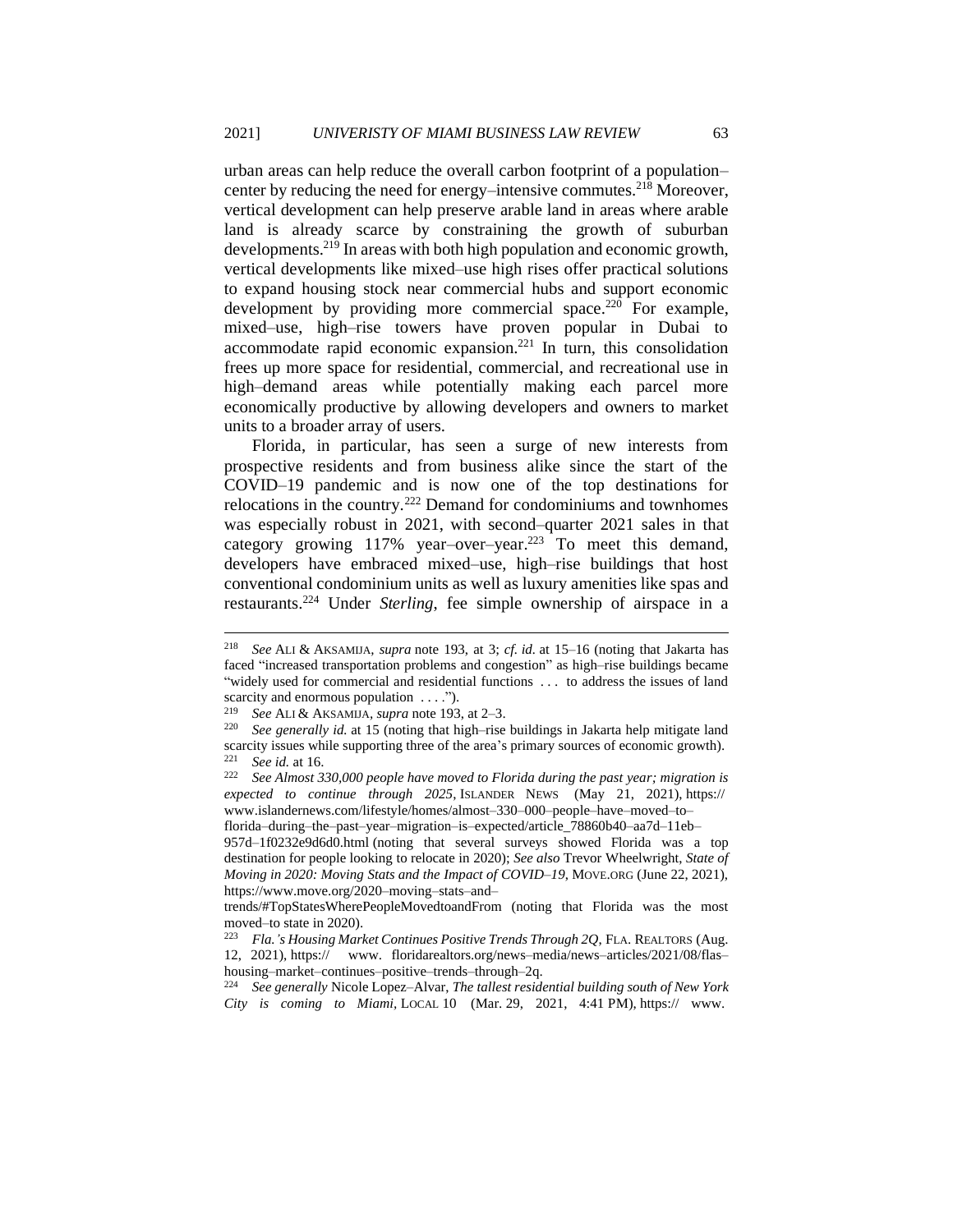urban areas can help reduce the overall carbon footprint of a population– center by reducing the need for energy–intensive commutes.<sup>218</sup> Moreover, vertical development can help preserve arable land in areas where arable land is already scarce by constraining the growth of suburban developments.<sup>219</sup> In areas with both high population and economic growth, vertical developments like mixed–use high rises offer practical solutions to expand housing stock near commercial hubs and support economic development by providing more commercial space.<sup>220</sup> For example, mixed–use, high–rise towers have proven popular in Dubai to accommodate rapid economic expansion.<sup>221</sup> In turn, this consolidation frees up more space for residential, commercial, and recreational use in high–demand areas while potentially making each parcel more economically productive by allowing developers and owners to market units to a broader array of users.

Florida, in particular, has seen a surge of new interests from prospective residents and from business alike since the start of the COVID–19 pandemic and is now one of the top destinations for relocations in the country.<sup>222</sup> Demand for condominiums and townhomes was especially robust in 2021, with second–quarter 2021 sales in that category growing  $117\%$  year–over–year.<sup>223</sup> To meet this demand, developers have embraced mixed–use, high–rise buildings that host conventional condominium units as well as luxury amenities like spas and restaurants.<sup>224</sup> Under *Sterling*, fee simple ownership of airspace in a

<sup>218</sup> *See* ALI & AKSAMIJA*, supra* note 193, at 3; *cf. id.* at 15–16 (noting that Jakarta has faced "increased transportation problems and congestion" as high–rise buildings became "widely used for commercial and residential functions . . . to address the issues of land scarcity and enormous population . . . .").

<sup>219</sup> *See* ALI & AKSAMIJA*, supra* note 193, at 2–3.

See generally id. at 15 (noting that high–rise buildings in Jakarta help mitigate land scarcity issues while supporting three of the area's primary sources of economic growth). <sup>221</sup> *See id.* at 16.

<sup>222</sup> *See Almost 330,000 people have moved to Florida during the past year; migration is expected to continue through 2025*, ISLANDER NEWS (May 21, 2021), https:// www.islandernews.com/lifestyle/homes/almost–330–000–people–have–moved–to–

florida–during–the–past–year–migration–is–expected/article\_78860b40–aa7d–11eb–

<sup>957</sup>d–1f0232e9d6d0.html (noting that several surveys showed Florida was a top destination for people looking to relocate in 2020); *See also* Trevor Wheelwright, *State of Moving in 2020: Moving Stats and the Impact of COVID–19*, MOVE.ORG (June 22, 2021), https://www.move.org/2020–moving–stats–and–

trends/#TopStatesWherePeopleMovedtoandFrom (noting that Florida was the most moved–to state in 2020).

<sup>223</sup> *Fla.'s Housing Market Continues Positive Trends Through 2Q*, FLA. REALTORS (Aug. 12, 2021), https:// www. floridarealtors.org/news–media/news–articles/2021/08/flas– housing–market–continues–positive–trends–through–2q.

<sup>224</sup> *See generally* Nicole Lopez–Alvar, *The tallest residential building south of New York City is coming to Miami,* LOCAL 10 (Mar. 29, 2021, 4:41 PM), https:// www.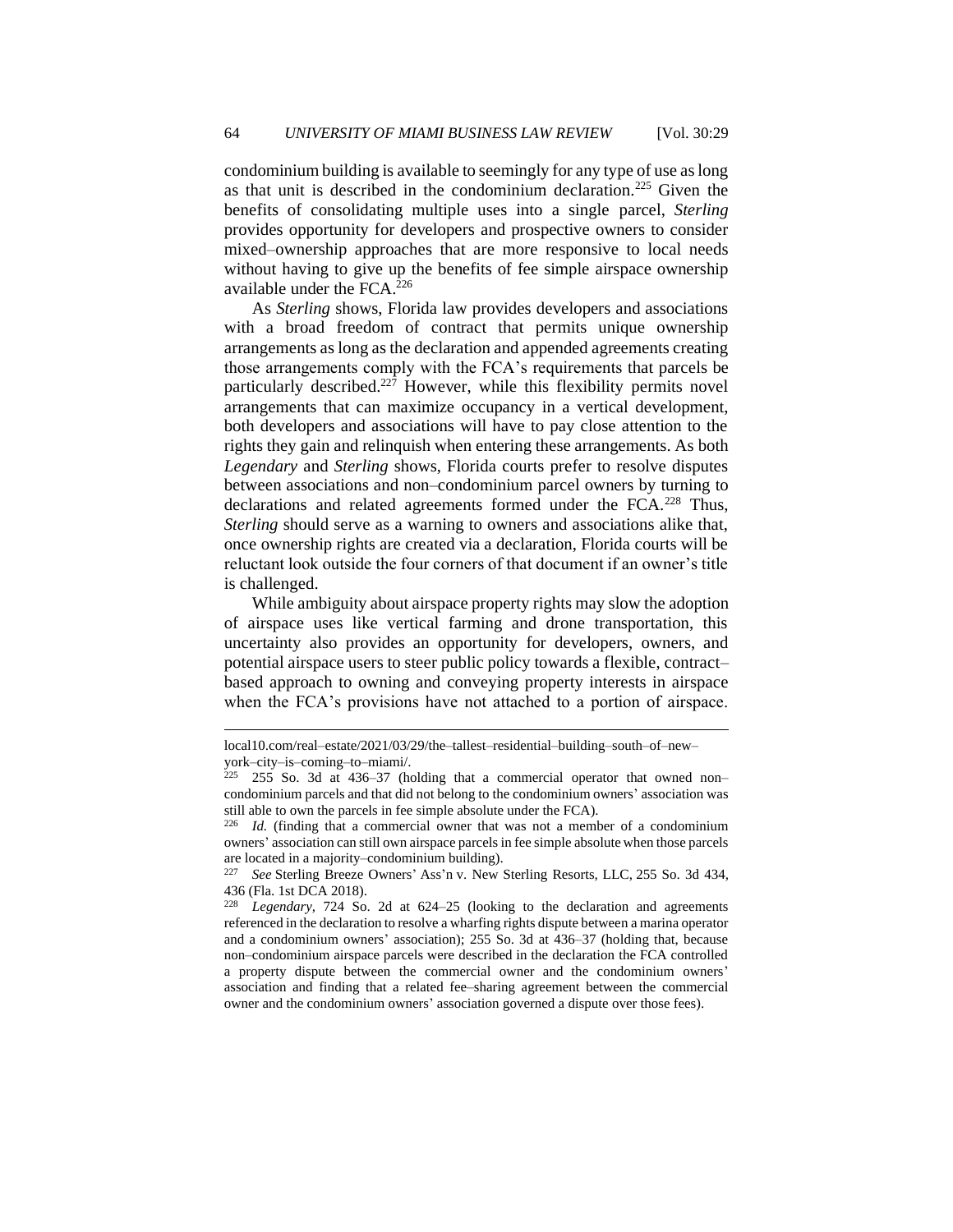condominium building is available to seemingly for any type of use as long as that unit is described in the condominium declaration.<sup>225</sup> Given the benefits of consolidating multiple uses into a single parcel, *Sterling*  provides opportunity for developers and prospective owners to consider mixed–ownership approaches that are more responsive to local needs without having to give up the benefits of fee simple airspace ownership available under the FCA.<sup>226</sup>

As *Sterling* shows, Florida law provides developers and associations with a broad freedom of contract that permits unique ownership arrangements as long as the declaration and appended agreements creating those arrangements comply with the FCA's requirements that parcels be particularly described.<sup>227</sup> However, while this flexibility permits novel arrangements that can maximize occupancy in a vertical development, both developers and associations will have to pay close attention to the rights they gain and relinquish when entering these arrangements. As both *Legendary* and *Sterling* shows, Florida courts prefer to resolve disputes between associations and non–condominium parcel owners by turning to declarations and related agreements formed under the FCA.<sup>228</sup> Thus, *Sterling* should serve as a warning to owners and associations alike that, once ownership rights are created via a declaration, Florida courts will be reluctant look outside the four corners of that document if an owner's title is challenged.

While ambiguity about airspace property rights may slow the adoption of airspace uses like vertical farming and drone transportation, this uncertainty also provides an opportunity for developers, owners, and potential airspace users to steer public policy towards a flexible, contract– based approach to owning and conveying property interests in airspace when the FCA's provisions have not attached to a portion of airspace.

local10.com/real–estate/2021/03/29/the–tallest–residential–building–south–of–new– york–city–is–coming–to–miami/.

 $225$  255 So. 3d at 436–37 (holding that a commercial operator that owned non– condominium parcels and that did not belong to the condominium owners' association was still able to own the parcels in fee simple absolute under the FCA).

<sup>226</sup> *Id.* (finding that a commercial owner that was not a member of a condominium owners' association can still own airspace parcels in fee simple absolute when those parcels are located in a majority–condominium building).

<sup>227</sup> *See* Sterling Breeze Owners' Ass'n v. New Sterling Resorts, LLC, 255 So. 3d 434, 436 (Fla. 1st DCA 2018).

Legendary, 724 So. 2d at 624–25 (looking to the declaration and agreements referenced in the declaration to resolve a wharfing rights dispute between a marina operator and a condominium owners' association); 255 So. 3d at 436–37 (holding that, because non–condominium airspace parcels were described in the declaration the FCA controlled a property dispute between the commercial owner and the condominium owners' association and finding that a related fee–sharing agreement between the commercial owner and the condominium owners' association governed a dispute over those fees).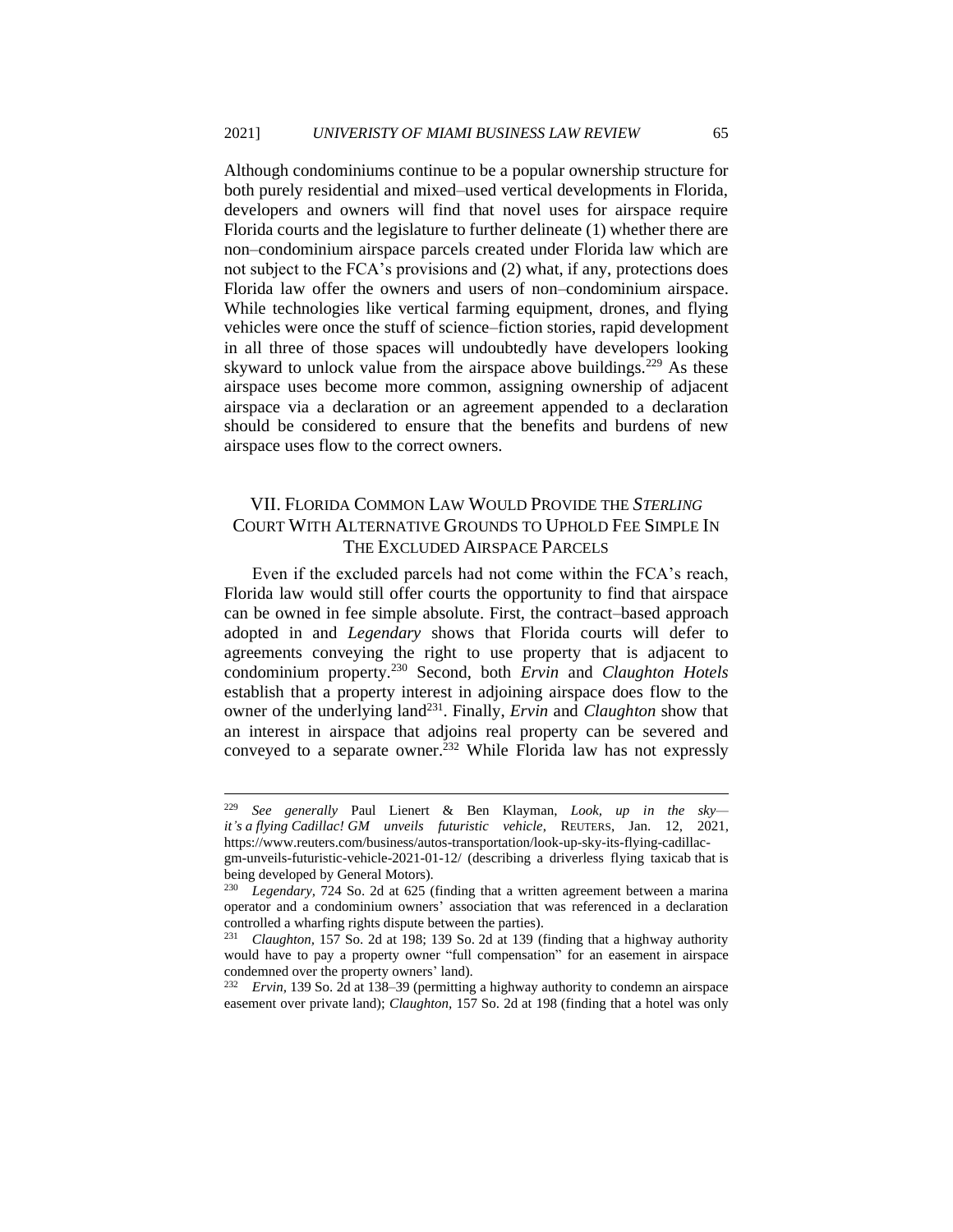Although condominiums continue to be a popular ownership structure for both purely residential and mixed–used vertical developments in Florida, developers and owners will find that novel uses for airspace require Florida courts and the legislature to further delineate (1) whether there are non–condominium airspace parcels created under Florida law which are not subject to the FCA's provisions and (2) what, if any, protections does Florida law offer the owners and users of non–condominium airspace. While technologies like vertical farming equipment, drones, and flying vehicles were once the stuff of science–fiction stories, rapid development in all three of those spaces will undoubtedly have developers looking skyward to unlock value from the airspace above buildings.<sup>229</sup> As these airspace uses become more common, assigning ownership of adjacent airspace via a declaration or an agreement appended to a declaration should be considered to ensure that the benefits and burdens of new airspace uses flow to the correct owners.

### VII. FLORIDA COMMON LAW WOULD PROVIDE THE *STERLING*  COURT WITH ALTERNATIVE GROUNDS TO UPHOLD FEE SIMPLE IN THE EXCLUDED AIRSPACE PARCELS

Even if the excluded parcels had not come within the FCA's reach, Florida law would still offer courts the opportunity to find that airspace can be owned in fee simple absolute. First, the contract–based approach adopted in and *Legendary* shows that Florida courts will defer to agreements conveying the right to use property that is adjacent to condominium property.<sup>230</sup> Second, both *Ervin* and *Claughton Hotels*  establish that a property interest in adjoining airspace does flow to the owner of the underlying land<sup>231</sup>. Finally, *Ervin* and *Claughton* show that an interest in airspace that adjoins real property can be severed and conveyed to a separate owner.<sup>232</sup> While Florida law has not expressly

<sup>229</sup> *See generally* Paul Lienert & Ben Klayman, *Look, up in the sky it's a flying Cadillac! GM unveils futuristic vehicle*, REUTERS, Jan. 12, 2021, https://www.reuters.com/business/autos-transportation/look-up-sky-its-flying-cadillac-

gm-unveils-futuristic-vehicle-2021-01-12/ (describing a driverless flying taxicab that is being developed by General Motors).

<sup>230</sup> *Legendary,* 724 So. 2d at 625 (finding that a written agreement between a marina operator and a condominium owners' association that was referenced in a declaration controlled a wharfing rights dispute between the parties).<br> $^{231}$  Claughton, 157 So, 2d at 198: 139 So, 2d at 139 (1)

<sup>231</sup> *Claughton,* 157 So. 2d at 198; 139 So. 2d at 139 (finding that a highway authority would have to pay a property owner "full compensation" for an easement in airspace condemned over the property owners' land).

<sup>232</sup> *Ervin,* 139 So. 2d at 138–39 (permitting a highway authority to condemn an airspace easement over private land); *Claughton,* 157 So. 2d at 198 (finding that a hotel was only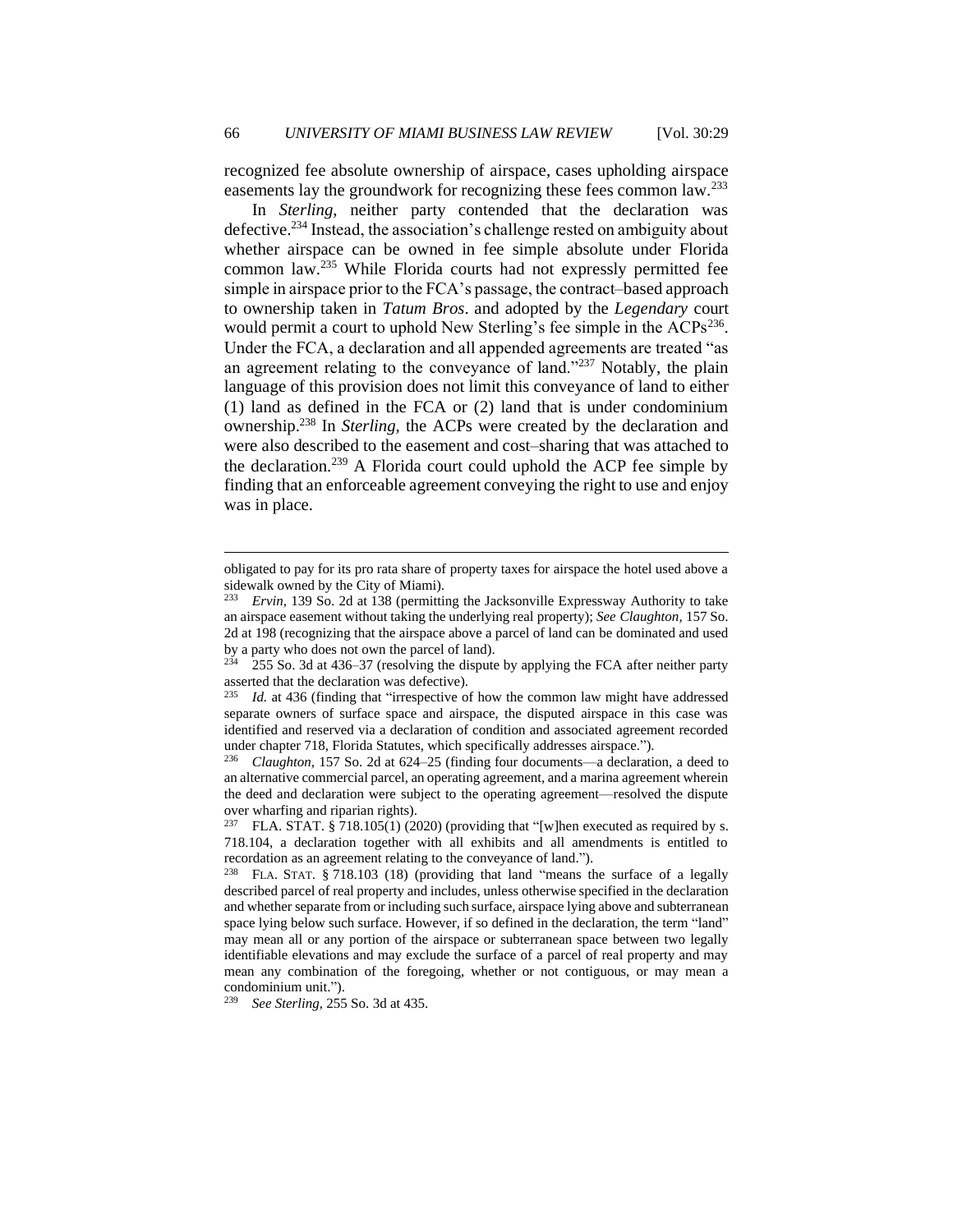recognized fee absolute ownership of airspace, cases upholding airspace easements lay the groundwork for recognizing these fees common law.<sup>233</sup>

In *Sterling*, neither party contended that the declaration was defective.<sup>234</sup> Instead, the association's challenge rested on ambiguity about whether airspace can be owned in fee simple absolute under Florida common law.<sup>235</sup> While Florida courts had not expressly permitted fee simple in airspace prior to the FCA's passage, the contract–based approach to ownership taken in *Tatum Bros*. and adopted by the *Legendary* court would permit a court to uphold New Sterling's fee simple in the ACPs<sup>236</sup>. Under the FCA, a declaration and all appended agreements are treated "as an agreement relating to the conveyance of land."<sup>237</sup> Notably, the plain language of this provision does not limit this conveyance of land to either (1) land as defined in the FCA or (2) land that is under condominium ownership.<sup>238</sup> In *Sterling*, the ACPs were created by the declaration and were also described to the easement and cost–sharing that was attached to the declaration.<sup>239</sup> A Florida court could uphold the ACP fee simple by finding that an enforceable agreement conveying the right to use and enjoy was in place.

obligated to pay for its pro rata share of property taxes for airspace the hotel used above a sidewalk owned by the City of Miami).

<sup>233</sup> *Ervin,* 139 So. 2d at 138 (permitting the Jacksonville Expressway Authority to take an airspace easement without taking the underlying real property); *See Claughton,* 157 So. 2d at 198 (recognizing that the airspace above a parcel of land can be dominated and used by a party who does not own the parcel of land).<br> $234$  255 So. 3d at 436–37 (resolving the dispute

<sup>255</sup> So. 3d at 436–37 (resolving the dispute by applying the FCA after neither party asserted that the declaration was defective).<br> $^{235}$  *Ld* at 436 (finding that "irrespective o

Id. at 436 (finding that "irrespective of how the common law might have addressed separate owners of surface space and airspace, the disputed airspace in this case was identified and reserved via a declaration of condition and associated agreement recorded under chapter 718, Florida Statutes, which specifically addresses airspace.").<br><sup>236</sup> *Claughton*, 157 So. 2d at 624–25 (finding four documents—a declarational

<sup>236</sup> *Claughton,* 157 So. 2d at 624–25 (finding four documents—a declaration, a deed to an alternative commercial parcel, an operating agreement, and a marina agreement wherein the deed and declaration were subject to the operating agreement—resolved the dispute over wharfing and riparian rights).

<sup>&</sup>lt;sup>237</sup> FLA. STAT. § 718.105(1) (2020) (providing that "[w]hen executed as required by s. 718.104, a declaration together with all exhibits and all amendments is entitled to recordation as an agreement relating to the conveyance of land.").

<sup>238</sup> FLA. STAT. § 718.103 (18) (providing that land "means the surface of a legally described parcel of real property and includes, unless otherwise specified in the declaration and whether separate from or including such surface, airspace lying above and subterranean space lying below such surface. However, if so defined in the declaration, the term "land" may mean all or any portion of the airspace or subterranean space between two legally identifiable elevations and may exclude the surface of a parcel of real property and may mean any combination of the foregoing, whether or not contiguous, or may mean a condominium unit.").

<sup>239</sup> *See Sterling*, 255 So. 3d at 435.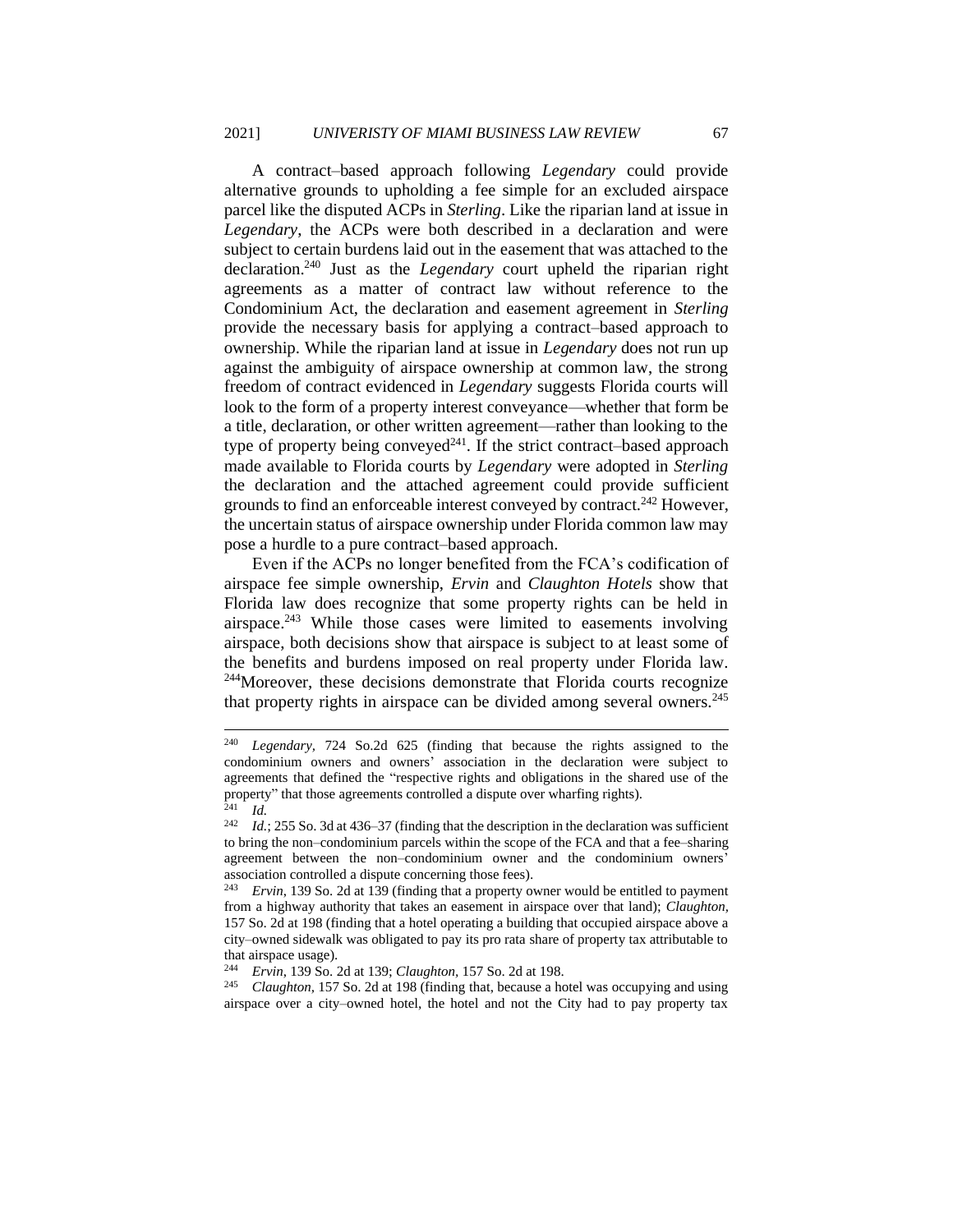A contract–based approach following *Legendary* could provide alternative grounds to upholding a fee simple for an excluded airspace parcel like the disputed ACPs in *Sterling*. Like the riparian land at issue in *Legendary*, the ACPs were both described in a declaration and were subject to certain burdens laid out in the easement that was attached to the declaration.<sup>240</sup> Just as the *Legendary* court upheld the riparian right agreements as a matter of contract law without reference to the Condominium Act, the declaration and easement agreement in *Sterling*  provide the necessary basis for applying a contract–based approach to ownership. While the riparian land at issue in *Legendary* does not run up against the ambiguity of airspace ownership at common law, the strong freedom of contract evidenced in *Legendary* suggests Florida courts will look to the form of a property interest conveyance—whether that form be a title, declaration, or other written agreement—rather than looking to the type of property being conveyed $^{241}$ . If the strict contract–based approach made available to Florida courts by *Legendary* were adopted in *Sterling*  the declaration and the attached agreement could provide sufficient grounds to find an enforceable interest conveyed by contract.<sup>242</sup> However, the uncertain status of airspace ownership under Florida common law may pose a hurdle to a pure contract–based approach.

Even if the ACPs no longer benefited from the FCA's codification of airspace fee simple ownership, *Ervin* and *Claughton Hotels* show that Florida law does recognize that some property rights can be held in airspace. $243$  While those cases were limited to easements involving airspace, both decisions show that airspace is subject to at least some of the benefits and burdens imposed on real property under Florida law. <sup>244</sup>Moreover, these decisions demonstrate that Florida courts recognize that property rights in airspace can be divided among several owners.<sup>245</sup>

*Claughton,* 157 So. 2d at 198 (finding that, because a hotel was occupying and using airspace over a city–owned hotel, the hotel and not the City had to pay property tax

<sup>240</sup> *Legendary,* 724 So.2d 625 (finding that because the rights assigned to the condominium owners and owners' association in the declaration were subject to agreements that defined the "respective rights and obligations in the shared use of the property" that those agreements controlled a dispute over wharfing rights).  $241$  *Id.* 

<sup>&</sup>lt;sup>242</sup> *Id.*; 255 So. 3d at 436–37 (finding that the description in the declaration was sufficient to bring the non–condominium parcels within the scope of the FCA and that a fee–sharing agreement between the non–condominium owner and the condominium owners' association controlled a dispute concerning those fees).

<sup>243</sup> *Ervin*, 139 So. 2d at 139 (finding that a property owner would be entitled to payment from a highway authority that takes an easement in airspace over that land); *Claughton,*  157 So. 2d at 198 (finding that a hotel operating a building that occupied airspace above a city–owned sidewalk was obligated to pay its pro rata share of property tax attributable to that airspace usage).

<sup>244</sup> *Ervin*, 139 So. 2d at 139; *Claughton,* 157 So. 2d at 198.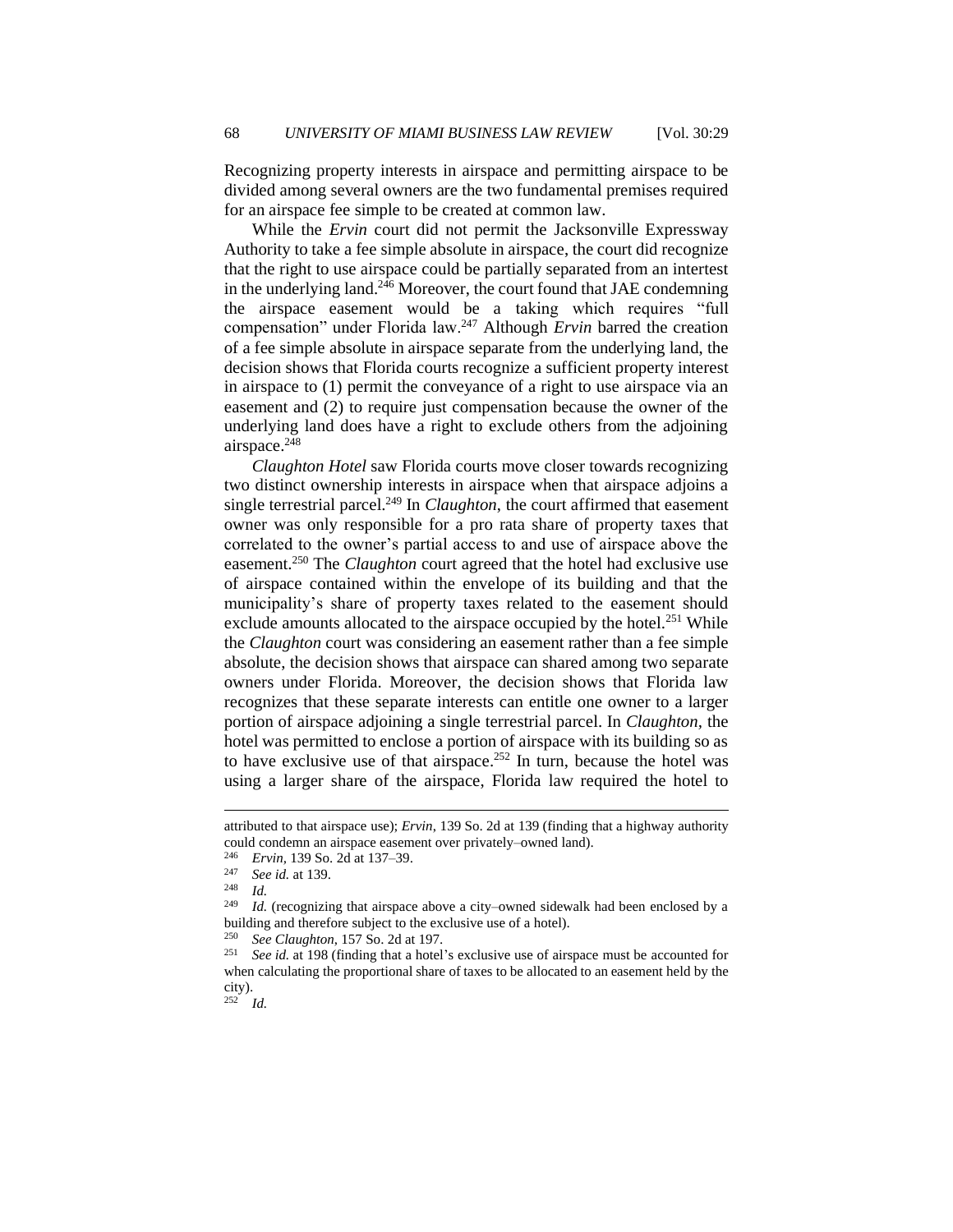Recognizing property interests in airspace and permitting airspace to be divided among several owners are the two fundamental premises required for an airspace fee simple to be created at common law.

While the *Ervin* court did not permit the Jacksonville Expressway Authority to take a fee simple absolute in airspace, the court did recognize that the right to use airspace could be partially separated from an intertest in the underlying land.<sup>246</sup> Moreover, the court found that JAE condemning the airspace easement would be a taking which requires "full compensation" under Florida law.<sup>247</sup> Although *Ervin* barred the creation of a fee simple absolute in airspace separate from the underlying land, the decision shows that Florida courts recognize a sufficient property interest in airspace to (1) permit the conveyance of a right to use airspace via an easement and (2) to require just compensation because the owner of the underlying land does have a right to exclude others from the adjoining airspace.<sup>248</sup>

*Claughton Hotel* saw Florida courts move closer towards recognizing two distinct ownership interests in airspace when that airspace adjoins a single terrestrial parcel.<sup>249</sup> In *Claughton*, the court affirmed that easement owner was only responsible for a pro rata share of property taxes that correlated to the owner's partial access to and use of airspace above the easement.<sup>250</sup> The *Claughton* court agreed that the hotel had exclusive use of airspace contained within the envelope of its building and that the municipality's share of property taxes related to the easement should exclude amounts allocated to the airspace occupied by the hotel.<sup>251</sup> While the *Claughton* court was considering an easement rather than a fee simple absolute, the decision shows that airspace can shared among two separate owners under Florida. Moreover, the decision shows that Florida law recognizes that these separate interests can entitle one owner to a larger portion of airspace adjoining a single terrestrial parcel. In *Claughton,* the hotel was permitted to enclose a portion of airspace with its building so as to have exclusive use of that airspace.<sup>252</sup> In turn, because the hotel was using a larger share of the airspace, Florida law required the hotel to

<sup>252</sup> *Id.*

attributed to that airspace use); *Ervin*, 139 So. 2d at 139 (finding that a highway authority could condemn an airspace easement over privately–owned land).

<sup>&</sup>lt;sup>246</sup> *Ervin*, 139 So. 2d at 137–39.<br><sup>247</sup> Second at 130.

<sup>247</sup> *See id.* at 139.

 $\frac{248}{249}$  *Id.* 

*Id.* (recognizing that airspace above a city–owned sidewalk had been enclosed by a building and therefore subject to the exclusive use of a hotel).

<sup>&</sup>lt;sup>250</sup> *See Claughton*, 157 So. 2d at 197.<br><sup>251</sup> *See id at* 198 (finding that a hotel

<sup>251</sup> *See id.* at 198 (finding that a hotel's exclusive use of airspace must be accounted for when calculating the proportional share of taxes to be allocated to an easement held by the city).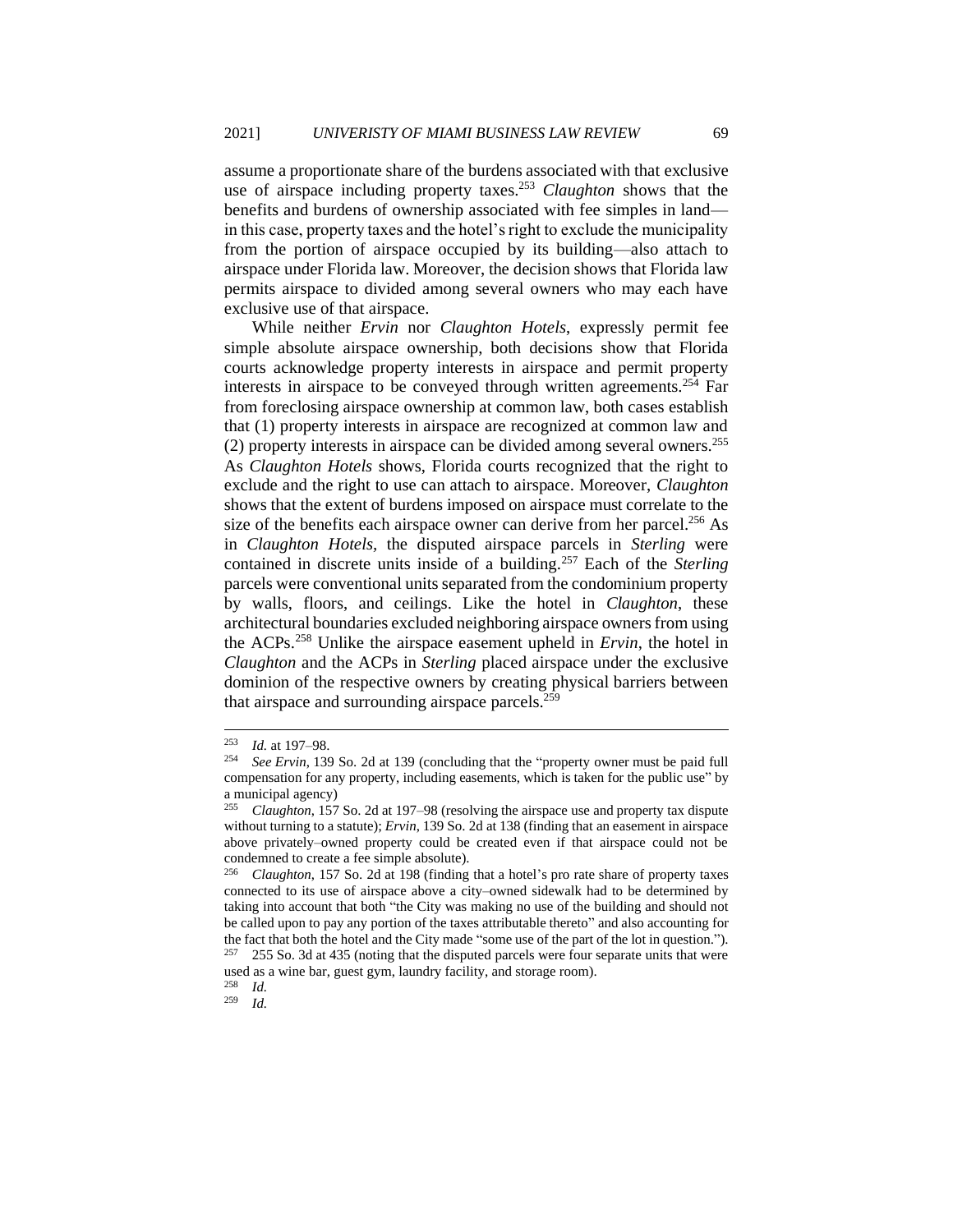assume a proportionate share of the burdens associated with that exclusive use of airspace including property taxes.<sup>253</sup> *Claughton* shows that the benefits and burdens of ownership associated with fee simples in land in this case, property taxes and the hotel's right to exclude the municipality from the portion of airspace occupied by its building—also attach to airspace under Florida law. Moreover, the decision shows that Florida law permits airspace to divided among several owners who may each have exclusive use of that airspace.

While neither *Ervin* nor *Claughton Hotels*, expressly permit fee simple absolute airspace ownership, both decisions show that Florida courts acknowledge property interests in airspace and permit property interests in airspace to be conveyed through written agreements.<sup>254</sup> Far from foreclosing airspace ownership at common law, both cases establish that (1) property interests in airspace are recognized at common law and (2) property interests in airspace can be divided among several owners.<sup>255</sup> As *Claughton Hotels* shows, Florida courts recognized that the right to exclude and the right to use can attach to airspace. Moreover, *Claughton*  shows that the extent of burdens imposed on airspace must correlate to the size of the benefits each airspace owner can derive from her parcel.<sup>256</sup> As in *Claughton Hotels,* the disputed airspace parcels in *Sterling* were contained in discrete units inside of a building.<sup>257</sup> Each of the *Sterling*  parcels were conventional units separated from the condominium property by walls, floors, and ceilings. Like the hotel in *Claughton*, these architectural boundaries excluded neighboring airspace owners from using the ACPs.<sup>258</sup> Unlike the airspace easement upheld in *Ervin*, the hotel in *Claughton* and the ACPs in *Sterling* placed airspace under the exclusive dominion of the respective owners by creating physical barriers between that airspace and surrounding airspace parcels.<sup>259</sup>

<sup>&</sup>lt;sup>253</sup> *Id.* at 197–98.<br><sup>254</sup> See Ervin 139

See Ervin, 139 So. 2d at 139 (concluding that the "property owner must be paid full compensation for any property, including easements, which is taken for the public use" by a municipal agency)

<sup>255</sup> *Claughton*, 157 So. 2d at 197–98 (resolving the airspace use and property tax dispute without turning to a statute); *Ervin*, 139 So. 2d at 138 (finding that an easement in airspace above privately–owned property could be created even if that airspace could not be condemned to create a fee simple absolute).

<sup>256</sup> *Claughton*, 157 So. 2d at 198 (finding that a hotel's pro rate share of property taxes connected to its use of airspace above a city–owned sidewalk had to be determined by taking into account that both "the City was making no use of the building and should not be called upon to pay any portion of the taxes attributable thereto" and also accounting for the fact that both the hotel and the City made "some use of the part of the lot in question.").

<sup>257</sup> 255 So. 3d at 435 (noting that the disputed parcels were four separate units that were used as a wine bar, guest gym, laundry facility, and storage room). <sup>258</sup> *Id.*

<sup>259</sup> *Id.*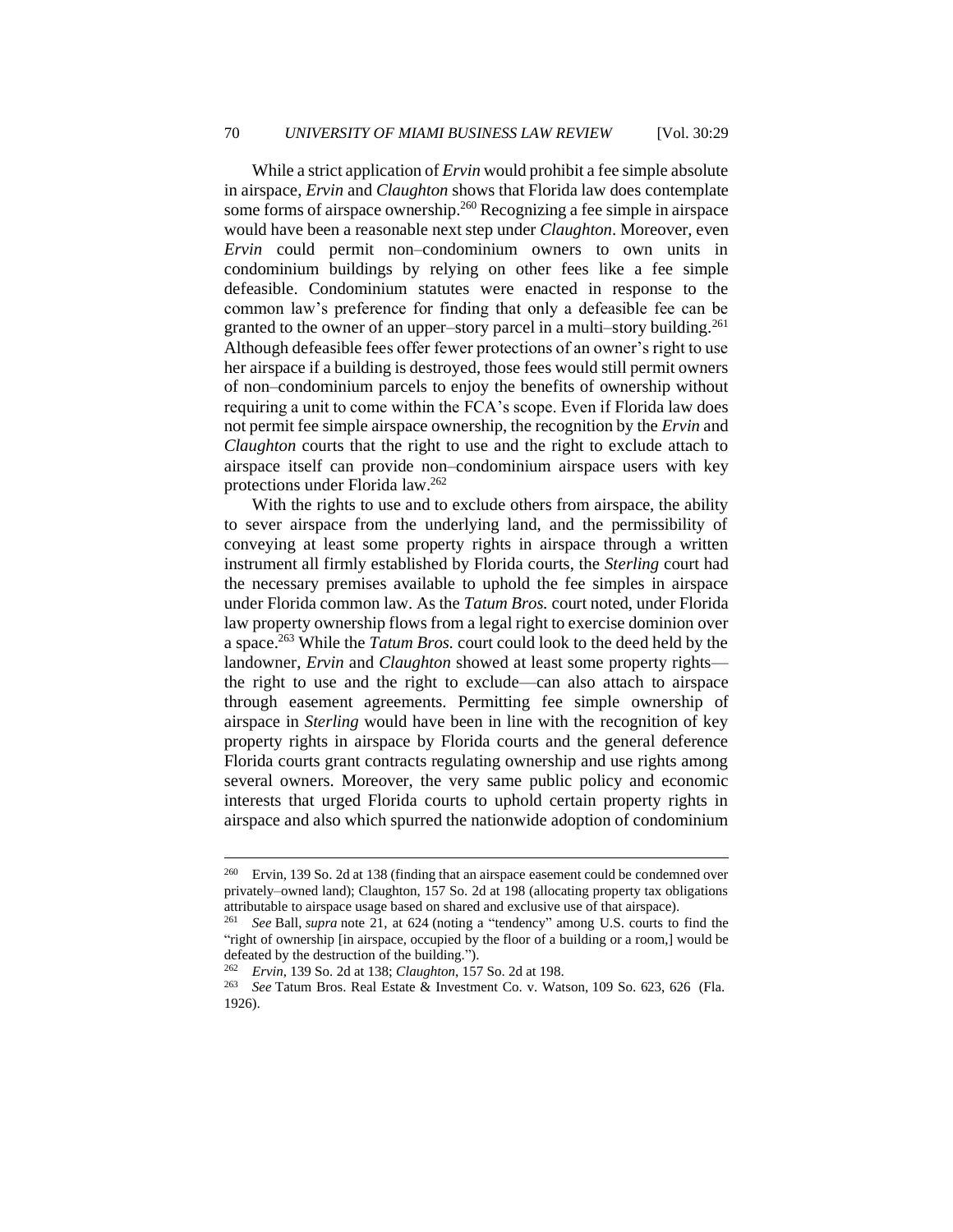While a strict application of *Ervin* would prohibit a fee simple absolute in airspace, *Ervin* and *Claughton* shows that Florida law does contemplate some forms of airspace ownership.<sup>260</sup> Recognizing a fee simple in airspace would have been a reasonable next step under *Claughton*. Moreover, even *Ervin* could permit non–condominium owners to own units in condominium buildings by relying on other fees like a fee simple defeasible. Condominium statutes were enacted in response to the common law's preference for finding that only a defeasible fee can be granted to the owner of an upper–story parcel in a multi–story building.<sup>261</sup> Although defeasible fees offer fewer protections of an owner's right to use her airspace if a building is destroyed, those fees would still permit owners of non–condominium parcels to enjoy the benefits of ownership without requiring a unit to come within the FCA's scope. Even if Florida law does not permit fee simple airspace ownership, the recognition by the *Ervin* and *Claughton* courts that the right to use and the right to exclude attach to airspace itself can provide non–condominium airspace users with key protections under Florida law.<sup>262</sup>

With the rights to use and to exclude others from airspace, the ability to sever airspace from the underlying land, and the permissibility of conveying at least some property rights in airspace through a written instrument all firmly established by Florida courts, the *Sterling* court had the necessary premises available to uphold the fee simples in airspace under Florida common law. As the *Tatum Bros.* court noted, under Florida law property ownership flows from a legal right to exercise dominion over a space.<sup>263</sup> While the *Tatum Bros.* court could look to the deed held by the landowner, *Ervin* and *Claughton* showed at least some property rights the right to use and the right to exclude—can also attach to airspace through easement agreements. Permitting fee simple ownership of airspace in *Sterling* would have been in line with the recognition of key property rights in airspace by Florida courts and the general deference Florida courts grant contracts regulating ownership and use rights among several owners. Moreover, the very same public policy and economic interests that urged Florida courts to uphold certain property rights in airspace and also which spurred the nationwide adoption of condominium

<sup>&</sup>lt;sup>260</sup> Ervin, 139 So. 2d at 138 (finding that an airspace easement could be condemned over privately–owned land); Claughton, 157 So. 2d at 198 (allocating property tax obligations attributable to airspace usage based on shared and exclusive use of that airspace).

<sup>261</sup> *See* Ball, *supra* note 21, at 624 (noting a "tendency" among U.S. courts to find the "right of ownership [in airspace, occupied by the floor of a building or a room,] would be defeated by the destruction of the building.").

<sup>262</sup> *Ervin*, 139 So. 2d at 138; *Claughton*, 157 So. 2d at 198.

<sup>263</sup> *See* Tatum Bros. Real Estate & Investment Co. v. Watson, 109 So. 623, 626 (Fla. 1926).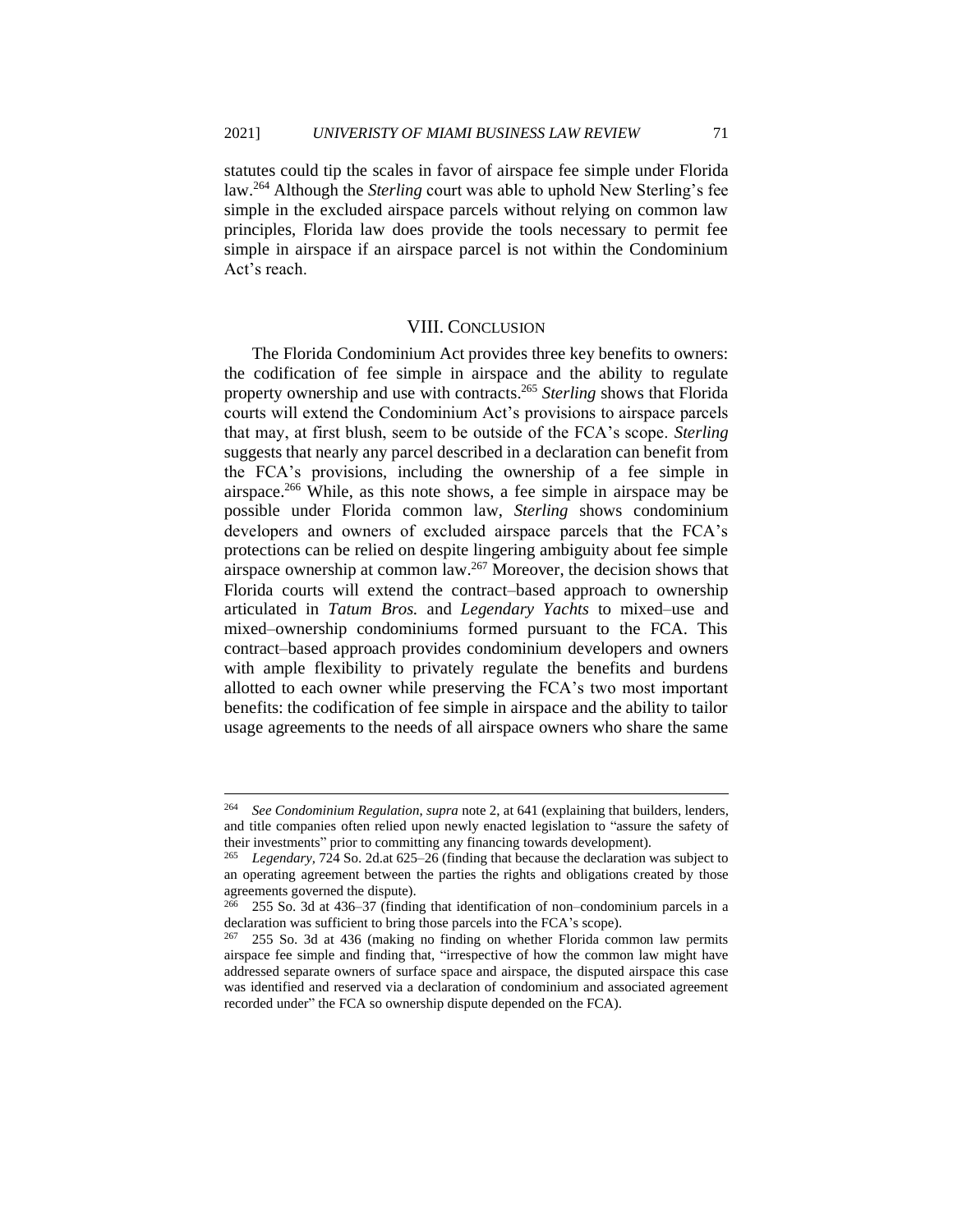statutes could tip the scales in favor of airspace fee simple under Florida law.<sup>264</sup> Although the *Sterling* court was able to uphold New Sterling's fee simple in the excluded airspace parcels without relying on common law principles, Florida law does provide the tools necessary to permit fee simple in airspace if an airspace parcel is not within the Condominium Act's reach.

#### VIII. CONCLUSION

The Florida Condominium Act provides three key benefits to owners: the codification of fee simple in airspace and the ability to regulate property ownership and use with contracts.<sup>265</sup> *Sterling* shows that Florida courts will extend the Condominium Act's provisions to airspace parcels that may, at first blush, seem to be outside of the FCA's scope. *Sterling* suggests that nearly any parcel described in a declaration can benefit from the FCA's provisions, including the ownership of a fee simple in airspace.<sup>266</sup> While, as this note shows, a fee simple in airspace may be possible under Florida common law, *Sterling* shows condominium developers and owners of excluded airspace parcels that the FCA's protections can be relied on despite lingering ambiguity about fee simple airspace ownership at common law.<sup>267</sup> Moreover, the decision shows that Florida courts will extend the contract–based approach to ownership articulated in *Tatum Bros.* and *Legendary Yachts* to mixed–use and mixed–ownership condominiums formed pursuant to the FCA. This contract–based approach provides condominium developers and owners with ample flexibility to privately regulate the benefits and burdens allotted to each owner while preserving the FCA's two most important benefits: the codification of fee simple in airspace and the ability to tailor usage agreements to the needs of all airspace owners who share the same

<sup>264</sup> *See Condominium Regulation*, *supra* note 2, at 641 (explaining that builders, lenders, and title companies often relied upon newly enacted legislation to "assure the safety of their investments" prior to committing any financing towards development).

<sup>265</sup> *Legendary,* 724 So. 2d.at 625–26 (finding that because the declaration was subject to an operating agreement between the parties the rights and obligations created by those agreements governed the dispute).

<sup>255</sup> So. 3d at 436–37 (finding that identification of non–condominium parcels in a declaration was sufficient to bring those parcels into the FCA's scope).

<sup>255</sup> So. 3d at 436 (making no finding on whether Florida common law permits airspace fee simple and finding that, "irrespective of how the common law might have addressed separate owners of surface space and airspace, the disputed airspace this case was identified and reserved via a declaration of condominium and associated agreement recorded under" the FCA so ownership dispute depended on the FCA).